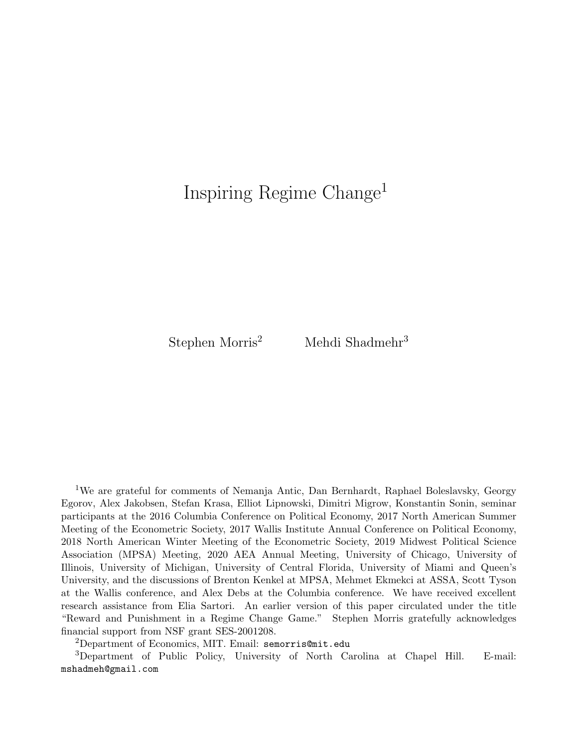# Inspiring Regime Change<sup>1</sup>

Stephen Morris<sup>2</sup> Mehdi Shadmehr<sup>3</sup>

<sup>1</sup>We are grateful for comments of Nemanja Antic, Dan Bernhardt, Raphael Boleslavsky, Georgy Egorov, Alex Jakobsen, Stefan Krasa, Elliot Lipnowski, Dimitri Migrow, Konstantin Sonin, seminar participants at the 2016 Columbia Conference on Political Economy, 2017 North American Summer Meeting of the Econometric Society, 2017 Wallis Institute Annual Conference on Political Economy, 2018 North American Winter Meeting of the Econometric Society, 2019 Midwest Political Science Association (MPSA) Meeting, 2020 AEA Annual Meeting, University of Chicago, University of Illinois, University of Michigan, University of Central Florida, University of Miami and Queen's University, and the discussions of Brenton Kenkel at MPSA, Mehmet Ekmekci at ASSA, Scott Tyson at the Wallis conference, and Alex Debs at the Columbia conference. We have received excellent research assistance from Elia Sartori. An earlier version of this paper circulated under the title "Reward and Punishment in a Regime Change Game." Stephen Morris gratefully acknowledges financial support from NSF grant SES-2001208.

<sup>2</sup>Department of Economics, MIT. Email: semorris@mit.edu

<sup>3</sup>Department of Public Policy, University of North Carolina at Chapel Hill. E-mail: mshadmeh@gmail.com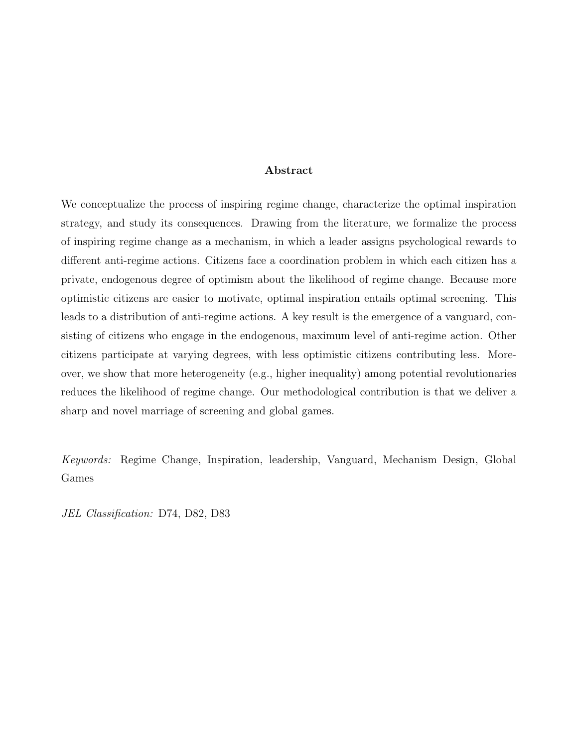#### Abstract

We conceptualize the process of inspiring regime change, characterize the optimal inspiration strategy, and study its consequences. Drawing from the literature, we formalize the process of inspiring regime change as a mechanism, in which a leader assigns psychological rewards to different anti-regime actions. Citizens face a coordination problem in which each citizen has a private, endogenous degree of optimism about the likelihood of regime change. Because more optimistic citizens are easier to motivate, optimal inspiration entails optimal screening. This leads to a distribution of anti-regime actions. A key result is the emergence of a vanguard, consisting of citizens who engage in the endogenous, maximum level of anti-regime action. Other citizens participate at varying degrees, with less optimistic citizens contributing less. Moreover, we show that more heterogeneity (e.g., higher inequality) among potential revolutionaries reduces the likelihood of regime change. Our methodological contribution is that we deliver a sharp and novel marriage of screening and global games.

Keywords: Regime Change, Inspiration, leadership, Vanguard, Mechanism Design, Global Games

JEL Classification: D74, D82, D83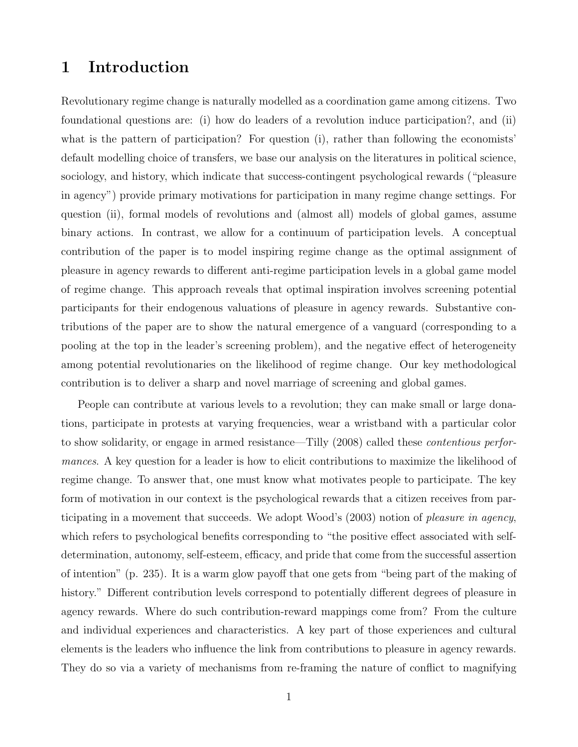### 1 Introduction

Revolutionary regime change is naturally modelled as a coordination game among citizens. Two foundational questions are: (i) how do leaders of a revolution induce participation?, and (ii) what is the pattern of participation? For question (i), rather than following the economists' default modelling choice of transfers, we base our analysis on the literatures in political science, sociology, and history, which indicate that success-contingent psychological rewards ("pleasure in agency") provide primary motivations for participation in many regime change settings. For question (ii), formal models of revolutions and (almost all) models of global games, assume binary actions. In contrast, we allow for a continuum of participation levels. A conceptual contribution of the paper is to model inspiring regime change as the optimal assignment of pleasure in agency rewards to different anti-regime participation levels in a global game model of regime change. This approach reveals that optimal inspiration involves screening potential participants for their endogenous valuations of pleasure in agency rewards. Substantive contributions of the paper are to show the natural emergence of a vanguard (corresponding to a pooling at the top in the leader's screening problem), and the negative effect of heterogeneity among potential revolutionaries on the likelihood of regime change. Our key methodological contribution is to deliver a sharp and novel marriage of screening and global games.

People can contribute at various levels to a revolution; they can make small or large donations, participate in protests at varying frequencies, wear a wristband with a particular color to show solidarity, or engage in armed resistance—Tilly (2008) called these *contentious perfor*mances. A key question for a leader is how to elicit contributions to maximize the likelihood of regime change. To answer that, one must know what motivates people to participate. The key form of motivation in our context is the psychological rewards that a citizen receives from participating in a movement that succeeds. We adopt Wood's (2003) notion of *pleasure in agency*, which refers to psychological benefits corresponding to "the positive effect associated with selfdetermination, autonomy, self-esteem, efficacy, and pride that come from the successful assertion of intention" (p. 235). It is a warm glow payoff that one gets from "being part of the making of history." Different contribution levels correspond to potentially different degrees of pleasure in agency rewards. Where do such contribution-reward mappings come from? From the culture and individual experiences and characteristics. A key part of those experiences and cultural elements is the leaders who influence the link from contributions to pleasure in agency rewards. They do so via a variety of mechanisms from re-framing the nature of conflict to magnifying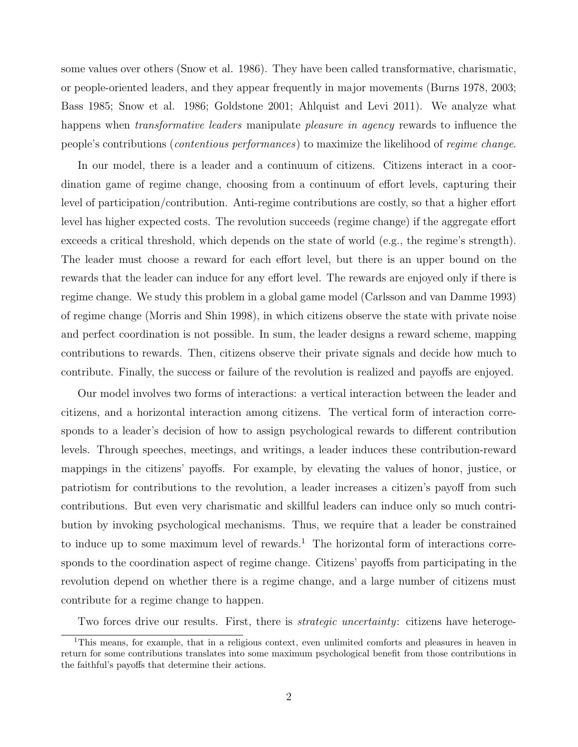some values over others (Snow et al. 1986). They have been called transformative, charismatic, or people-oriented leaders, and they appear frequently in major movements (Burns 1978, 2003; Bass 1985; Snow et al. 1986; Goldstone 2001; Ahlquist and Levi 2011). We analyze what happens when *transformative leaders* manipulate *pleasure in agency* rewards to influence the people's contributions (contentious performances) to maximize the likelihood of regime change.

In our model, there is a leader and a continuum of citizens. Citizens interact in a coordination game of regime change, choosing from a continuum of effort levels, capturing their level of participation/contribution. Anti-regime contributions are costly, so that a higher effort level has higher expected costs. The revolution succeeds (regime change) if the aggregate effort exceeds a critical threshold, which depends on the state of world (e.g., the regime's strength). The leader must choose a reward for each effort level, but there is an upper bound on the rewards that the leader can induce for any effort level. The rewards are enjoyed only if there is regime change. We study this problem in a global game model (Carlsson and van Damme 1993) of regime change (Morris and Shin 1998), in which citizens observe the state with private noise and perfect coordination is not possible. In sum, the leader designs a reward scheme, mapping contributions to rewards. Then, citizens observe their private signals and decide how much to contribute. Finally, the success or failure of the revolution is realized and payoffs are enjoyed.

Our model involves two forms of interactions: a vertical interaction between the leader and citizens, and a horizontal interaction among citizens. The vertical form of interaction corresponds to a leader's decision of how to assign psychological rewards to different contribution levels. Through speeches, meetings, and writings, a leader induces these contribution-reward mappings in the citizens' payoffs. For example, by elevating the values of honor, justice, or patriotism for contributions to the revolution, a leader increases a citizen's payoff from such contributions. But even very charismatic and skillful leaders can induce only so much contribution by invoking psychological mechanisms. Thus, we require that a leader be constrained to induce up to some maximum level of rewards.<sup>1</sup> The horizontal form of interactions corresponds to the coordination aspect of regime change. Citizens' payoffs from participating in the revolution depend on whether there is a regime change, and a large number of citizens must contribute for a regime change to happen.

Two forces drive our results. First, there is *strategic uncertainty*: citizens have heteroge-

<sup>&</sup>lt;sup>1</sup>This means, for example, that in a religious context, even unlimited comforts and pleasures in heaven in return for some contributions translates into some maximum psychological benefit from those contributions in the faithful's payoffs that determine their actions.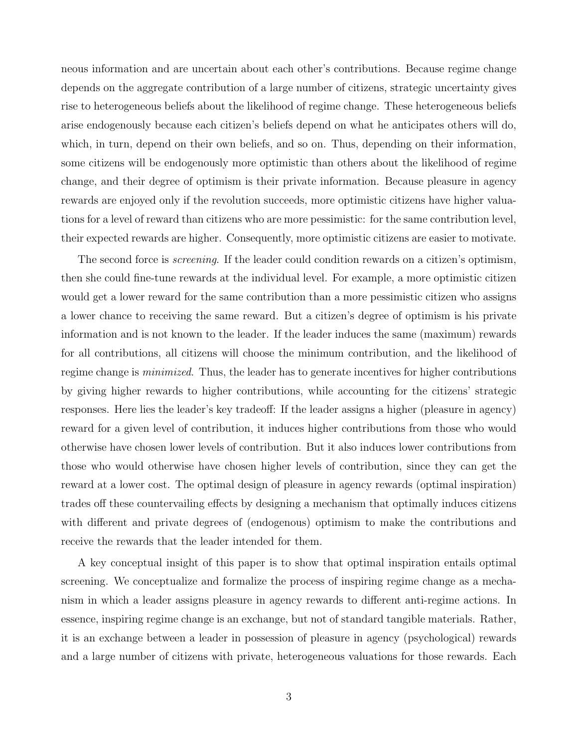neous information and are uncertain about each other's contributions. Because regime change depends on the aggregate contribution of a large number of citizens, strategic uncertainty gives rise to heterogeneous beliefs about the likelihood of regime change. These heterogeneous beliefs arise endogenously because each citizen's beliefs depend on what he anticipates others will do, which, in turn, depend on their own beliefs, and so on. Thus, depending on their information, some citizens will be endogenously more optimistic than others about the likelihood of regime change, and their degree of optimism is their private information. Because pleasure in agency rewards are enjoyed only if the revolution succeeds, more optimistic citizens have higher valuations for a level of reward than citizens who are more pessimistic: for the same contribution level, their expected rewards are higher. Consequently, more optimistic citizens are easier to motivate.

The second force is *screening*. If the leader could condition rewards on a citizen's optimism, then she could fine-tune rewards at the individual level. For example, a more optimistic citizen would get a lower reward for the same contribution than a more pessimistic citizen who assigns a lower chance to receiving the same reward. But a citizen's degree of optimism is his private information and is not known to the leader. If the leader induces the same (maximum) rewards for all contributions, all citizens will choose the minimum contribution, and the likelihood of regime change is *minimized*. Thus, the leader has to generate incentives for higher contributions by giving higher rewards to higher contributions, while accounting for the citizens' strategic responses. Here lies the leader's key tradeoff: If the leader assigns a higher (pleasure in agency) reward for a given level of contribution, it induces higher contributions from those who would otherwise have chosen lower levels of contribution. But it also induces lower contributions from those who would otherwise have chosen higher levels of contribution, since they can get the reward at a lower cost. The optimal design of pleasure in agency rewards (optimal inspiration) trades off these countervailing effects by designing a mechanism that optimally induces citizens with different and private degrees of (endogenous) optimism to make the contributions and receive the rewards that the leader intended for them.

A key conceptual insight of this paper is to show that optimal inspiration entails optimal screening. We conceptualize and formalize the process of inspiring regime change as a mechanism in which a leader assigns pleasure in agency rewards to different anti-regime actions. In essence, inspiring regime change is an exchange, but not of standard tangible materials. Rather, it is an exchange between a leader in possession of pleasure in agency (psychological) rewards and a large number of citizens with private, heterogeneous valuations for those rewards. Each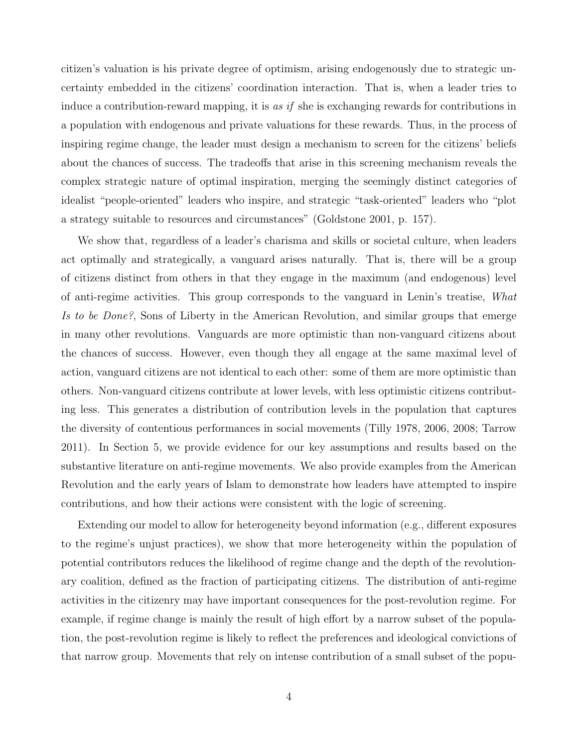citizen's valuation is his private degree of optimism, arising endogenously due to strategic uncertainty embedded in the citizens' coordination interaction. That is, when a leader tries to induce a contribution-reward mapping, it is as if she is exchanging rewards for contributions in a population with endogenous and private valuations for these rewards. Thus, in the process of inspiring regime change, the leader must design a mechanism to screen for the citizens' beliefs about the chances of success. The tradeoffs that arise in this screening mechanism reveals the complex strategic nature of optimal inspiration, merging the seemingly distinct categories of idealist "people-oriented" leaders who inspire, and strategic "task-oriented" leaders who "plot a strategy suitable to resources and circumstances" (Goldstone 2001, p. 157).

We show that, regardless of a leader's charisma and skills or societal culture, when leaders act optimally and strategically, a vanguard arises naturally. That is, there will be a group of citizens distinct from others in that they engage in the maximum (and endogenous) level of anti-regime activities. This group corresponds to the vanguard in Lenin's treatise, What Is to be Done?, Sons of Liberty in the American Revolution, and similar groups that emerge in many other revolutions. Vanguards are more optimistic than non-vanguard citizens about the chances of success. However, even though they all engage at the same maximal level of action, vanguard citizens are not identical to each other: some of them are more optimistic than others. Non-vanguard citizens contribute at lower levels, with less optimistic citizens contributing less. This generates a distribution of contribution levels in the population that captures the diversity of contentious performances in social movements (Tilly 1978, 2006, 2008; Tarrow 2011). In Section 5, we provide evidence for our key assumptions and results based on the substantive literature on anti-regime movements. We also provide examples from the American Revolution and the early years of Islam to demonstrate how leaders have attempted to inspire contributions, and how their actions were consistent with the logic of screening.

Extending our model to allow for heterogeneity beyond information (e.g., different exposures to the regime's unjust practices), we show that more heterogeneity within the population of potential contributors reduces the likelihood of regime change and the depth of the revolutionary coalition, defined as the fraction of participating citizens. The distribution of anti-regime activities in the citizenry may have important consequences for the post-revolution regime. For example, if regime change is mainly the result of high effort by a narrow subset of the population, the post-revolution regime is likely to reflect the preferences and ideological convictions of that narrow group. Movements that rely on intense contribution of a small subset of the popu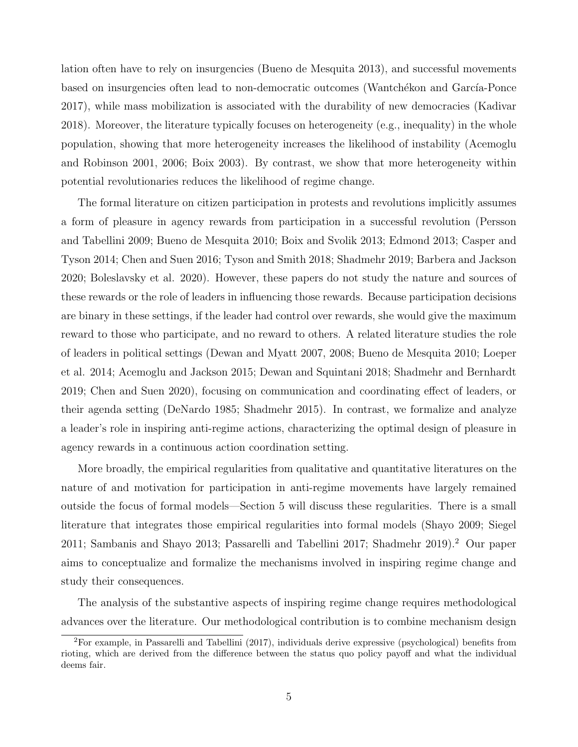lation often have to rely on insurgencies (Bueno de Mesquita 2013), and successful movements based on insurgencies often lead to non-democratic outcomes (Wantchékon and García-Ponce 2017), while mass mobilization is associated with the durability of new democracies (Kadivar 2018). Moreover, the literature typically focuses on heterogeneity (e.g., inequality) in the whole population, showing that more heterogeneity increases the likelihood of instability (Acemoglu and Robinson 2001, 2006; Boix 2003). By contrast, we show that more heterogeneity within potential revolutionaries reduces the likelihood of regime change.

The formal literature on citizen participation in protests and revolutions implicitly assumes a form of pleasure in agency rewards from participation in a successful revolution (Persson and Tabellini 2009; Bueno de Mesquita 2010; Boix and Svolik 2013; Edmond 2013; Casper and Tyson 2014; Chen and Suen 2016; Tyson and Smith 2018; Shadmehr 2019; Barbera and Jackson 2020; Boleslavsky et al. 2020). However, these papers do not study the nature and sources of these rewards or the role of leaders in influencing those rewards. Because participation decisions are binary in these settings, if the leader had control over rewards, she would give the maximum reward to those who participate, and no reward to others. A related literature studies the role of leaders in political settings (Dewan and Myatt 2007, 2008; Bueno de Mesquita 2010; Loeper et al. 2014; Acemoglu and Jackson 2015; Dewan and Squintani 2018; Shadmehr and Bernhardt 2019; Chen and Suen 2020), focusing on communication and coordinating effect of leaders, or their agenda setting (DeNardo 1985; Shadmehr 2015). In contrast, we formalize and analyze a leader's role in inspiring anti-regime actions, characterizing the optimal design of pleasure in agency rewards in a continuous action coordination setting.

More broadly, the empirical regularities from qualitative and quantitative literatures on the nature of and motivation for participation in anti-regime movements have largely remained outside the focus of formal models—Section 5 will discuss these regularities. There is a small literature that integrates those empirical regularities into formal models (Shayo 2009; Siegel 2011; Sambanis and Shayo 2013; Passarelli and Tabellini 2017; Shadmehr 2019).<sup>2</sup> Our paper aims to conceptualize and formalize the mechanisms involved in inspiring regime change and study their consequences.

The analysis of the substantive aspects of inspiring regime change requires methodological advances over the literature. Our methodological contribution is to combine mechanism design

<sup>2</sup>For example, in Passarelli and Tabellini (2017), individuals derive expressive (psychological) benefits from rioting, which are derived from the difference between the status quo policy payoff and what the individual deems fair.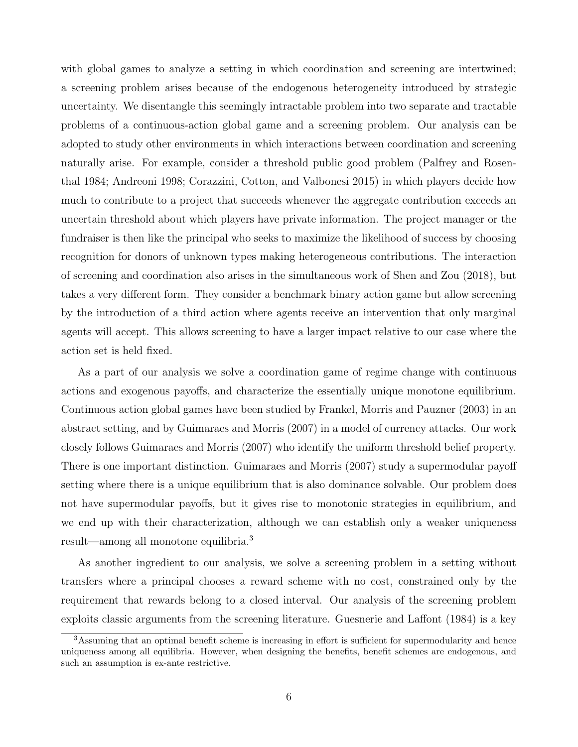with global games to analyze a setting in which coordination and screening are intertwined; a screening problem arises because of the endogenous heterogeneity introduced by strategic uncertainty. We disentangle this seemingly intractable problem into two separate and tractable problems of a continuous-action global game and a screening problem. Our analysis can be adopted to study other environments in which interactions between coordination and screening naturally arise. For example, consider a threshold public good problem (Palfrey and Rosenthal 1984; Andreoni 1998; Corazzini, Cotton, and Valbonesi 2015) in which players decide how much to contribute to a project that succeeds whenever the aggregate contribution exceeds an uncertain threshold about which players have private information. The project manager or the fundraiser is then like the principal who seeks to maximize the likelihood of success by choosing recognition for donors of unknown types making heterogeneous contributions. The interaction of screening and coordination also arises in the simultaneous work of Shen and Zou (2018), but takes a very different form. They consider a benchmark binary action game but allow screening by the introduction of a third action where agents receive an intervention that only marginal agents will accept. This allows screening to have a larger impact relative to our case where the action set is held fixed.

As a part of our analysis we solve a coordination game of regime change with continuous actions and exogenous payoffs, and characterize the essentially unique monotone equilibrium. Continuous action global games have been studied by Frankel, Morris and Pauzner (2003) in an abstract setting, and by Guimaraes and Morris (2007) in a model of currency attacks. Our work closely follows Guimaraes and Morris (2007) who identify the uniform threshold belief property. There is one important distinction. Guimaraes and Morris (2007) study a supermodular payoff setting where there is a unique equilibrium that is also dominance solvable. Our problem does not have supermodular payoffs, but it gives rise to monotonic strategies in equilibrium, and we end up with their characterization, although we can establish only a weaker uniqueness result—among all monotone equilibria.<sup>3</sup>

As another ingredient to our analysis, we solve a screening problem in a setting without transfers where a principal chooses a reward scheme with no cost, constrained only by the requirement that rewards belong to a closed interval. Our analysis of the screening problem exploits classic arguments from the screening literature. Guesnerie and Laffont (1984) is a key

<sup>3</sup>Assuming that an optimal benefit scheme is increasing in effort is sufficient for supermodularity and hence uniqueness among all equilibria. However, when designing the benefits, benefit schemes are endogenous, and such an assumption is ex-ante restrictive.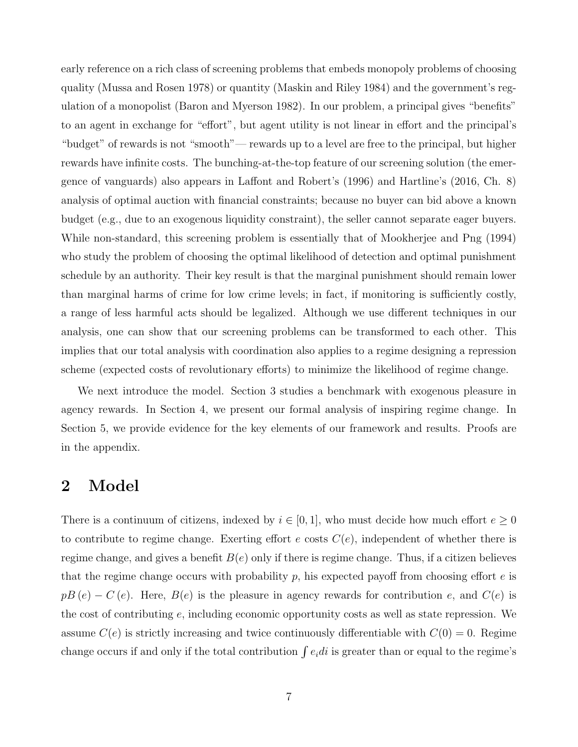early reference on a rich class of screening problems that embeds monopoly problems of choosing quality (Mussa and Rosen 1978) or quantity (Maskin and Riley 1984) and the government's regulation of a monopolist (Baron and Myerson 1982). In our problem, a principal gives "benefits" to an agent in exchange for "effort", but agent utility is not linear in effort and the principal's "budget" of rewards is not "smooth"— rewards up to a level are free to the principal, but higher rewards have infinite costs. The bunching-at-the-top feature of our screening solution (the emergence of vanguards) also appears in Laffont and Robert's (1996) and Hartline's (2016, Ch. 8) analysis of optimal auction with financial constraints; because no buyer can bid above a known budget (e.g., due to an exogenous liquidity constraint), the seller cannot separate eager buyers. While non-standard, this screening problem is essentially that of Mookherjee and Png (1994) who study the problem of choosing the optimal likelihood of detection and optimal punishment schedule by an authority. Their key result is that the marginal punishment should remain lower than marginal harms of crime for low crime levels; in fact, if monitoring is sufficiently costly, a range of less harmful acts should be legalized. Although we use different techniques in our analysis, one can show that our screening problems can be transformed to each other. This implies that our total analysis with coordination also applies to a regime designing a repression scheme (expected costs of revolutionary efforts) to minimize the likelihood of regime change.

We next introduce the model. Section 3 studies a benchmark with exogenous pleasure in agency rewards. In Section 4, we present our formal analysis of inspiring regime change. In Section 5, we provide evidence for the key elements of our framework and results. Proofs are in the appendix.

### 2 Model

There is a continuum of citizens, indexed by  $i \in [0,1]$ , who must decide how much effort  $e \geq 0$ to contribute to regime change. Exerting effort  $e$  costs  $C(e)$ , independent of whether there is regime change, and gives a benefit  $B(e)$  only if there is regime change. Thus, if a citizen believes that the regime change occurs with probability p, his expected payoff from choosing effort  $e$  is  $pB(e) - C(e)$ . Here,  $B(e)$  is the pleasure in agency rewards for contribution e, and  $C(e)$  is the cost of contributing  $e$ , including economic opportunity costs as well as state repression. We assume  $C(e)$  is strictly increasing and twice continuously differentiable with  $C(0) = 0$ . Regime change occurs if and only if the total contribution  $\int e_i di$  is greater than or equal to the regime's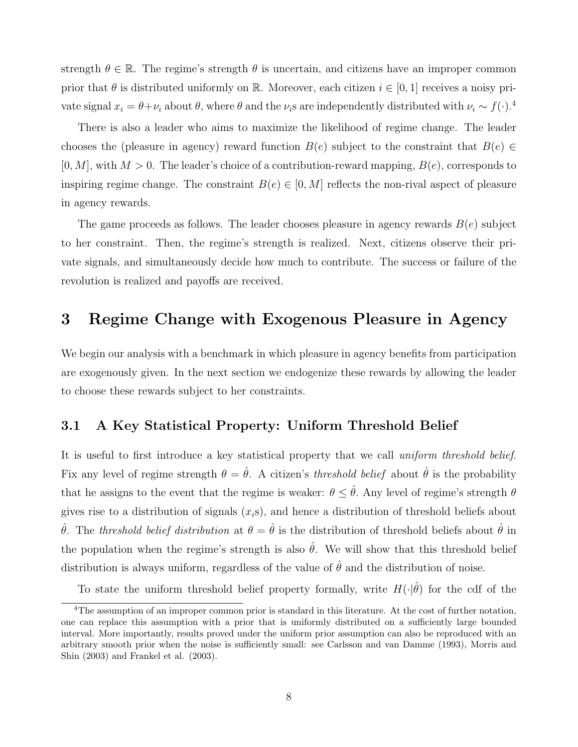strength  $\theta \in \mathbb{R}$ . The regime's strength  $\theta$  is uncertain, and citizens have an improper common prior that  $\theta$  is distributed uniformly on R. Moreover, each citizen  $i \in [0,1]$  receives a noisy private signal  $x_i = \theta + \nu_i$  about  $\theta$ , where  $\theta$  and the  $\nu_i$ s are independently distributed with  $\nu_i \sim f(\cdot)$ .<sup>4</sup>

There is also a leader who aims to maximize the likelihood of regime change. The leader chooses the (pleasure in agency) reward function  $B(e)$  subject to the constraint that  $B(e) \in$  $[0, M]$ , with  $M > 0$ . The leader's choice of a contribution-reward mapping,  $B(e)$ , corresponds to inspiring regime change. The constraint  $B(e) \in [0, M]$  reflects the non-rival aspect of pleasure in agency rewards.

The game proceeds as follows. The leader chooses pleasure in agency rewards  $B(e)$  subject to her constraint. Then, the regime's strength is realized. Next, citizens observe their private signals, and simultaneously decide how much to contribute. The success or failure of the revolution is realized and payoffs are received.

### 3 Regime Change with Exogenous Pleasure in Agency

We begin our analysis with a benchmark in which pleasure in agency benefits from participation are exogenously given. In the next section we endogenize these rewards by allowing the leader to choose these rewards subject to her constraints.

#### 3.1 A Key Statistical Property: Uniform Threshold Belief

It is useful to first introduce a key statistical property that we call *uniform threshold belief.* Fix any level of regime strength  $\theta = \hat{\theta}$ . A citizen's threshold belief about  $\hat{\theta}$  is the probability that he assigns to the event that the regime is weaker:  $\theta \leq \hat{\theta}$ . Any level of regime's strength  $\theta$ gives rise to a distribution of signals  $(x_i, s)$ , and hence a distribution of threshold beliefs about  $\hat{\theta}$ . The threshold belief distribution at  $\theta = \hat{\theta}$  is the distribution of threshold beliefs about  $\hat{\theta}$  in the population when the regime's strength is also  $\hat{\theta}$ . We will show that this threshold belief distribution is always uniform, regardless of the value of  $\hat{\theta}$  and the distribution of noise.

To state the uniform threshold belief property formally, write  $H(\cdot|\hat{\theta})$  for the cdf of the

<sup>4</sup>The assumption of an improper common prior is standard in this literature. At the cost of further notation, one can replace this assumption with a prior that is uniformly distributed on a sufficiently large bounded interval. More importantly, results proved under the uniform prior assumption can also be reproduced with an arbitrary smooth prior when the noise is sufficiently small: see Carlsson and van Damme (1993), Morris and Shin (2003) and Frankel et al. (2003).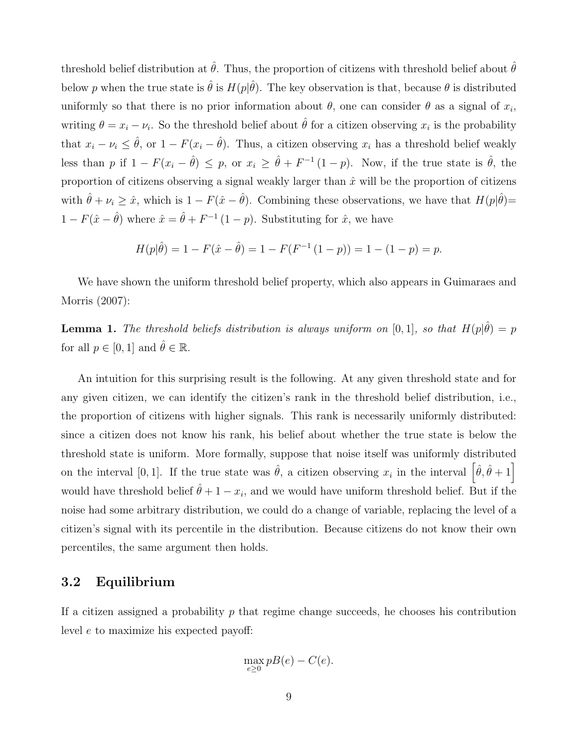threshold belief distribution at  $\hat{\theta}$ . Thus, the proportion of citizens with threshold belief about  $\hat{\theta}$ below p when the true state is  $\hat{\theta}$  is  $H(p|\hat{\theta})$ . The key observation is that, because  $\theta$  is distributed uniformly so that there is no prior information about  $\theta$ , one can consider  $\theta$  as a signal of  $x_i$ , writing  $\theta = x_i - \nu_i$ . So the threshold belief about  $\hat{\theta}$  for a citizen observing  $x_i$  is the probability that  $x_i - \nu_i \leq \hat{\theta}$ , or  $1 - F(x_i - \hat{\theta})$ . Thus, a citizen observing  $x_i$  has a threshold belief weakly less than p if  $1 - F(x_i - \hat{\theta}) \leq p$ , or  $x_i \geq \hat{\theta} + F^{-1}(1-p)$ . Now, if the true state is  $\hat{\theta}$ , the proportion of citizens observing a signal weakly larger than  $\hat{x}$  will be the proportion of citizens with  $\hat{\theta} + \nu_i \geq \hat{x}$ , which is  $1 - F(\hat{x} - \hat{\theta})$ . Combining these observations, we have that  $H(p|\hat{\theta}) =$  $1 - F(\hat{x} - \hat{\theta})$  where  $\hat{x} = \hat{\theta} + F^{-1}(1 - p)$ . Substituting for  $\hat{x}$ , we have

$$
H(p|\hat{\theta}) = 1 - F(\hat{x} - \hat{\theta}) = 1 - F(F^{-1}(1 - p)) = 1 - (1 - p) = p.
$$

We have shown the uniform threshold belief property, which also appears in Guimaraes and Morris (2007):

**Lemma 1.** The threshold beliefs distribution is always uniform on [0,1], so that  $H(p|\hat{\theta}) = p$ for all  $p \in [0, 1]$  and  $\hat{\theta} \in \mathbb{R}$ .

An intuition for this surprising result is the following. At any given threshold state and for any given citizen, we can identify the citizen's rank in the threshold belief distribution, i.e., the proportion of citizens with higher signals. This rank is necessarily uniformly distributed: since a citizen does not know his rank, his belief about whether the true state is below the threshold state is uniform. More formally, suppose that noise itself was uniformly distributed on the interval [0, 1]. If the true state was  $\hat{\theta}$ , a citizen observing  $x_i$  in the interval  $\left[\hat{\theta}, \hat{\theta} + 1\right]$ would have threshold belief  $\hat{\theta} + 1 - x_i$ , and we would have uniform threshold belief. But if the noise had some arbitrary distribution, we could do a change of variable, replacing the level of a citizen's signal with its percentile in the distribution. Because citizens do not know their own percentiles, the same argument then holds.

#### 3.2 Equilibrium

If a citizen assigned a probability  $p$  that regime change succeeds, he chooses his contribution level e to maximize his expected payoff:

$$
\max_{e \ge 0} pB(e) - C(e).
$$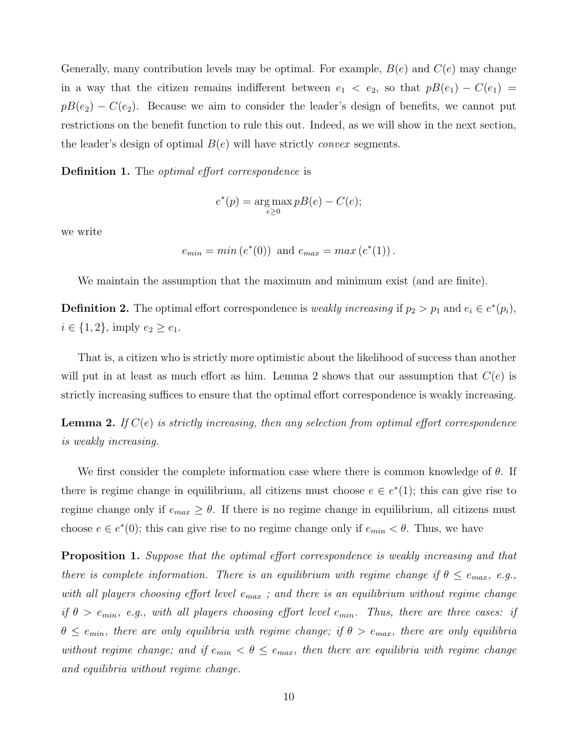Generally, many contribution levels may be optimal. For example,  $B(e)$  and  $C(e)$  may change in a way that the citizen remains indifferent between  $e_1 < e_2$ , so that  $pB(e_1) - C(e_1) =$  $pB(e_2) - C(e_2)$ . Because we aim to consider the leader's design of benefits, we cannot put restrictions on the benefit function to rule this out. Indeed, as we will show in the next section, the leader's design of optimal  $B(e)$  will have strictly *convex* segments.

**Definition 1.** The *optimal effort correspondence* is

$$
e^*(p) = \underset{e \ge 0}{\arg \max} p(B(e) - C(e);
$$

we write

 $e_{min} = min(e^*(0))$  and  $e_{max} = max(e^*(1))$ .

We maintain the assumption that the maximum and minimum exist (and are finite).

**Definition 2.** The optimal effort correspondence is *weakly increasing* if  $p_2 > p_1$  and  $e_i \in e^*(p_i)$ ,  $i \in \{1, 2\}$ , imply  $e_2 \ge e_1$ .

That is, a citizen who is strictly more optimistic about the likelihood of success than another will put in at least as much effort as him. Lemma 2 shows that our assumption that  $C(e)$  is strictly increasing suffices to ensure that the optimal effort correspondence is weakly increasing.

**Lemma 2.** If  $C(e)$  is strictly increasing, then any selection from optimal effort correspondence is weakly increasing.

We first consider the complete information case where there is common knowledge of  $\theta$ . If there is regime change in equilibrium, all citizens must choose  $e \in e^*(1)$ ; this can give rise to regime change only if  $e_{max} \geq \theta$ . If there is no regime change in equilibrium, all citizens must choose  $e \in e^*(0)$ ; this can give rise to no regime change only if  $e_{min} < \theta$ . Thus, we have

**Proposition 1.** Suppose that the optimal effort correspondence is weakly increasing and that there is complete information. There is an equilibrium with regime change if  $\theta \le e_{max}$ , e.g., with all players choosing effort level  $e_{max}$ ; and there is an equilibrium without regime change if  $\theta > e_{min}$ , e.g., with all players choosing effort level  $e_{min}$ . Thus, there are three cases: if  $\theta \le e_{min}$ , there are only equilibria with regime change; if  $\theta > e_{max}$ , there are only equilibria without regime change; and if  $e_{min} < \theta \le e_{max}$ , then there are equilibria with regime change and equilibria without regime change.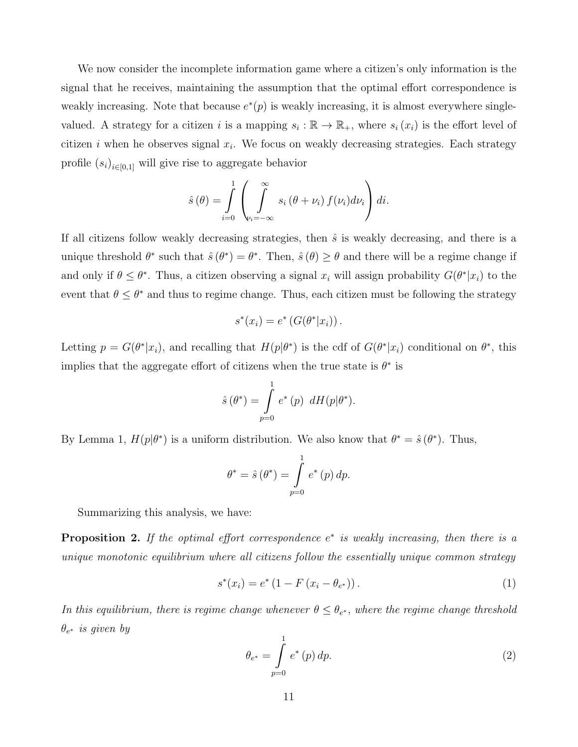We now consider the incomplete information game where a citizen's only information is the signal that he receives, maintaining the assumption that the optimal effort correspondence is weakly increasing. Note that because  $e^*(p)$  is weakly increasing, it is almost everywhere singlevalued. A strategy for a citizen i is a mapping  $s_i : \mathbb{R} \to \mathbb{R}_+$ , where  $s_i(x_i)$  is the effort level of citizen i when he observes signal  $x_i$ . We focus on weakly decreasing strategies. Each strategy profile  $(s_i)_{i \in [0,1]}$  will give rise to aggregate behavior

$$
\hat{s}(\theta) = \int_{i=0}^{1} \left( \int_{\nu_i = -\infty}^{\infty} s_i (\theta + \nu_i) f(\nu_i) d\nu_i \right) di.
$$

If all citizens follow weakly decreasing strategies, then  $\hat{s}$  is weakly decreasing, and there is a unique threshold  $\theta^*$  such that  $\hat{s}(\theta^*) = \theta^*$ . Then,  $\hat{s}(\theta) \geq \theta$  and there will be a regime change if and only if  $\theta \leq \theta^*$ . Thus, a citizen observing a signal  $x_i$  will assign probability  $G(\theta^* | x_i)$  to the event that  $\theta \leq \theta^*$  and thus to regime change. Thus, each citizen must be following the strategy

$$
s^*(x_i) = e^* (G(\theta^* | x_i)).
$$

Letting  $p = G(\theta^* | x_i)$ , and recalling that  $H(p | \theta^*)$  is the cdf of  $G(\theta^* | x_i)$  conditional on  $\theta^*$ , this implies that the aggregate effort of citizens when the true state is  $\theta^*$  is

$$
\hat{s}(\theta^*) = \int_{p=0}^1 e^*(p) dH(p|\theta^*).
$$

By Lemma 1,  $H(p|\theta^*)$  is a uniform distribution. We also know that  $\theta^* = \hat{s}(\theta^*)$ . Thus,

$$
\theta^* = \hat{s}(\theta^*) = \int_{p=0}^{1} e^*(p) \, dp.
$$

Summarizing this analysis, we have:

**Proposition 2.** If the optimal effort correspondence  $e^*$  is weakly increasing, then there is a unique monotonic equilibrium where all citizens follow the essentially unique common strategy

$$
s^*(x_i) = e^* (1 - F(x_i - \theta_{e^*})).
$$
\n(1)

In this equilibrium, there is regime change whenever  $\theta \leq \theta_{e^*}$ , where the regime change threshold  $\theta_{e^*}$  is given by

$$
\theta_{e^*} = \int_{p=0}^{1} e^*(p) \, dp. \tag{2}
$$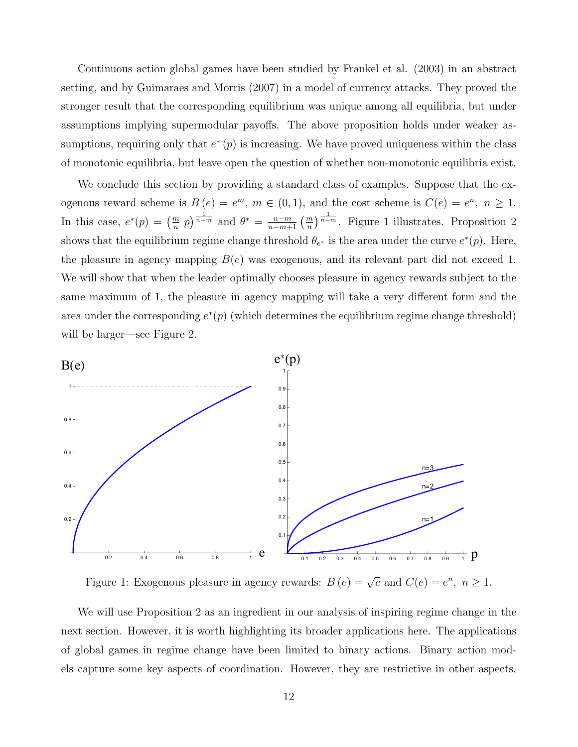Continuous action global games have been studied by Frankel et al. (2003) in an abstract setting, and by Guimaraes and Morris (2007) in a model of currency attacks. They proved the stronger result that the corresponding equilibrium was unique among all equilibria, but under assumptions implying supermodular payoffs. The above proposition holds under weaker assumptions, requiring only that  $e^*(p)$  is increasing. We have proved uniqueness within the class of monotonic equilibria, but leave open the question of whether non-monotonic equilibria exist.

We conclude this section by providing a standard class of examples. Suppose that the exogenous reward scheme is  $B(e) = e^m$ ,  $m \in (0, 1)$ , and the cost scheme is  $C(e) = e^n$ ,  $n \ge 1$ . In this case,  $e^*(p) = \left(\frac{m}{n} p\right)^{\frac{1}{n-m}}$  and  $\theta^* = \frac{n-m}{n-m+1} \left(\frac{m}{n}\right)^{\frac{1}{n-m}}$ . Figure 1 illustrates. Proposition 2 shows that the equilibrium regime change threshold  $\theta_{e^*}$  is the area under the curve  $e^*(p)$ . Here, the pleasure in agency mapping  $B(e)$  was exogenous, and its relevant part did not exceed 1. We will show that when the leader optimally chooses pleasure in agency rewards subject to the same maximum of 1, the pleasure in agency mapping will take a very different form and the area under the corresponding  $e^*(p)$  (which determines the equilibrium regime change threshold) will be larger—see Figure 2.



Figure 1: Exogenous pleasure in agency rewards:  $B(e) = \sqrt{e}$  and  $C(e) = e^n$ ,  $n \ge 1$ .

We will use Proposition 2 as an ingredient in our analysis of inspiring regime change in the next section. However, it is worth highlighting its broader applications here. The applications of global games in regime change have been limited to binary actions. Binary action models capture some key aspects of coordination. However, they are restrictive in other aspects,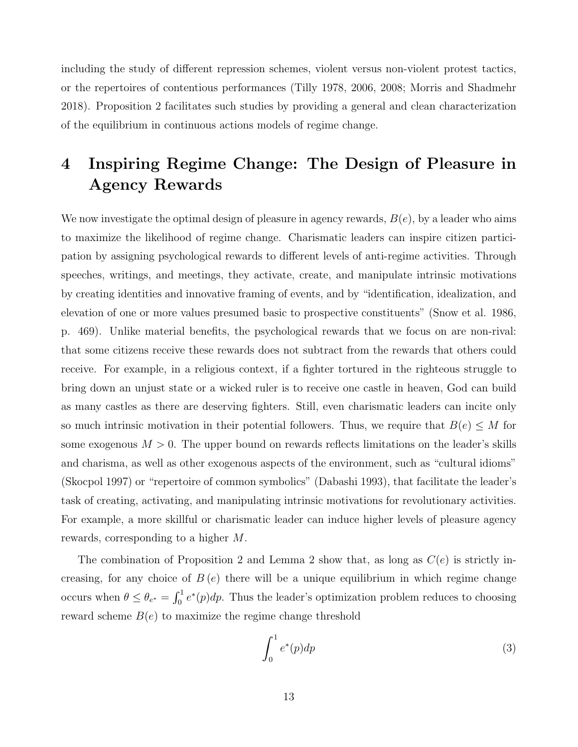including the study of different repression schemes, violent versus non-violent protest tactics, or the repertoires of contentious performances (Tilly 1978, 2006, 2008; Morris and Shadmehr 2018). Proposition 2 facilitates such studies by providing a general and clean characterization of the equilibrium in continuous actions models of regime change.

## 4 Inspiring Regime Change: The Design of Pleasure in Agency Rewards

We now investigate the optimal design of pleasure in agency rewards,  $B(e)$ , by a leader who aims to maximize the likelihood of regime change. Charismatic leaders can inspire citizen participation by assigning psychological rewards to different levels of anti-regime activities. Through speeches, writings, and meetings, they activate, create, and manipulate intrinsic motivations by creating identities and innovative framing of events, and by "identification, idealization, and elevation of one or more values presumed basic to prospective constituents" (Snow et al. 1986, p. 469). Unlike material benefits, the psychological rewards that we focus on are non-rival: that some citizens receive these rewards does not subtract from the rewards that others could receive. For example, in a religious context, if a fighter tortured in the righteous struggle to bring down an unjust state or a wicked ruler is to receive one castle in heaven, God can build as many castles as there are deserving fighters. Still, even charismatic leaders can incite only so much intrinsic motivation in their potential followers. Thus, we require that  $B(e) \leq M$  for some exogenous  $M > 0$ . The upper bound on rewards reflects limitations on the leader's skills and charisma, as well as other exogenous aspects of the environment, such as "cultural idioms" (Skocpol 1997) or "repertoire of common symbolics" (Dabashi 1993), that facilitate the leader's task of creating, activating, and manipulating intrinsic motivations for revolutionary activities. For example, a more skillful or charismatic leader can induce higher levels of pleasure agency rewards, corresponding to a higher M.

The combination of Proposition 2 and Lemma 2 show that, as long as  $C(e)$  is strictly increasing, for any choice of  $B(e)$  there will be a unique equilibrium in which regime change occurs when  $\theta \le \theta_{e^*} = \int_0^1 e^*(p) dp$ . Thus the leader's optimization problem reduces to choosing reward scheme  $B(e)$  to maximize the regime change threshold

$$
\int_0^1 e^*(p) dp \tag{3}
$$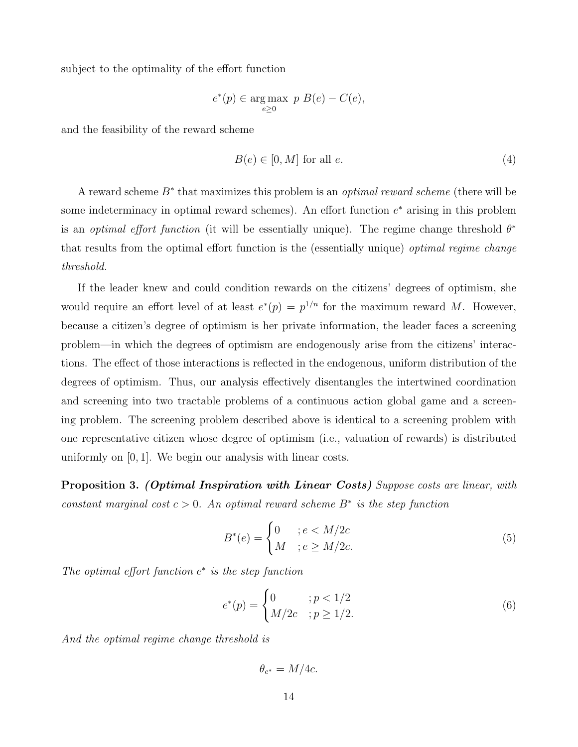subject to the optimality of the effort function

$$
e^*(p) \in \underset{e \ge 0}{\text{arg}\max} \ p B(e) - C(e),
$$

and the feasibility of the reward scheme

$$
B(e) \in [0, M] \text{ for all } e. \tag{4}
$$

A reward scheme  $B^*$  that maximizes this problem is an *optimal reward scheme* (there will be some indeterminacy in optimal reward schemes). An effort function  $e^*$  arising in this problem is an *optimal effort function* (it will be essentially unique). The regime change threshold  $\theta^*$ that results from the optimal effort function is the (essentially unique) *optimal regime change* threshold.

If the leader knew and could condition rewards on the citizens' degrees of optimism, she would require an effort level of at least  $e^*(p) = p^{1/n}$  for the maximum reward M. However, because a citizen's degree of optimism is her private information, the leader faces a screening problem—in which the degrees of optimism are endogenously arise from the citizens' interactions. The effect of those interactions is reflected in the endogenous, uniform distribution of the degrees of optimism. Thus, our analysis effectively disentangles the intertwined coordination and screening into two tractable problems of a continuous action global game and a screening problem. The screening problem described above is identical to a screening problem with one representative citizen whose degree of optimism (i.e., valuation of rewards) is distributed uniformly on [0, 1]. We begin our analysis with linear costs.

**Proposition 3. (Optimal Inspiration with Linear Costs)** Suppose costs are linear, with constant marginal cost  $c > 0$ . An optimal reward scheme  $B^*$  is the step function

$$
B^*(e) = \begin{cases} 0 & ; e < M/2c \\ M & ; e \ge M/2c. \end{cases} \tag{5}
$$

The optimal effort function  $e^*$  is the step function

$$
e^*(p) = \begin{cases} 0 & \text{if } p < 1/2 \\ M/2c & \text{if } p \ge 1/2. \end{cases} \tag{6}
$$

And the optimal regime change threshold is

 $\theta_{e^*}=M/4c.$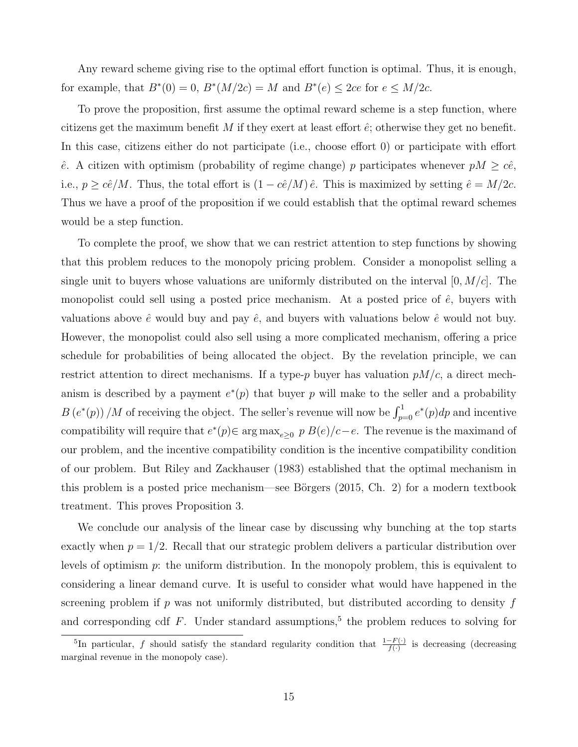Any reward scheme giving rise to the optimal effort function is optimal. Thus, it is enough, for example, that  $B^*(0) = 0$ ,  $B^*(M/2c) = M$  and  $B^*(e) \leq 2ce$  for  $e \leq M/2c$ .

To prove the proposition, first assume the optimal reward scheme is a step function, where citizens get the maximum benefit M if they exert at least effort  $\hat{e}$ ; otherwise they get no benefit. In this case, citizens either do not participate (i.e., choose effort 0) or participate with effort  $\hat{e}$ . A citizen with optimism (probability of regime change) p participates whenever  $pM \geq c\hat{e}$ , i.e.,  $p \geq c\hat{e}/M$ . Thus, the total effort is  $(1 - c\hat{e}/M)\hat{e}$ . This is maximized by setting  $\hat{e} = M/2c$ . Thus we have a proof of the proposition if we could establish that the optimal reward schemes would be a step function.

To complete the proof, we show that we can restrict attention to step functions by showing that this problem reduces to the monopoly pricing problem. Consider a monopolist selling a single unit to buyers whose valuations are uniformly distributed on the interval  $[0, M/c]$ . The monopolist could sell using a posted price mechanism. At a posted price of  $\hat{e}$ , buyers with valuations above  $\hat{e}$  would buy and pay  $\hat{e}$ , and buyers with valuations below  $\hat{e}$  would not buy. However, the monopolist could also sell using a more complicated mechanism, offering a price schedule for probabilities of being allocated the object. By the revelation principle, we can restrict attention to direct mechanisms. If a type-p buyer has valuation  $pM/c$ , a direct mechanism is described by a payment  $e^*(p)$  that buyer p will make to the seller and a probability  $B(e^*(p))/M$  of receiving the object. The seller's revenue will now be  $\int_{p=0}^1 e^*(p) dp$  and incentive compatibility will require that  $e^*(p) \in \arg \max_{e \geq 0} p B(e)/c-e$ . The revenue is the maximand of our problem, and the incentive compatibility condition is the incentive compatibility condition of our problem. But Riley and Zackhauser (1983) established that the optimal mechanism in this problem is a posted price mechanism—see Börgers  $(2015, Ch. 2)$  for a modern textbook treatment. This proves Proposition 3.

We conclude our analysis of the linear case by discussing why bunching at the top starts exactly when  $p = 1/2$ . Recall that our strategic problem delivers a particular distribution over levels of optimism  $p$ : the uniform distribution. In the monopoly problem, this is equivalent to considering a linear demand curve. It is useful to consider what would have happened in the screening problem if  $p$  was not uniformly distributed, but distributed according to density  $f$ and corresponding cdf  $F$ . Under standard assumptions,<sup>5</sup> the problem reduces to solving for

<sup>&</sup>lt;sup>5</sup>In particular, f should satisfy the standard regularity condition that  $\frac{1-F(\cdot)}{f(\cdot)}$  is decreasing (decreasing marginal revenue in the monopoly case).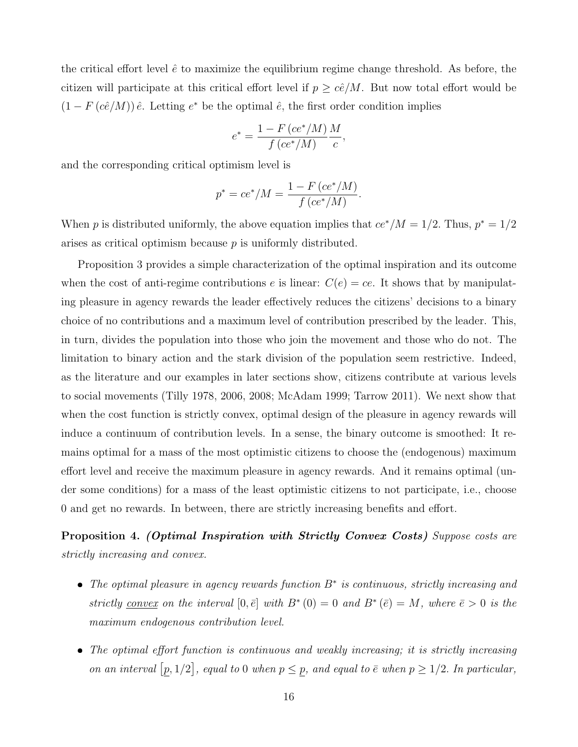the critical effort level  $\hat{e}$  to maximize the equilibrium regime change threshold. As before, the citizen will participate at this critical effort level if  $p \geq c\hat{e}/M$ . But now total effort would be  $(1 - F(c\hat{e}/M)) \hat{e}$ . Letting  $e^*$  be the optimal  $\hat{e}$ , the first order condition implies

$$
e^* = \frac{1 - F\left(ce^*/M\right)}{f\left(ce^*/M\right)} \frac{M}{c},
$$

and the corresponding critical optimism level is

$$
p^* = ce^*/M = \frac{1 - F\left(ce^*/M\right)}{f\left(ce^*/M\right)}.
$$

When p is distributed uniformly, the above equation implies that  $ce^*/M = 1/2$ . Thus,  $p^* = 1/2$ arises as critical optimism because  $p$  is uniformly distributed.

Proposition 3 provides a simple characterization of the optimal inspiration and its outcome when the cost of anti-regime contributions e is linear:  $C(e) = ce$ . It shows that by manipulating pleasure in agency rewards the leader effectively reduces the citizens' decisions to a binary choice of no contributions and a maximum level of contribution prescribed by the leader. This, in turn, divides the population into those who join the movement and those who do not. The limitation to binary action and the stark division of the population seem restrictive. Indeed, as the literature and our examples in later sections show, citizens contribute at various levels to social movements (Tilly 1978, 2006, 2008; McAdam 1999; Tarrow 2011). We next show that when the cost function is strictly convex, optimal design of the pleasure in agency rewards will induce a continuum of contribution levels. In a sense, the binary outcome is smoothed: It remains optimal for a mass of the most optimistic citizens to choose the (endogenous) maximum effort level and receive the maximum pleasure in agency rewards. And it remains optimal (under some conditions) for a mass of the least optimistic citizens to not participate, i.e., choose 0 and get no rewards. In between, there are strictly increasing benefits and effort.

**Proposition 4. (Optimal Inspiration with Strictly Convex Costs)** Suppose costs are strictly increasing and convex.

- The optimal pleasure in agency rewards function B<sup>∗</sup> is continuous, strictly increasing and strictly convex on the interval  $[0, \bar{e}]$  with  $B^*(0) = 0$  and  $B^*(\bar{e}) = M$ , where  $\bar{e} > 0$  is the maximum endogenous contribution level.
- The optimal effort function is continuous and weakly increasing; it is strictly increasing on an interval  $[p, 1/2]$ , equal to 0 when  $p \leq p$ , and equal to  $\bar{e}$  when  $p \geq 1/2$ . In particular,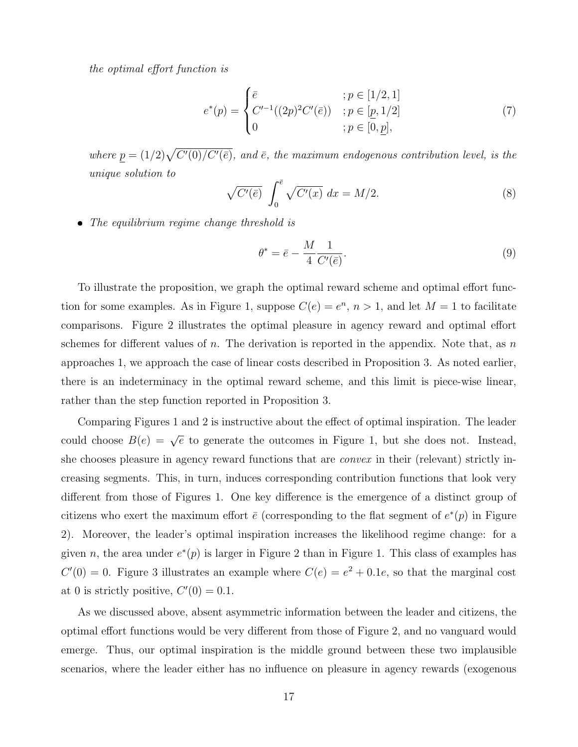the optimal effort function is

$$
e^*(p) = \begin{cases} \bar{e} & ; p \in [1/2, 1] \\ C'^{-1}((2p)^2 C'(\bar{e})) & ; p \in [p, 1/2] \\ 0 & ; p \in [0, \underline{p}], \end{cases}
$$
(7)

where  $p = (1/2)\sqrt{C'(0)/C'(\bar{e})}$ , and  $\bar{e}$ , the maximum endogenous contribution level, is the unique solution to

$$
\sqrt{C'(\bar{e})} \int_0^{\bar{e}} \sqrt{C'(x)} dx = M/2.
$$
\n(8)

• The equilibrium regime change threshold is

$$
\theta^* = \bar{e} - \frac{M}{4} \frac{1}{C'(\bar{e})}.\tag{9}
$$

To illustrate the proposition, we graph the optimal reward scheme and optimal effort function for some examples. As in Figure 1, suppose  $C(e) = e^n$ ,  $n > 1$ , and let  $M = 1$  to facilitate comparisons. Figure 2 illustrates the optimal pleasure in agency reward and optimal effort schemes for different values of n. The derivation is reported in the appendix. Note that, as n approaches 1, we approach the case of linear costs described in Proposition 3. As noted earlier, there is an indeterminacy in the optimal reward scheme, and this limit is piece-wise linear, rather than the step function reported in Proposition 3.

Comparing Figures 1 and 2 is instructive about the effect of optimal inspiration. The leader could choose  $B(e) = \sqrt{e}$  to generate the outcomes in Figure 1, but she does not. Instead, she chooses pleasure in agency reward functions that are *convex* in their (relevant) strictly increasing segments. This, in turn, induces corresponding contribution functions that look very different from those of Figures 1. One key difference is the emergence of a distinct group of citizens who exert the maximum effort  $\bar{e}$  (corresponding to the flat segment of  $e^*(p)$  in Figure 2). Moreover, the leader's optimal inspiration increases the likelihood regime change: for a given n, the area under  $e^*(p)$  is larger in Figure 2 than in Figure 1. This class of examples has  $C'(0) = 0$ . Figure 3 illustrates an example where  $C(e) = e^2 + 0.1e$ , so that the marginal cost at 0 is strictly positive,  $C'(0) = 0.1$ .

As we discussed above, absent asymmetric information between the leader and citizens, the optimal effort functions would be very different from those of Figure 2, and no vanguard would emerge. Thus, our optimal inspiration is the middle ground between these two implausible scenarios, where the leader either has no influence on pleasure in agency rewards (exogenous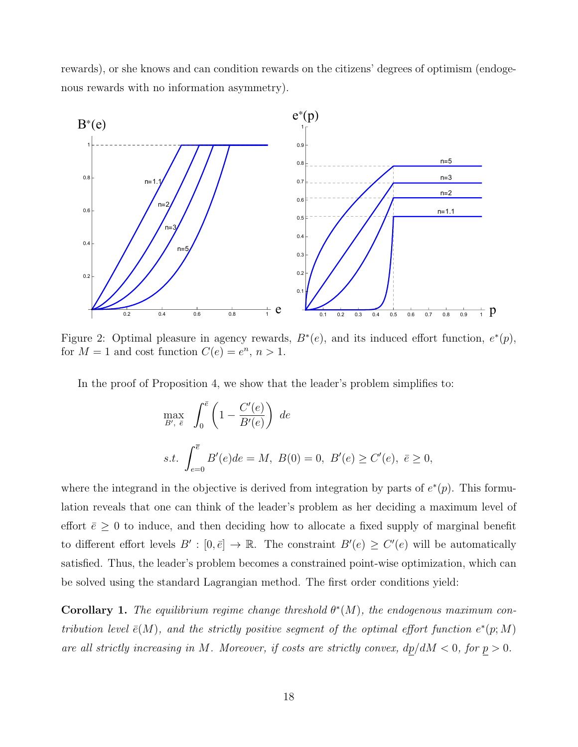rewards), or she knows and can condition rewards on the citizens' degrees of optimism (endogenous rewards with no information asymmetry).



Figure 2: Optimal pleasure in agency rewards,  $B^*(e)$ , and its induced effort function,  $e^*(p)$ , for  $M = 1$  and cost function  $C(e) = e^n, n > 1$ .

In the proof of Proposition 4, we show that the leader's problem simplifies to:

$$
\max_{B', \bar{e}} \int_0^{\bar{e}} \left( 1 - \frac{C'(e)}{B'(e)} \right) de
$$
  
s.t. 
$$
\int_{e=0}^{\bar{e}} B'(e) de = M, B(0) = 0, B'(e) \ge C'(e), \bar{e} \ge 0,
$$

where the integrand in the objective is derived from integration by parts of  $e^*(p)$ . This formulation reveals that one can think of the leader's problem as her deciding a maximum level of effort  $\bar{e} \geq 0$  to induce, and then deciding how to allocate a fixed supply of marginal benefit to different effort levels  $B' : [0, \bar{e}] \to \mathbb{R}$ . The constraint  $B'(e) \geq C'(e)$  will be automatically satisfied. Thus, the leader's problem becomes a constrained point-wise optimization, which can be solved using the standard Lagrangian method. The first order conditions yield:

**Corollary 1.** The equilibrium regime change threshold  $\theta^*(M)$ , the endogenous maximum contribution level  $\bar{e}(M)$ , and the strictly positive segment of the optimal effort function  $e^*(p;M)$ are all strictly increasing in M. Moreover, if costs are strictly convex,  $dp/dM < 0$ , for  $p > 0$ .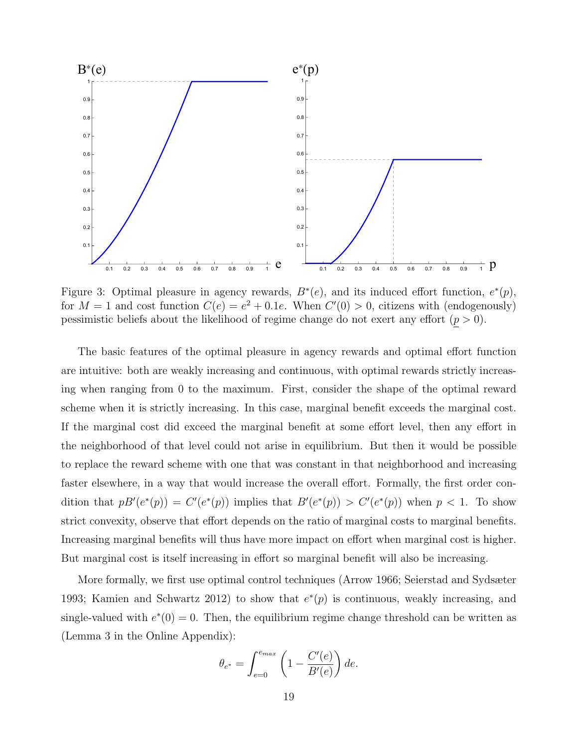

Figure 3: Optimal pleasure in agency rewards,  $B^*(e)$ , and its induced effort function,  $e^*(p)$ , for  $M = 1$  and cost function  $C(e) = e^2 + 0.1e$ . When  $C'(0) > 0$ , citizens with (endogenously) pessimistic beliefs about the likelihood of regime change do not exert any effort  $(p > 0)$ .

The basic features of the optimal pleasure in agency rewards and optimal effort function are intuitive: both are weakly increasing and continuous, with optimal rewards strictly increasing when ranging from 0 to the maximum. First, consider the shape of the optimal reward scheme when it is strictly increasing. In this case, marginal benefit exceeds the marginal cost. If the marginal cost did exceed the marginal benefit at some effort level, then any effort in the neighborhood of that level could not arise in equilibrium. But then it would be possible to replace the reward scheme with one that was constant in that neighborhood and increasing faster elsewhere, in a way that would increase the overall effort. Formally, the first order condition that  $p B'(e^*(p)) = C'(e^*(p))$  implies that  $B'(e^*(p)) > C'(e^*(p))$  when  $p < 1$ . To show strict convexity, observe that effort depends on the ratio of marginal costs to marginal benefits. Increasing marginal benefits will thus have more impact on effort when marginal cost is higher. But marginal cost is itself increasing in effort so marginal benefit will also be increasing.

More formally, we first use optimal control techniques (Arrow 1966; Seierstad and Sydsæter 1993; Kamien and Schwartz 2012) to show that  $e^*(p)$  is continuous, weakly increasing, and single-valued with  $e^*(0) = 0$ . Then, the equilibrium regime change threshold can be written as (Lemma 3 in the Online Appendix):

$$
\theta_{e^*} = \int_{e=0}^{e_{max}} \left( 1 - \frac{C'(e)}{B'(e)} \right) de.
$$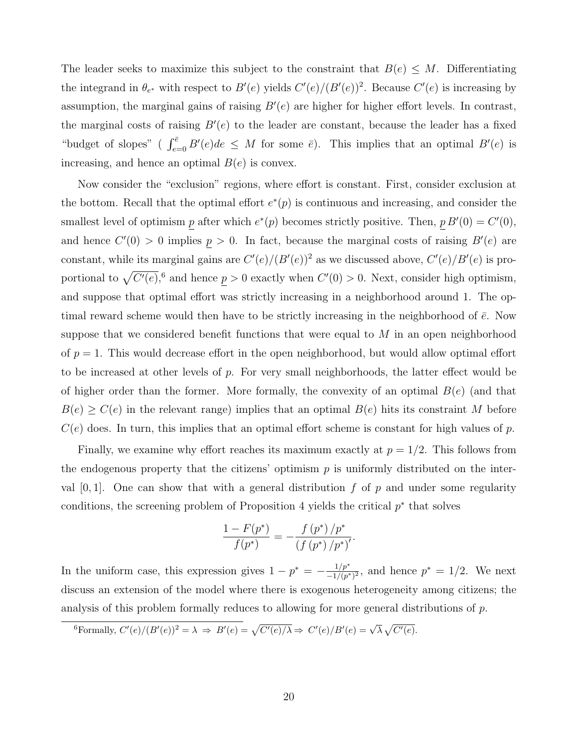The leader seeks to maximize this subject to the constraint that  $B(e) \leq M$ . Differentiating the integrand in  $\theta_{e^*}$  with respect to  $B'(e)$  yields  $C'(e)/(B'(e))^2$ . Because  $C'(e)$  is increasing by assumption, the marginal gains of raising  $B'(e)$  are higher for higher effort levels. In contrast, the marginal costs of raising  $B'(e)$  to the leader are constant, because the leader has a fixed "budget of slopes" ( $\int_{e=0}^{\overline{e}} B'(e) de \leq M$  for some  $\overline{e}$ ). This implies that an optimal  $B'(e)$  is increasing, and hence an optimal  $B(e)$  is convex.

Now consider the "exclusion" regions, where effort is constant. First, consider exclusion at the bottom. Recall that the optimal effort  $e^*(p)$  is continuous and increasing, and consider the smallest level of optimism p after which  $e^*(p)$  becomes strictly positive. Then,  $p B'(0) = C'(0)$ , and hence  $C'(0) > 0$  implies  $p > 0$ . In fact, because the marginal costs of raising  $B'(e)$  are constant, while its marginal gains are  $C'(e)/(B'(e))^2$  as we discussed above,  $C'(e)/B'(e)$  is proportional to  $\sqrt{C'(e)}$ ,<sup>6</sup> and hence  $p > 0$  exactly when  $C'(0) > 0$ . Next, consider high optimism, and suppose that optimal effort was strictly increasing in a neighborhood around 1. The optimal reward scheme would then have to be strictly increasing in the neighborhood of  $\bar{e}$ . Now suppose that we considered benefit functions that were equal to  $M$  in an open neighborhood of  $p = 1$ . This would decrease effort in the open neighborhood, but would allow optimal effort to be increased at other levels of p. For very small neighborhoods, the latter effect would be of higher order than the former. More formally, the convexity of an optimal  $B(e)$  (and that  $B(e) \geq C(e)$  in the relevant range) implies that an optimal  $B(e)$  hits its constraint M before  $C(e)$  does. In turn, this implies that an optimal effort scheme is constant for high values of p.

Finally, we examine why effort reaches its maximum exactly at  $p = 1/2$ . This follows from the endogenous property that the citizens' optimism  $p$  is uniformly distributed on the interval  $[0, 1]$ . One can show that with a general distribution f of p and under some regularity conditions, the screening problem of Proposition 4 yields the critical  $p^*$  that solves

$$
\frac{1 - F(p^*)}{f(p^*)} = -\frac{f(p^*)/p^*}{(f(p^*)/p^*)'}.
$$

In the uniform case, this expression gives  $1 - p^* = -\frac{1/p^*}{-1/(p^*)}$  $\frac{1/p^*}{-1/(p^*)^2}$ , and hence  $p^* = 1/2$ . We next discuss an extension of the model where there is exogenous heterogeneity among citizens; the analysis of this problem formally reduces to allowing for more general distributions of  $p$ .

<sup>6</sup>Formally, 
$$
C'(e)/(B'(e))^2 = \lambda \Rightarrow B'(e) = \sqrt{C'(e)/\lambda} \Rightarrow C'(e)/B'(e) = \sqrt{\lambda} \sqrt{C'(e)}
$$
.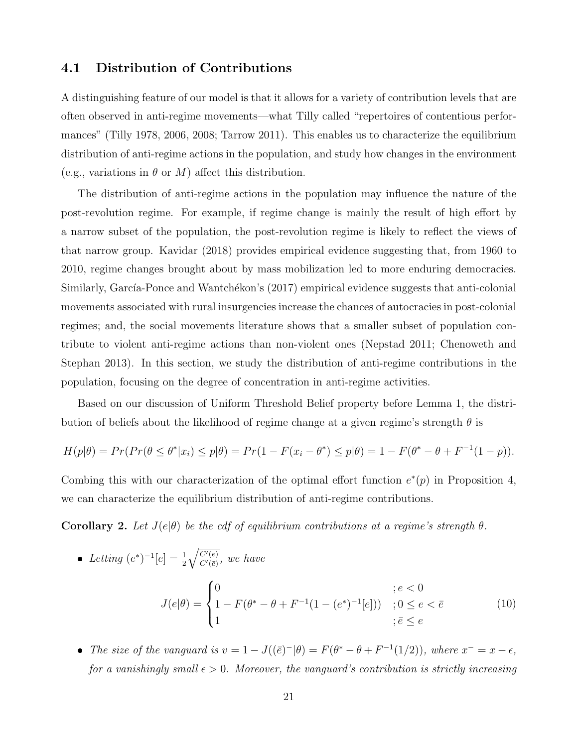#### 4.1 Distribution of Contributions

 $\overline{\phantom{a}}$ 

A distinguishing feature of our model is that it allows for a variety of contribution levels that are often observed in anti-regime movements—what Tilly called "repertoires of contentious performances" (Tilly 1978, 2006, 2008; Tarrow 2011). This enables us to characterize the equilibrium distribution of anti-regime actions in the population, and study how changes in the environment (e.g., variations in  $\theta$  or M) affect this distribution.

The distribution of anti-regime actions in the population may influence the nature of the post-revolution regime. For example, if regime change is mainly the result of high effort by a narrow subset of the population, the post-revolution regime is likely to reflect the views of that narrow group. Kavidar (2018) provides empirical evidence suggesting that, from 1960 to 2010, regime changes brought about by mass mobilization led to more enduring democracies. Similarly, García-Ponce and Wantchékon's (2017) empirical evidence suggests that anti-colonial movements associated with rural insurgencies increase the chances of autocracies in post-colonial regimes; and, the social movements literature shows that a smaller subset of population contribute to violent anti-regime actions than non-violent ones (Nepstad 2011; Chenoweth and Stephan 2013). In this section, we study the distribution of anti-regime contributions in the population, focusing on the degree of concentration in anti-regime activities.

Based on our discussion of Uniform Threshold Belief property before Lemma 1, the distribution of beliefs about the likelihood of regime change at a given regime's strength  $\theta$  is

$$
H(p|\theta) = Pr(Pr(\theta \le \theta^* | x_i) \le p|\theta) = Pr(1 - F(x_i - \theta^*) \le p|\theta) = 1 - F(\theta^* - \theta + F^{-1}(1 - p)).
$$

Combing this with our characterization of the optimal effort function  $e^*(p)$  in Proposition 4, we can characterize the equilibrium distribution of anti-regime contributions.

**Corollary 2.** Let  $J(e|\theta)$  be the cdf of equilibrium contributions at a regime's strength  $\theta$ .

Letting 
$$
(e^*)^{-1}[e] = \frac{1}{2} \sqrt{\frac{C'(e)}{C'(\bar{e})}},
$$
 we have  
\n
$$
J(e|\theta) = \begin{cases} 0 & ; e < 0 \\ 1 - F(\theta^* - \theta + F^{-1}(1 - (e^*)^{-1}[e])) & ; 0 \le e < \bar{e} \\ 1 & ; \bar{e} \le e \end{cases}
$$
\n(10)

• The size of the vanguard is  $v = 1 - J((\bar{e})^{-}|\theta) = F(\theta^* - \theta + F^{-1}(1/2))$ , where  $x^{-} = x - \epsilon$ , for a vanishingly small  $\epsilon > 0$ . Moreover, the vanguard's contribution is strictly increasing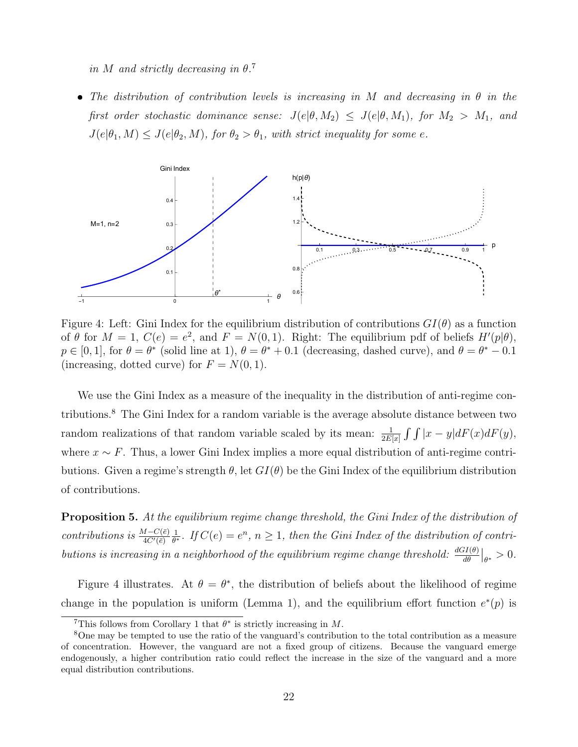in M and strictly decreasing in  $\theta$ .<sup>7</sup>

• The distribution of contribution levels is increasing in M and decreasing in  $\theta$  in the first order stochastic dominance sense:  $J(e|\theta, M_2) \leq J(e|\theta, M_1)$ , for  $M_2 > M_1$ , and  $J(e|\theta_1, M) \leq J(e|\theta_2, M)$ , for  $\theta_2 > \theta_1$ , with strict inequality for some e.



Figure 4: Left: Gini Index for the equilibrium distribution of contributions  $GI(\theta)$  as a function of  $\theta$  for  $M = 1$ ,  $C(e) = e^2$ , and  $F = N(0, 1)$ . Right: The equilibrium pdf of beliefs  $H'(p|\theta)$ ,  $p \in [0, 1]$ , for  $\theta = \theta^*$  (solid line at 1),  $\theta = \theta^* + 0.1$  (decreasing, dashed curve), and  $\theta = \theta^* - 0.1$ (increasing, dotted curve) for  $F = N(0, 1)$ .

We use the Gini Index as a measure of the inequality in the distribution of anti-regime contributions.<sup>8</sup> The Gini Index for a random variable is the average absolute distance between two random realizations of that random variable scaled by its mean:  $\frac{1}{2E[x]} \int \int |x - y| dF(x) dF(y)$ , where  $x \sim F$ . Thus, a lower Gini Index implies a more equal distribution of anti-regime contributions. Given a regime's strength  $\theta$ , let  $GI(\theta)$  be the Gini Index of the equilibrium distribution of contributions.

**Proposition 5.** At the equilibrium regime change threshold, the Gini Index of the distribution of contributions is  $\frac{M-C(\bar{e})}{4C'(\bar{e})}$ 1  $\frac{1}{\theta^*}$ . If  $C(e) = e^n$ ,  $n \geq 1$ , then the Gini Index of the distribution of contributions is increasing in a neighborhood of the equilibrium regime change threshold:  $\frac{dGI(\theta)}{d\theta}|_{\theta^*} > 0$ .

Figure 4 illustrates. At  $\theta = \theta^*$ , the distribution of beliefs about the likelihood of regime change in the population is uniform (Lemma 1), and the equilibrium effort function  $e^*(p)$  is

<sup>&</sup>lt;sup>7</sup>This follows from Corollary 1 that  $\theta^*$  is strictly increasing in M.

<sup>8</sup>One may be tempted to use the ratio of the vanguard's contribution to the total contribution as a measure of concentration. However, the vanguard are not a fixed group of citizens. Because the vanguard emerge endogenously, a higher contribution ratio could reflect the increase in the size of the vanguard and a more equal distribution contributions.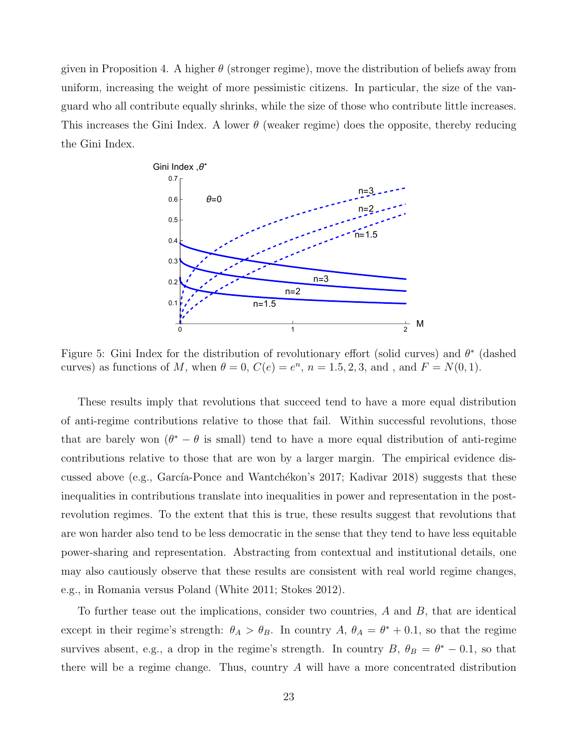given in Proposition 4. A higher  $\theta$  (stronger regime), move the distribution of beliefs away from uniform, increasing the weight of more pessimistic citizens. In particular, the size of the vanguard who all contribute equally shrinks, while the size of those who contribute little increases. This increases the Gini Index. A lower  $\theta$  (weaker regime) does the opposite, thereby reducing the Gini Index.



Figure 5: Gini Index for the distribution of revolutionary effort (solid curves) and  $\theta^*$  (dashed curves) as functions of M, when  $\theta = 0$ ,  $C(e) = e^n$ ,  $n = 1.5, 2, 3$ , and, and  $F = N(0, 1)$ .

These results imply that revolutions that succeed tend to have a more equal distribution of anti-regime contributions relative to those that fail. Within successful revolutions, those that are barely won  $(\theta^* - \theta)$  is small) tend to have a more equal distribution of anti-regime contributions relative to those that are won by a larger margin. The empirical evidence discussed above (e.g., García-Ponce and Wantchékon's 2017; Kadivar 2018) suggests that these inequalities in contributions translate into inequalities in power and representation in the postrevolution regimes. To the extent that this is true, these results suggest that revolutions that are won harder also tend to be less democratic in the sense that they tend to have less equitable power-sharing and representation. Abstracting from contextual and institutional details, one may also cautiously observe that these results are consistent with real world regime changes, e.g., in Romania versus Poland (White 2011; Stokes 2012).

To further tease out the implications, consider two countries, A and B, that are identical except in their regime's strength:  $\theta_A > \theta_B$ . In country  $A, \theta_A = \theta^* + 0.1$ , so that the regime survives absent, e.g., a drop in the regime's strength. In country  $B, \theta_B = \theta^* - 0.1$ , so that there will be a regime change. Thus, country A will have a more concentrated distribution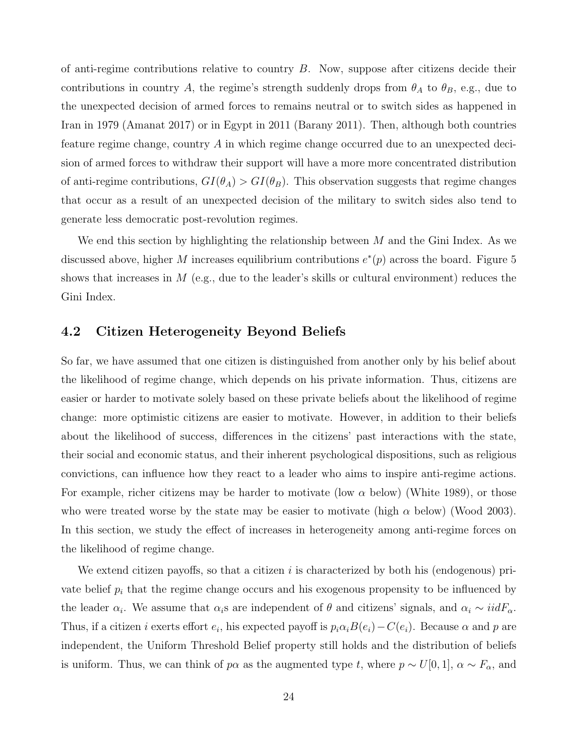of anti-regime contributions relative to country  $B$ . Now, suppose after citizens decide their contributions in country A, the regime's strength suddenly drops from  $\theta_A$  to  $\theta_B$ , e.g., due to the unexpected decision of armed forces to remains neutral or to switch sides as happened in Iran in 1979 (Amanat 2017) or in Egypt in 2011 (Barany 2011). Then, although both countries feature regime change, country A in which regime change occurred due to an unexpected decision of armed forces to withdraw their support will have a more more concentrated distribution of anti-regime contributions,  $GI(\theta_A) > GI(\theta_B)$ . This observation suggests that regime changes that occur as a result of an unexpected decision of the military to switch sides also tend to generate less democratic post-revolution regimes.

We end this section by highlighting the relationship between  $M$  and the Gini Index. As we discussed above, higher M increases equilibrium contributions  $e^*(p)$  across the board. Figure 5 shows that increases in M (e.g., due to the leader's skills or cultural environment) reduces the Gini Index.

#### 4.2 Citizen Heterogeneity Beyond Beliefs

So far, we have assumed that one citizen is distinguished from another only by his belief about the likelihood of regime change, which depends on his private information. Thus, citizens are easier or harder to motivate solely based on these private beliefs about the likelihood of regime change: more optimistic citizens are easier to motivate. However, in addition to their beliefs about the likelihood of success, differences in the citizens' past interactions with the state, their social and economic status, and their inherent psychological dispositions, such as religious convictions, can influence how they react to a leader who aims to inspire anti-regime actions. For example, richer citizens may be harder to motivate (low  $\alpha$  below) (White 1989), or those who were treated worse by the state may be easier to motivate (high  $\alpha$  below) (Wood 2003). In this section, we study the effect of increases in heterogeneity among anti-regime forces on the likelihood of regime change.

We extend citizen payoffs, so that a citizen  $i$  is characterized by both his (endogenous) private belief  $p_i$  that the regime change occurs and his exogenous propensity to be influenced by the leader  $\alpha_i$ . We assume that  $\alpha_i$ s are independent of  $\theta$  and citizens' signals, and  $\alpha_i \sim i i dF_\alpha$ . Thus, if a citizen *i* exerts effort  $e_i$ , his expected payoff is  $p_i \alpha_i B(e_i) - C(e_i)$ . Because  $\alpha$  and p are independent, the Uniform Threshold Belief property still holds and the distribution of beliefs is uniform. Thus, we can think of  $p\alpha$  as the augmented type t, where  $p \sim U[0, 1]$ ,  $\alpha \sim F_{\alpha}$ , and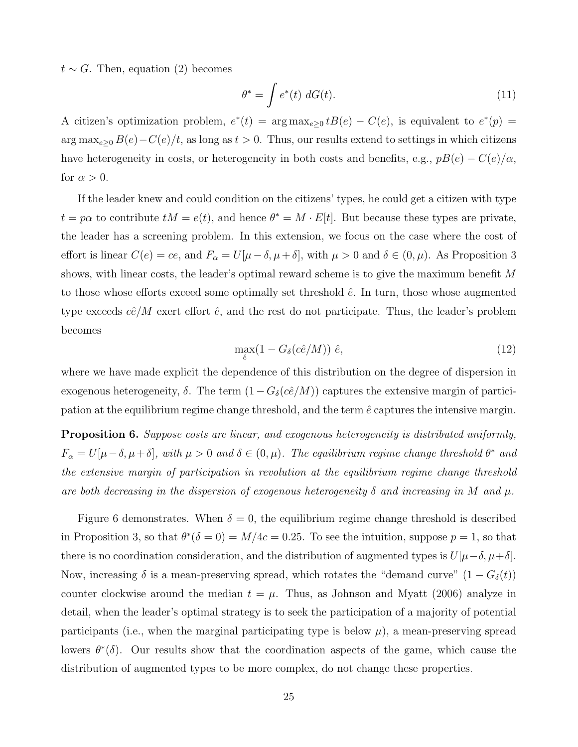$t \sim G$ . Then, equation (2) becomes

$$
\theta^* = \int e^*(t) \ dG(t). \tag{11}
$$

A citizen's optimization problem,  $e^*(t) = \arg \max_{e \geq 0} t B(e) - C(e)$ , is equivalent to  $e^*(p) =$  $\arg \max_{e \geq 0} B(e) - C(e)/t$ , as long as  $t > 0$ . Thus, our results extend to settings in which citizens have heterogeneity in costs, or heterogeneity in both costs and benefits, e.g.,  $pB(e) - C(e)/\alpha$ , for  $\alpha > 0$ .

If the leader knew and could condition on the citizens' types, he could get a citizen with type  $t = p\alpha$  to contribute  $tM = e(t)$ , and hence  $\theta^* = M \cdot E[t]$ . But because these types are private, the leader has a screening problem. In this extension, we focus on the case where the cost of effort is linear  $C(e) = ce$ , and  $F_{\alpha} = U[\mu - \delta, \mu + \delta]$ , with  $\mu > 0$  and  $\delta \in (0, \mu)$ . As Proposition 3 shows, with linear costs, the leader's optimal reward scheme is to give the maximum benefit M to those whose efforts exceed some optimally set threshold  $\hat{e}$ . In turn, those whose augmented type exceeds  $c\hat{e}/M$  exert effort  $\hat{e}$ , and the rest do not participate. Thus, the leader's problem becomes

$$
\max_{\hat{e}} (1 - G_{\delta}(c\hat{e}/M)) \hat{e},\tag{12}
$$

where we have made explicit the dependence of this distribution on the degree of dispersion in exogenous heterogeneity,  $\delta$ . The term  $(1-G_{\delta}(c\hat{e}/M))$  captures the extensive margin of participation at the equilibrium regime change threshold, and the term  $\hat{e}$  captures the intensive margin.

**Proposition 6.** Suppose costs are linear, and exogenous heterogeneity is distributed uniformly,  $F_{\alpha} = U[\mu - \delta, \mu + \delta],$  with  $\mu > 0$  and  $\delta \in (0, \mu)$ . The equilibrium regime change threshold  $\theta^*$  and the extensive margin of participation in revolution at the equilibrium regime change threshold are both decreasing in the dispersion of exogenous heterogeneity  $\delta$  and increasing in M and  $\mu$ .

Figure 6 demonstrates. When  $\delta = 0$ , the equilibrium regime change threshold is described in Proposition 3, so that  $\theta^*(\delta = 0) = M/4c = 0.25$ . To see the intuition, suppose  $p = 1$ , so that there is no coordination consideration, and the distribution of augmented types is  $U[\mu-\delta, \mu+\delta]$ . Now, increasing  $\delta$  is a mean-preserving spread, which rotates the "demand curve"  $(1 - G_{\delta}(t))$ counter clockwise around the median  $t = \mu$ . Thus, as Johnson and Myatt (2006) analyze in detail, when the leader's optimal strategy is to seek the participation of a majority of potential participants (i.e., when the marginal participating type is below  $\mu$ ), a mean-preserving spread lowers  $\theta^*(\delta)$ . Our results show that the coordination aspects of the game, which cause the distribution of augmented types to be more complex, do not change these properties.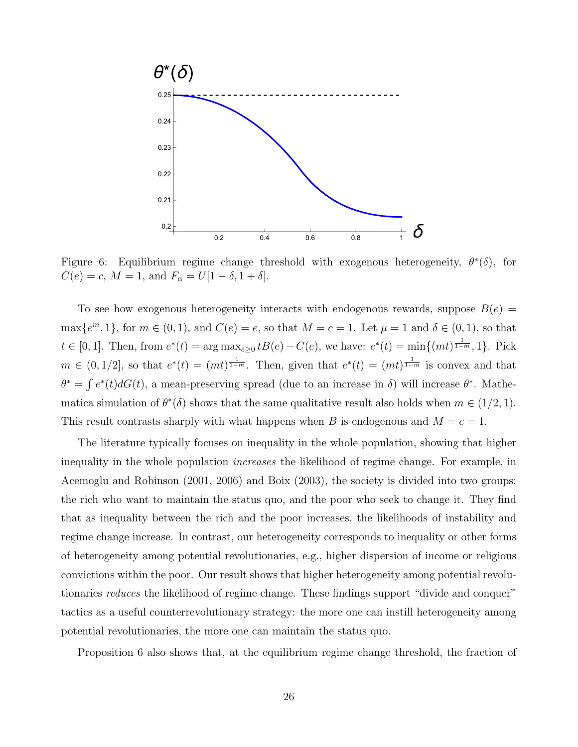

Figure 6: Equilibrium regime change threshold with exogenous heterogeneity,  $\theta^*(\delta)$ , for  $C(e) = c, M = 1, \text{ and } F_{\alpha} = U[1 - \delta, 1 + \delta].$ 

To see how exogenous heterogeneity interacts with endogenous rewards, suppose  $B(e)$  $\max\{e^m, 1\}$ , for  $m \in (0, 1)$ , and  $C(e) = e$ , so that  $M = c = 1$ . Let  $\mu = 1$  and  $\delta \in (0, 1)$ , so that  $t \in [0,1]$ . Then, from  $e^*(t) = \arg \max_{e \geq 0} t B(e) - C(e)$ , we have:  $e^*(t) = \min\{(mt)^{\frac{1}{1-m}}, 1\}$ . Pick  $m \in (0, 1/2]$ , so that  $e^*(t) = (mt)^{\frac{1}{1-m}}$ . Then, given that  $e^*(t) = (mt)^{\frac{1}{1-m}}$  is convex and that  $\theta^* = \int e^*(t) dG(t)$ , a mean-preserving spread (due to an increase in  $\delta$ ) will increase  $\theta^*$ . Mathematica simulation of  $\theta^*(\delta)$  shows that the same qualitative result also holds when  $m \in (1/2, 1)$ . This result contrasts sharply with what happens when B is endogenous and  $M = c = 1$ .

The literature typically focuses on inequality in the whole population, showing that higher inequality in the whole population *increases* the likelihood of regime change. For example, in Acemoglu and Robinson (2001, 2006) and Boix (2003), the society is divided into two groups: the rich who want to maintain the status quo, and the poor who seek to change it. They find that as inequality between the rich and the poor increases, the likelihoods of instability and regime change increase. In contrast, our heterogeneity corresponds to inequality or other forms of heterogeneity among potential revolutionaries, e.g., higher dispersion of income or religious convictions within the poor. Our result shows that higher heterogeneity among potential revolutionaries *reduces* the likelihood of regime change. These findings support "divide and conquer" tactics as a useful counterrevolutionary strategy: the more one can instill heterogeneity among potential revolutionaries, the more one can maintain the status quo.

Proposition 6 also shows that, at the equilibrium regime change threshold, the fraction of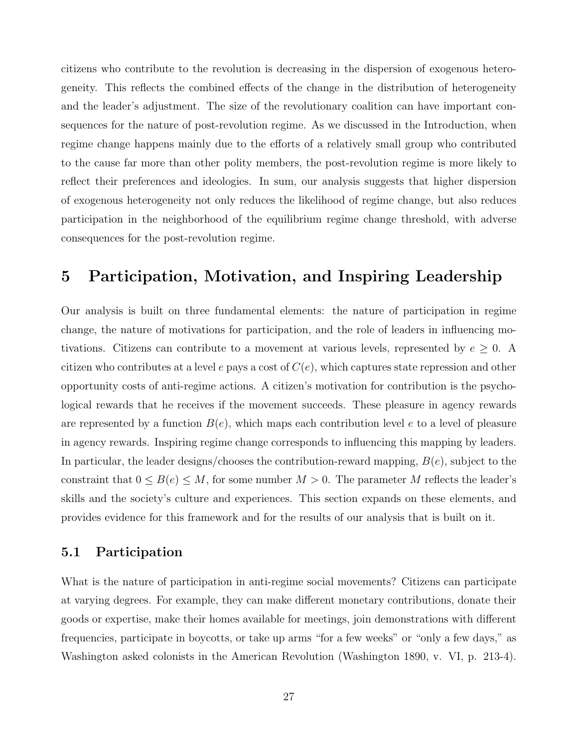citizens who contribute to the revolution is decreasing in the dispersion of exogenous heterogeneity. This reflects the combined effects of the change in the distribution of heterogeneity and the leader's adjustment. The size of the revolutionary coalition can have important consequences for the nature of post-revolution regime. As we discussed in the Introduction, when regime change happens mainly due to the efforts of a relatively small group who contributed to the cause far more than other polity members, the post-revolution regime is more likely to reflect their preferences and ideologies. In sum, our analysis suggests that higher dispersion of exogenous heterogeneity not only reduces the likelihood of regime change, but also reduces participation in the neighborhood of the equilibrium regime change threshold, with adverse consequences for the post-revolution regime.

### 5 Participation, Motivation, and Inspiring Leadership

Our analysis is built on three fundamental elements: the nature of participation in regime change, the nature of motivations for participation, and the role of leaders in influencing motivations. Citizens can contribute to a movement at various levels, represented by  $e \geq 0$ . A citizen who contributes at a level e pays a cost of  $C(e)$ , which captures state repression and other opportunity costs of anti-regime actions. A citizen's motivation for contribution is the psychological rewards that he receives if the movement succeeds. These pleasure in agency rewards are represented by a function  $B(e)$ , which maps each contribution level e to a level of pleasure in agency rewards. Inspiring regime change corresponds to influencing this mapping by leaders. In particular, the leader designs/chooses the contribution-reward mapping,  $B(e)$ , subject to the constraint that  $0 \leq B(e) \leq M$ , for some number  $M > 0$ . The parameter M reflects the leader's skills and the society's culture and experiences. This section expands on these elements, and provides evidence for this framework and for the results of our analysis that is built on it.

#### 5.1 Participation

What is the nature of participation in anti-regime social movements? Citizens can participate at varying degrees. For example, they can make different monetary contributions, donate their goods or expertise, make their homes available for meetings, join demonstrations with different frequencies, participate in boycotts, or take up arms "for a few weeks" or "only a few days," as Washington asked colonists in the American Revolution (Washington 1890, v. VI, p. 213-4).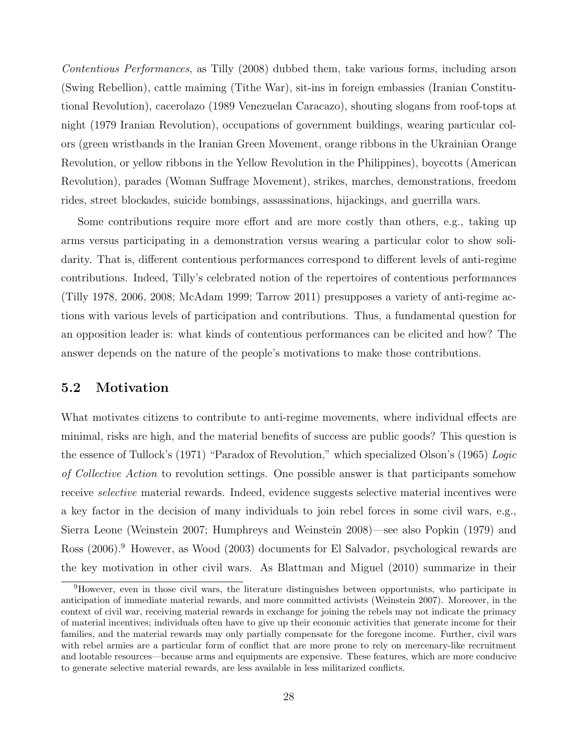Contentious Performances, as Tilly (2008) dubbed them, take various forms, including arson (Swing Rebellion), cattle maiming (Tithe War), sit-ins in foreign embassies (Iranian Constitutional Revolution), cacerolazo (1989 Venezuelan Caracazo), shouting slogans from roof-tops at night (1979 Iranian Revolution), occupations of government buildings, wearing particular colors (green wristbands in the Iranian Green Movement, orange ribbons in the Ukrainian Orange Revolution, or yellow ribbons in the Yellow Revolution in the Philippines), boycotts (American Revolution), parades (Woman Suffrage Movement), strikes, marches, demonstrations, freedom rides, street blockades, suicide bombings, assassinations, hijackings, and guerrilla wars.

Some contributions require more effort and are more costly than others, e.g., taking up arms versus participating in a demonstration versus wearing a particular color to show solidarity. That is, different contentious performances correspond to different levels of anti-regime contributions. Indeed, Tilly's celebrated notion of the repertoires of contentious performances (Tilly 1978, 2006, 2008; McAdam 1999; Tarrow 2011) presupposes a variety of anti-regime actions with various levels of participation and contributions. Thus, a fundamental question for an opposition leader is: what kinds of contentious performances can be elicited and how? The answer depends on the nature of the people's motivations to make those contributions.

#### 5.2 Motivation

What motivates citizens to contribute to anti-regime movements, where individual effects are minimal, risks are high, and the material benefits of success are public goods? This question is the essence of Tullock's (1971) "Paradox of Revolution," which specialized Olson's (1965) Logic of Collective Action to revolution settings. One possible answer is that participants somehow receive selective material rewards. Indeed, evidence suggests selective material incentives were a key factor in the decision of many individuals to join rebel forces in some civil wars, e.g., Sierra Leone (Weinstein 2007; Humphreys and Weinstein 2008)—see also Popkin (1979) and Ross (2006).<sup>9</sup> However, as Wood (2003) documents for El Salvador, psychological rewards are the key motivation in other civil wars. As Blattman and Miguel (2010) summarize in their

<sup>9</sup>However, even in those civil wars, the literature distinguishes between opportunists, who participate in anticipation of immediate material rewards, and more committed activists (Weinstein 2007). Moreover, in the context of civil war, receiving material rewards in exchange for joining the rebels may not indicate the primacy of material incentives; individuals often have to give up their economic activities that generate income for their families, and the material rewards may only partially compensate for the foregone income. Further, civil wars with rebel armies are a particular form of conflict that are more prone to rely on mercenary-like recruitment and lootable resources—because arms and equipments are expensive. These features, which are more conducive to generate selective material rewards, are less available in less militarized conflicts.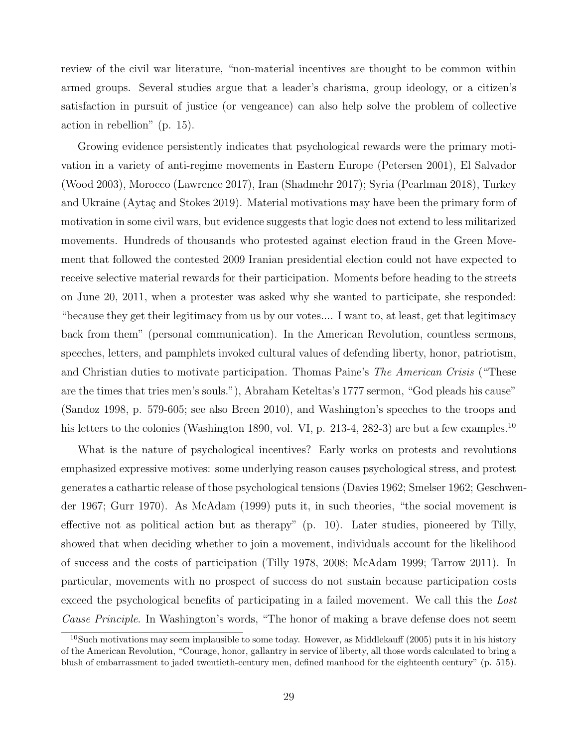review of the civil war literature, "non-material incentives are thought to be common within armed groups. Several studies argue that a leader's charisma, group ideology, or a citizen's satisfaction in pursuit of justice (or vengeance) can also help solve the problem of collective action in rebellion" (p. 15).

Growing evidence persistently indicates that psychological rewards were the primary motivation in a variety of anti-regime movements in Eastern Europe (Petersen 2001), El Salvador (Wood 2003), Morocco (Lawrence 2017), Iran (Shadmehr 2017); Syria (Pearlman 2018), Turkey and Ukraine (Aytaç and Stokes 2019). Material motivations may have been the primary form of motivation in some civil wars, but evidence suggests that logic does not extend to less militarized movements. Hundreds of thousands who protested against election fraud in the Green Movement that followed the contested 2009 Iranian presidential election could not have expected to receive selective material rewards for their participation. Moments before heading to the streets on June 20, 2011, when a protester was asked why she wanted to participate, she responded: "because they get their legitimacy from us by our votes.... I want to, at least, get that legitimacy back from them" (personal communication). In the American Revolution, countless sermons, speeches, letters, and pamphlets invoked cultural values of defending liberty, honor, patriotism, and Christian duties to motivate participation. Thomas Paine's *The American Crisis* ("These are the times that tries men's souls."), Abraham Keteltas's 1777 sermon, "God pleads his cause" (Sandoz 1998, p. 579-605; see also Breen 2010), and Washington's speeches to the troops and his letters to the colonies (Washington 1890, vol. VI, p. 213-4, 282-3) are but a few examples.<sup>10</sup>

What is the nature of psychological incentives? Early works on protests and revolutions emphasized expressive motives: some underlying reason causes psychological stress, and protest generates a cathartic release of those psychological tensions (Davies 1962; Smelser 1962; Geschwender 1967; Gurr 1970). As McAdam (1999) puts it, in such theories, "the social movement is effective not as political action but as therapy" (p. 10). Later studies, pioneered by Tilly, showed that when deciding whether to join a movement, individuals account for the likelihood of success and the costs of participation (Tilly 1978, 2008; McAdam 1999; Tarrow 2011). In particular, movements with no prospect of success do not sustain because participation costs exceed the psychological benefits of participating in a failed movement. We call this the Lost Cause Principle. In Washington's words, "The honor of making a brave defense does not seem

<sup>&</sup>lt;sup>10</sup>Such motivations may seem implausible to some today. However, as Middlekauff (2005) puts it in his history of the American Revolution, "Courage, honor, gallantry in service of liberty, all those words calculated to bring a blush of embarrassment to jaded twentieth-century men, defined manhood for the eighteenth century" (p. 515).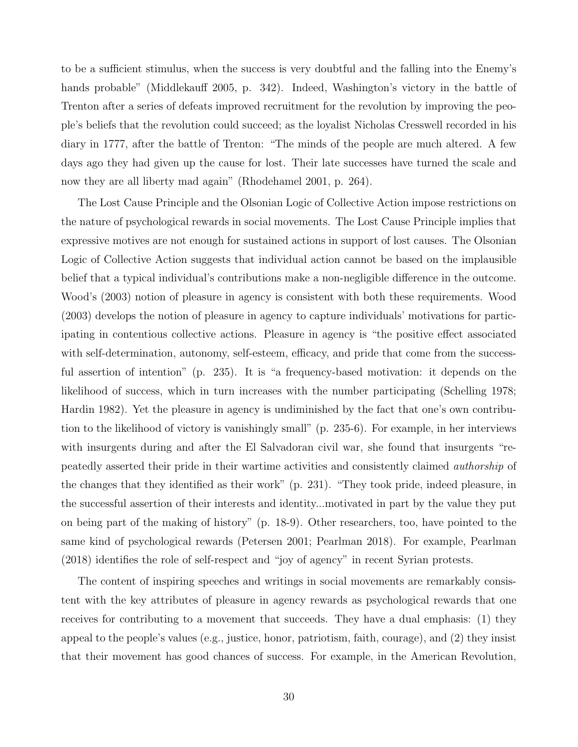to be a sufficient stimulus, when the success is very doubtful and the falling into the Enemy's hands probable" (Middlekauff 2005, p. 342). Indeed, Washington's victory in the battle of Trenton after a series of defeats improved recruitment for the revolution by improving the people's beliefs that the revolution could succeed; as the loyalist Nicholas Cresswell recorded in his diary in 1777, after the battle of Trenton: "The minds of the people are much altered. A few days ago they had given up the cause for lost. Their late successes have turned the scale and now they are all liberty mad again" (Rhodehamel 2001, p. 264).

The Lost Cause Principle and the Olsonian Logic of Collective Action impose restrictions on the nature of psychological rewards in social movements. The Lost Cause Principle implies that expressive motives are not enough for sustained actions in support of lost causes. The Olsonian Logic of Collective Action suggests that individual action cannot be based on the implausible belief that a typical individual's contributions make a non-negligible difference in the outcome. Wood's (2003) notion of pleasure in agency is consistent with both these requirements. Wood (2003) develops the notion of pleasure in agency to capture individuals' motivations for participating in contentious collective actions. Pleasure in agency is "the positive effect associated with self-determination, autonomy, self-esteem, efficacy, and pride that come from the successful assertion of intention" (p. 235). It is "a frequency-based motivation: it depends on the likelihood of success, which in turn increases with the number participating (Schelling 1978; Hardin 1982). Yet the pleasure in agency is undiminished by the fact that one's own contribution to the likelihood of victory is vanishingly small" (p. 235-6). For example, in her interviews with insurgents during and after the El Salvadoran civil war, she found that insurgents "repeatedly asserted their pride in their wartime activities and consistently claimed authorship of the changes that they identified as their work" (p. 231). "They took pride, indeed pleasure, in the successful assertion of their interests and identity...motivated in part by the value they put on being part of the making of history" (p. 18-9). Other researchers, too, have pointed to the same kind of psychological rewards (Petersen 2001; Pearlman 2018). For example, Pearlman (2018) identifies the role of self-respect and "joy of agency" in recent Syrian protests.

The content of inspiring speeches and writings in social movements are remarkably consistent with the key attributes of pleasure in agency rewards as psychological rewards that one receives for contributing to a movement that succeeds. They have a dual emphasis: (1) they appeal to the people's values (e.g., justice, honor, patriotism, faith, courage), and (2) they insist that their movement has good chances of success. For example, in the American Revolution,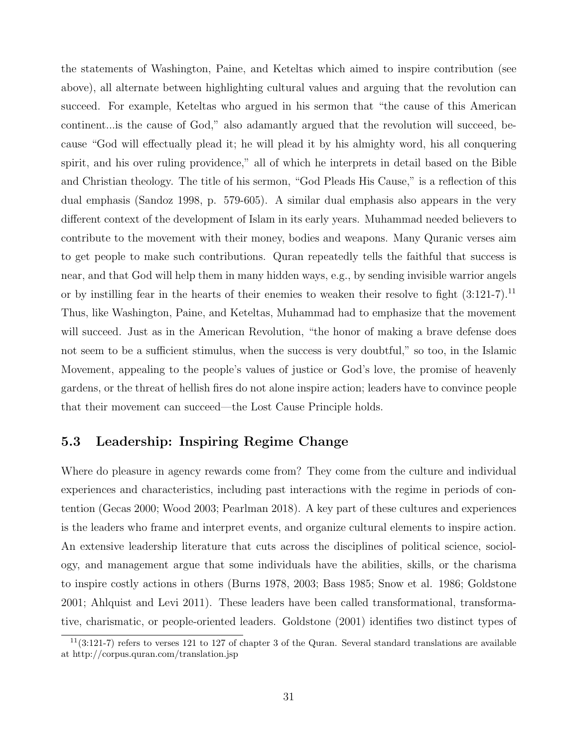the statements of Washington, Paine, and Keteltas which aimed to inspire contribution (see above), all alternate between highlighting cultural values and arguing that the revolution can succeed. For example, Keteltas who argued in his sermon that "the cause of this American continent...is the cause of God," also adamantly argued that the revolution will succeed, because "God will effectually plead it; he will plead it by his almighty word, his all conquering spirit, and his over ruling providence," all of which he interprets in detail based on the Bible and Christian theology. The title of his sermon, "God Pleads His Cause," is a reflection of this dual emphasis (Sandoz 1998, p. 579-605). A similar dual emphasis also appears in the very different context of the development of Islam in its early years. Muhammad needed believers to contribute to the movement with their money, bodies and weapons. Many Quranic verses aim to get people to make such contributions. Quran repeatedly tells the faithful that success is near, and that God will help them in many hidden ways, e.g., by sending invisible warrior angels or by instilling fear in the hearts of their enemies to weaken their resolve to fight  $(3:121-7).$ <sup>11</sup> Thus, like Washington, Paine, and Keteltas, Muhammad had to emphasize that the movement will succeed. Just as in the American Revolution, "the honor of making a brave defense does not seem to be a sufficient stimulus, when the success is very doubtful," so too, in the Islamic Movement, appealing to the people's values of justice or God's love, the promise of heavenly gardens, or the threat of hellish fires do not alone inspire action; leaders have to convince people that their movement can succeed—the Lost Cause Principle holds.

### 5.3 Leadership: Inspiring Regime Change

Where do pleasure in agency rewards come from? They come from the culture and individual experiences and characteristics, including past interactions with the regime in periods of contention (Gecas 2000; Wood 2003; Pearlman 2018). A key part of these cultures and experiences is the leaders who frame and interpret events, and organize cultural elements to inspire action. An extensive leadership literature that cuts across the disciplines of political science, sociology, and management argue that some individuals have the abilities, skills, or the charisma to inspire costly actions in others (Burns 1978, 2003; Bass 1985; Snow et al. 1986; Goldstone 2001; Ahlquist and Levi 2011). These leaders have been called transformational, transformative, charismatic, or people-oriented leaders. Goldstone (2001) identifies two distinct types of

 $11(3:121-7)$  refers to verses 121 to 127 of chapter 3 of the Quran. Several standard translations are available at http://corpus.quran.com/translation.jsp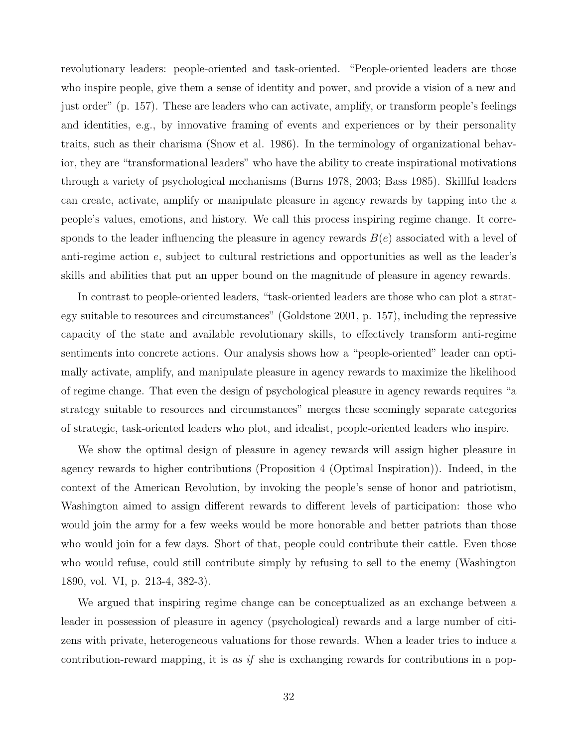revolutionary leaders: people-oriented and task-oriented. "People-oriented leaders are those who inspire people, give them a sense of identity and power, and provide a vision of a new and just order" (p. 157). These are leaders who can activate, amplify, or transform people's feelings and identities, e.g., by innovative framing of events and experiences or by their personality traits, such as their charisma (Snow et al. 1986). In the terminology of organizational behavior, they are "transformational leaders" who have the ability to create inspirational motivations through a variety of psychological mechanisms (Burns 1978, 2003; Bass 1985). Skillful leaders can create, activate, amplify or manipulate pleasure in agency rewards by tapping into the a people's values, emotions, and history. We call this process inspiring regime change. It corresponds to the leader influencing the pleasure in agency rewards  $B(e)$  associated with a level of anti-regime action e, subject to cultural restrictions and opportunities as well as the leader's skills and abilities that put an upper bound on the magnitude of pleasure in agency rewards.

In contrast to people-oriented leaders, "task-oriented leaders are those who can plot a strategy suitable to resources and circumstances" (Goldstone 2001, p. 157), including the repressive capacity of the state and available revolutionary skills, to effectively transform anti-regime sentiments into concrete actions. Our analysis shows how a "people-oriented" leader can optimally activate, amplify, and manipulate pleasure in agency rewards to maximize the likelihood of regime change. That even the design of psychological pleasure in agency rewards requires "a strategy suitable to resources and circumstances" merges these seemingly separate categories of strategic, task-oriented leaders who plot, and idealist, people-oriented leaders who inspire.

We show the optimal design of pleasure in agency rewards will assign higher pleasure in agency rewards to higher contributions (Proposition 4 (Optimal Inspiration)). Indeed, in the context of the American Revolution, by invoking the people's sense of honor and patriotism, Washington aimed to assign different rewards to different levels of participation: those who would join the army for a few weeks would be more honorable and better patriots than those who would join for a few days. Short of that, people could contribute their cattle. Even those who would refuse, could still contribute simply by refusing to sell to the enemy (Washington 1890, vol. VI, p. 213-4, 382-3).

We argued that inspiring regime change can be conceptualized as an exchange between a leader in possession of pleasure in agency (psychological) rewards and a large number of citizens with private, heterogeneous valuations for those rewards. When a leader tries to induce a contribution-reward mapping, it is as if she is exchanging rewards for contributions in a pop-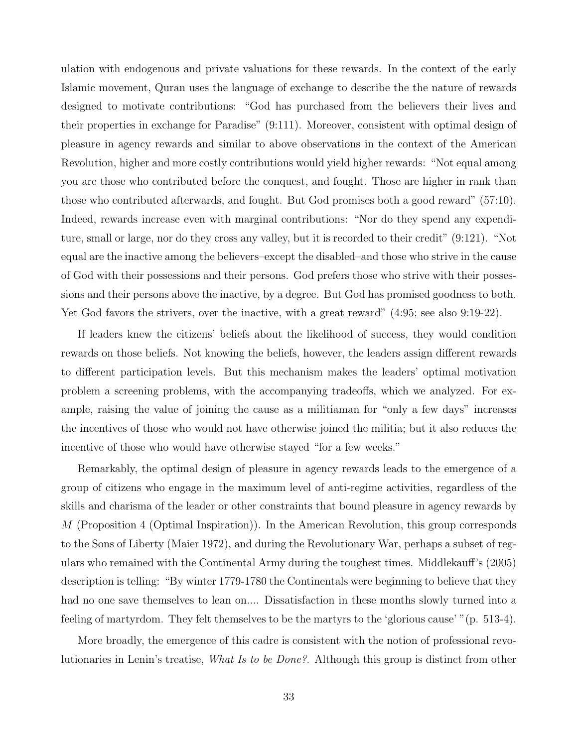ulation with endogenous and private valuations for these rewards. In the context of the early Islamic movement, Quran uses the language of exchange to describe the the nature of rewards designed to motivate contributions: "God has purchased from the believers their lives and their properties in exchange for Paradise" (9:111). Moreover, consistent with optimal design of pleasure in agency rewards and similar to above observations in the context of the American Revolution, higher and more costly contributions would yield higher rewards: "Not equal among you are those who contributed before the conquest, and fought. Those are higher in rank than those who contributed afterwards, and fought. But God promises both a good reward" (57:10). Indeed, rewards increase even with marginal contributions: "Nor do they spend any expenditure, small or large, nor do they cross any valley, but it is recorded to their credit" (9:121). "Not equal are the inactive among the believers–except the disabled–and those who strive in the cause of God with their possessions and their persons. God prefers those who strive with their possessions and their persons above the inactive, by a degree. But God has promised goodness to both. Yet God favors the strivers, over the inactive, with a great reward" (4:95; see also 9:19-22).

If leaders knew the citizens' beliefs about the likelihood of success, they would condition rewards on those beliefs. Not knowing the beliefs, however, the leaders assign different rewards to different participation levels. But this mechanism makes the leaders' optimal motivation problem a screening problems, with the accompanying tradeoffs, which we analyzed. For example, raising the value of joining the cause as a militiaman for "only a few days" increases the incentives of those who would not have otherwise joined the militia; but it also reduces the incentive of those who would have otherwise stayed "for a few weeks."

Remarkably, the optimal design of pleasure in agency rewards leads to the emergence of a group of citizens who engage in the maximum level of anti-regime activities, regardless of the skills and charisma of the leader or other constraints that bound pleasure in agency rewards by M (Proposition 4 (Optimal Inspiration)). In the American Revolution, this group corresponds to the Sons of Liberty (Maier 1972), and during the Revolutionary War, perhaps a subset of regulars who remained with the Continental Army during the toughest times. Middlekauff's (2005) description is telling: "By winter 1779-1780 the Continentals were beginning to believe that they had no one save themselves to lean on.... Dissatisfaction in these months slowly turned into a feeling of martyrdom. They felt themselves to be the martyrs to the 'glorious cause' "(p. 513-4).

More broadly, the emergence of this cadre is consistent with the notion of professional revolutionaries in Lenin's treatise, What Is to be Done?. Although this group is distinct from other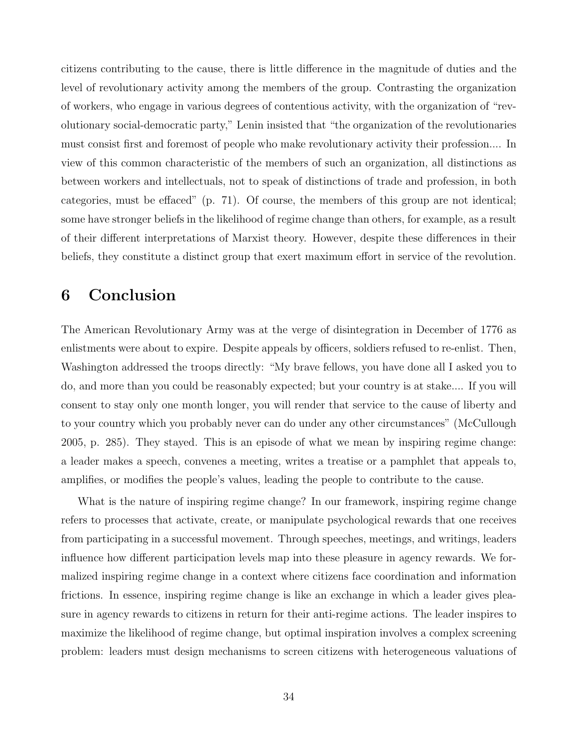citizens contributing to the cause, there is little difference in the magnitude of duties and the level of revolutionary activity among the members of the group. Contrasting the organization of workers, who engage in various degrees of contentious activity, with the organization of "revolutionary social-democratic party," Lenin insisted that "the organization of the revolutionaries must consist first and foremost of people who make revolutionary activity their profession.... In view of this common characteristic of the members of such an organization, all distinctions as between workers and intellectuals, not to speak of distinctions of trade and profession, in both categories, must be effaced" (p. 71). Of course, the members of this group are not identical; some have stronger beliefs in the likelihood of regime change than others, for example, as a result of their different interpretations of Marxist theory. However, despite these differences in their beliefs, they constitute a distinct group that exert maximum effort in service of the revolution.

### 6 Conclusion

The American Revolutionary Army was at the verge of disintegration in December of 1776 as enlistments were about to expire. Despite appeals by officers, soldiers refused to re-enlist. Then, Washington addressed the troops directly: "My brave fellows, you have done all I asked you to do, and more than you could be reasonably expected; but your country is at stake.... If you will consent to stay only one month longer, you will render that service to the cause of liberty and to your country which you probably never can do under any other circumstances" (McCullough 2005, p. 285). They stayed. This is an episode of what we mean by inspiring regime change: a leader makes a speech, convenes a meeting, writes a treatise or a pamphlet that appeals to, amplifies, or modifies the people's values, leading the people to contribute to the cause.

What is the nature of inspiring regime change? In our framework, inspiring regime change refers to processes that activate, create, or manipulate psychological rewards that one receives from participating in a successful movement. Through speeches, meetings, and writings, leaders influence how different participation levels map into these pleasure in agency rewards. We formalized inspiring regime change in a context where citizens face coordination and information frictions. In essence, inspiring regime change is like an exchange in which a leader gives pleasure in agency rewards to citizens in return for their anti-regime actions. The leader inspires to maximize the likelihood of regime change, but optimal inspiration involves a complex screening problem: leaders must design mechanisms to screen citizens with heterogeneous valuations of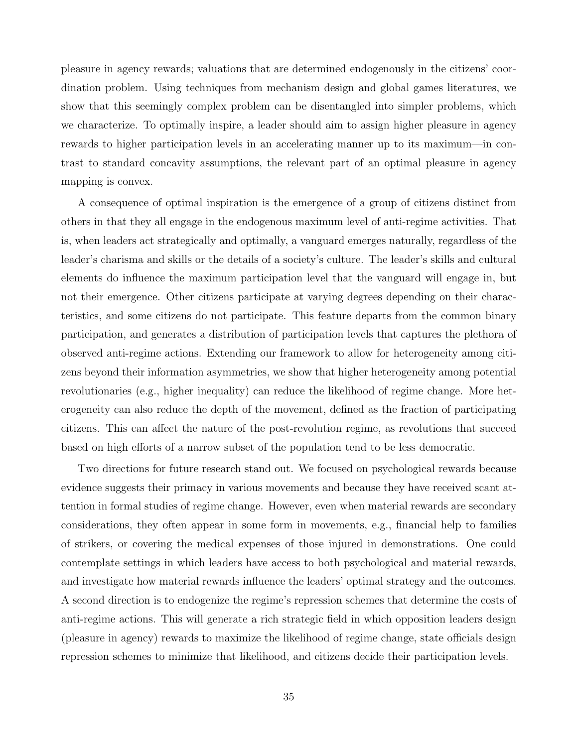pleasure in agency rewards; valuations that are determined endogenously in the citizens' coordination problem. Using techniques from mechanism design and global games literatures, we show that this seemingly complex problem can be disentangled into simpler problems, which we characterize. To optimally inspire, a leader should aim to assign higher pleasure in agency rewards to higher participation levels in an accelerating manner up to its maximum—in contrast to standard concavity assumptions, the relevant part of an optimal pleasure in agency mapping is convex.

A consequence of optimal inspiration is the emergence of a group of citizens distinct from others in that they all engage in the endogenous maximum level of anti-regime activities. That is, when leaders act strategically and optimally, a vanguard emerges naturally, regardless of the leader's charisma and skills or the details of a society's culture. The leader's skills and cultural elements do influence the maximum participation level that the vanguard will engage in, but not their emergence. Other citizens participate at varying degrees depending on their characteristics, and some citizens do not participate. This feature departs from the common binary participation, and generates a distribution of participation levels that captures the plethora of observed anti-regime actions. Extending our framework to allow for heterogeneity among citizens beyond their information asymmetries, we show that higher heterogeneity among potential revolutionaries (e.g., higher inequality) can reduce the likelihood of regime change. More heterogeneity can also reduce the depth of the movement, defined as the fraction of participating citizens. This can affect the nature of the post-revolution regime, as revolutions that succeed based on high efforts of a narrow subset of the population tend to be less democratic.

Two directions for future research stand out. We focused on psychological rewards because evidence suggests their primacy in various movements and because they have received scant attention in formal studies of regime change. However, even when material rewards are secondary considerations, they often appear in some form in movements, e.g., financial help to families of strikers, or covering the medical expenses of those injured in demonstrations. One could contemplate settings in which leaders have access to both psychological and material rewards, and investigate how material rewards influence the leaders' optimal strategy and the outcomes. A second direction is to endogenize the regime's repression schemes that determine the costs of anti-regime actions. This will generate a rich strategic field in which opposition leaders design (pleasure in agency) rewards to maximize the likelihood of regime change, state officials design repression schemes to minimize that likelihood, and citizens decide their participation levels.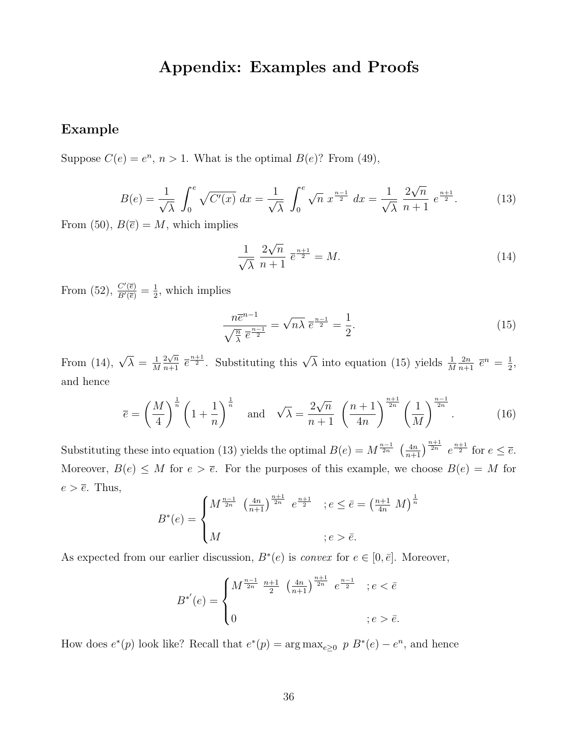### Appendix: Examples and Proofs

### Example

Suppose  $C(e) = e^n$ ,  $n > 1$ . What is the optimal  $B(e)$ ? From (49),

$$
B(e) = \frac{1}{\sqrt{\lambda}} \int_0^e \sqrt{C'(x)} \, dx = \frac{1}{\sqrt{\lambda}} \int_0^e \sqrt{n} \, x^{\frac{n-1}{2}} \, dx = \frac{1}{\sqrt{\lambda}} \frac{2\sqrt{n}}{n+1} \, e^{\frac{n+1}{2}}. \tag{13}
$$

From (50),  $B(\overline{e}) = M$ , which implies

$$
\frac{1}{\sqrt{\lambda}} \frac{2\sqrt{n}}{n+1} \overline{e}^{\frac{n+1}{2}} = M. \tag{14}
$$

From (52),  $\frac{C'(\bar{e})}{B'(\bar{e})} = \frac{1}{2}$  $\frac{1}{2}$ , which implies

$$
\frac{n\overline{e}^{n-1}}{\sqrt{\frac{n}{\lambda}}\,\overline{e}^{\frac{n-1}{2}}} = \sqrt{n\lambda}\,\overline{e}^{\frac{n-1}{2}} = \frac{1}{2}.\tag{15}
$$

From (14),  $\sqrt{\lambda} = \frac{1}{\lambda}$ M  $\frac{2\sqrt{n}}{n+1}$   $\overline{e}^{\frac{n+1}{2}}$ . Substituting this  $\sqrt{\lambda}$  into equation (15) yields  $\frac{1}{M}$  $rac{2n}{n+1}$   $\overline{e}^n = \frac{1}{2}$  $\frac{1}{2}$ , and hence

$$
\overline{e} = \left(\frac{M}{4}\right)^{\frac{1}{n}} \left(1 + \frac{1}{n}\right)^{\frac{1}{n}} \quad \text{and} \quad \sqrt{\lambda} = \frac{2\sqrt{n}}{n+1} \left(\frac{n+1}{4n}\right)^{\frac{n+1}{2n}} \left(\frac{1}{M}\right)^{\frac{n-1}{2n}}.
$$
 (16)

Substituting these into equation (13) yields the optimal  $B(e) = M^{\frac{n-1}{2n}} \left(\frac{4n}{n+1}\right)^{\frac{n+1}{2n}} e^{\frac{n+1}{2}}$  for  $e \le \overline{e}$ . Moreover,  $B(e) \leq M$  for  $e > \overline{e}$ . For the purposes of this example, we choose  $B(e) = M$  for  $e > \overline{e}$ . Thus,

$$
B^*(e) = \begin{cases} M^{\frac{n-1}{2n}} \left(\frac{4n}{n+1}\right)^{\frac{n+1}{2n}} e^{\frac{n+1}{2}} & ; e \le \bar{e} = \left(\frac{n+1}{4n} \ M\right)^{\frac{1}{n}} \\ M & ; e > \bar{e}. \end{cases}
$$

As expected from our earlier discussion,  $B^*(e)$  is *convex* for  $e \in [0, \bar{e}]$ . Moreover,

$$
B^{*'}(e) = \begin{cases} M^{\frac{n-1}{2n}} \frac{n+1}{2} \left(\frac{4n}{n+1}\right)^{\frac{n+1}{2n}} e^{\frac{n-1}{2}} & ; e < \bar{e} \\ 0 & ; e > \bar{e}. \end{cases}
$$

How does  $e^*(p)$  look like? Recall that  $e^*(p) = \arg \max_{e \geq 0} p B^*(e) - e^n$ , and hence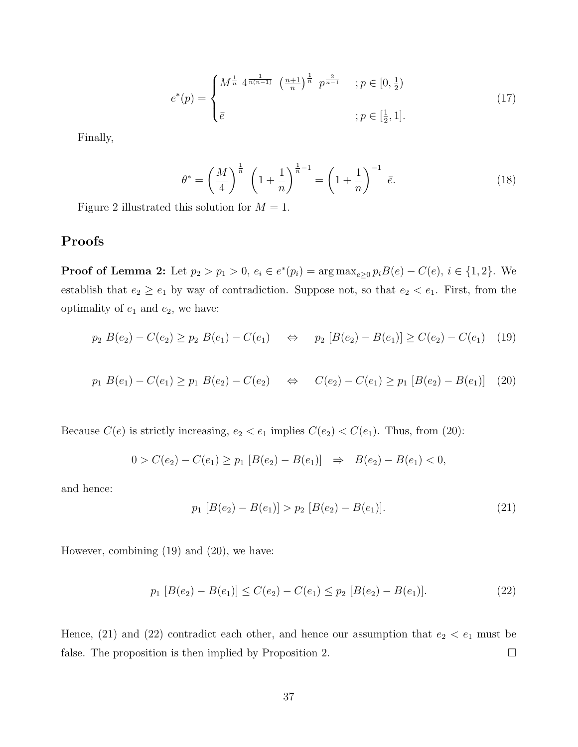$$
e^*(p) = \begin{cases} M^{\frac{1}{n}} 4^{\frac{1}{n(n-1)}} \left(\frac{n+1}{n}\right)^{\frac{1}{n}} p^{\frac{2}{n-1}} & ; p \in [0, \frac{1}{2}) \\ \bar{e} & ; p \in [\frac{1}{2}, 1]. \end{cases}
$$
(17)

Finally,

$$
\theta^* = \left(\frac{M}{4}\right)^{\frac{1}{n}} \left(1 + \frac{1}{n}\right)^{\frac{1}{n}-1} = \left(1 + \frac{1}{n}\right)^{-1} \bar{e}.\tag{18}
$$

Figure 2 illustrated this solution for  $M = 1$ .

### Proofs

**Proof of Lemma 2:** Let  $p_2 > p_1 > 0$ ,  $e_i \in e^*(p_i) = \arg \max_{e \ge 0} p_i B(e) - C(e)$ ,  $i \in \{1, 2\}$ . We establish that  $e_2 \ge e_1$  by way of contradiction. Suppose not, so that  $e_2 < e_1$ . First, from the optimality of  $e_1$  and  $e_2$ , we have:

$$
p_2 B(e_2) - C(e_2) \ge p_2 B(e_1) - C(e_1) \quad \Leftrightarrow \quad p_2 [B(e_2) - B(e_1)] \ge C(e_2) - C(e_1) \tag{19}
$$

$$
p_1 B(e_1) - C(e_1) \ge p_1 B(e_2) - C(e_2) \quad \Leftrightarrow \quad C(e_2) - C(e_1) \ge p_1 [B(e_2) - B(e_1)] \quad (20)
$$

Because  $C(e)$  is strictly increasing,  $e_2 < e_1$  implies  $C(e_2) < C(e_1)$ . Thus, from (20):

$$
0 > C(e_2) - C(e_1) \ge p_1 [B(e_2) - B(e_1)] \Rightarrow B(e_2) - B(e_1) < 0,
$$

and hence:

$$
p_1 [B(e_2) - B(e_1)] > p_2 [B(e_2) - B(e_1)].
$$
\n(21)

However, combining (19) and (20), we have:

$$
p_1 [B(e_2) - B(e_1)] \le C(e_2) - C(e_1) \le p_2 [B(e_2) - B(e_1)].
$$
\n(22)

Hence, (21) and (22) contradict each other, and hence our assumption that  $e_2 < e_1$  must be false. The proposition is then implied by Proposition 2.  $\Box$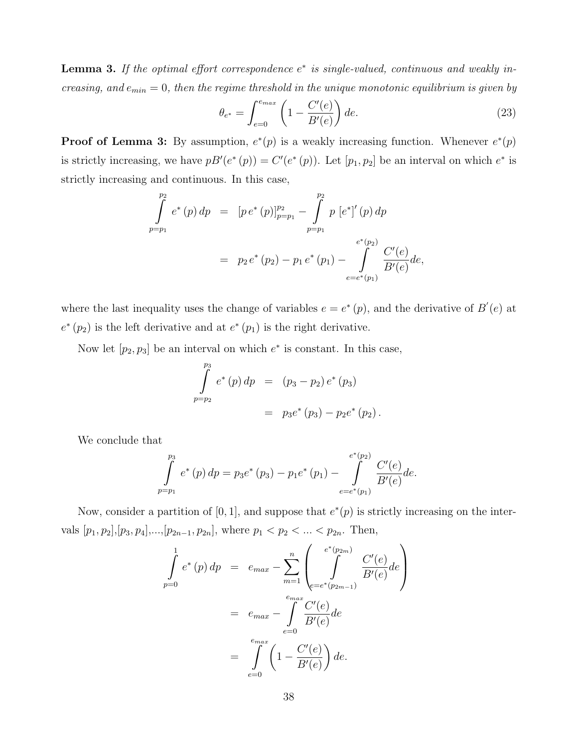**Lemma 3.** If the optimal effort correspondence  $e^*$  is single-valued, continuous and weakly increasing, and  $e_{min} = 0$ , then the regime threshold in the unique monotonic equilibrium is given by

$$
\theta_{e^*} = \int_{e=0}^{e_{max}} \left( 1 - \frac{C'(e)}{B'(e)} \right) de.
$$
 (23)

**Proof of Lemma 3:** By assumption,  $e^*(p)$  is a weakly increasing function. Whenever  $e^*(p)$ is strictly increasing, we have  $pB'(e^*(p)) = C'(e^*(p))$ . Let  $[p_1, p_2]$  be an interval on which  $e^*$  is strictly increasing and continuous. In this case,

$$
\int_{p=p_1}^{p_2} e^*(p) dp = [p e^*(p)]_{p=p_1}^{p_2} - \int_{p=p_1}^{p_2} p [e^*]'(p) dp
$$
  
=  $p_2 e^*(p_2) - p_1 e^*(p_1) - \int_{e=e^*(p_1)}^{e^*(p_2)} \frac{C'(e)}{B'(e)} de,$ 

where the last inequality uses the change of variables  $e = e^*(p)$ , and the derivative of  $B'(e)$  at  $e^*(p_2)$  is the left derivative and at  $e^*(p_1)$  is the right derivative.

Now let  $[p_2, p_3]$  be an interval on which  $e^*$  is constant. In this case,

$$
\int_{p=p_2}^{p_3} e^*(p) dp = (p_3 - p_2) e^*(p_3)
$$
  
=  $p_3 e^*(p_3) - p_2 e^*(p_2)$ .

We conclude that

$$
\int_{p=p_1}^{p_3} e^*(p) dp = p_3 e^*(p_3) - p_1 e^*(p_1) - \int_{e=e^*(p_1)}^{e^*(p_2)} \frac{C'(e)}{B'(e)} de.
$$

Now, consider a partition of [0, 1], and suppose that  $e^*(p)$  is strictly increasing on the intervals  $[p_1, p_2], [p_3, p_4], ..., [p_{2n-1}, p_{2n}]$ , where  $p_1 < p_2 < ... < p_{2n}$ . Then,

$$
\int_{p=0}^{1} e^*(p) dp = e_{max} - \sum_{m=1}^{n} \left( \int_{e=e^*(p_{2m-1})}^{e^*(p_{2m})} \frac{C'(e)}{B'(e)} de \right)
$$

$$
= e_{max} - \int_{e=0}^{e_{max}} \frac{C'(e)}{B'(e)} de
$$

$$
= \int_{e=0}^{e_{max}} \left(1 - \frac{C'(e)}{B'(e)}\right) de.
$$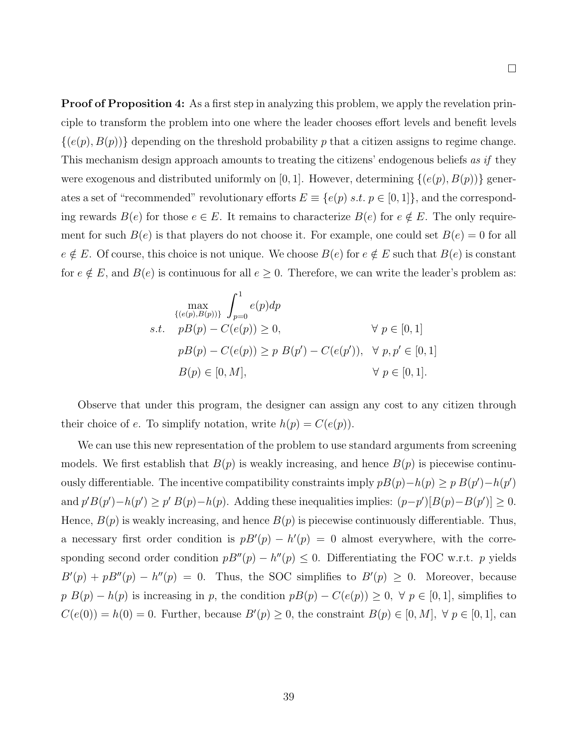**Proof of Proposition 4:** As a first step in analyzing this problem, we apply the revelation principle to transform the problem into one where the leader chooses effort levels and benefit levels  $\{(e(p), B(p))\}$  depending on the threshold probability p that a citizen assigns to regime change. This mechanism design approach amounts to treating the citizens' endogenous beliefs as if they were exogenous and distributed uniformly on [0, 1]. However, determining  $\{(e(p), B(p))\}$  generates a set of "recommended" revolutionary efforts  $E \equiv \{e(p) \; s.t. \; p \in [0,1]\}$ , and the corresponding rewards  $B(e)$  for those  $e \in E$ . It remains to characterize  $B(e)$  for  $e \notin E$ . The only requirement for such  $B(e)$  is that players do not choose it. For example, one could set  $B(e) = 0$  for all  $e \notin E$ . Of course, this choice is not unique. We choose  $B(e)$  for  $e \notin E$  such that  $B(e)$  is constant for  $e \notin E$ , and  $B(e)$  is continuous for all  $e \ge 0$ . Therefore, we can write the leader's problem as:

$$
\max_{\{(e(p), B(p))\}} \int_{p=0}^{1} e(p) dp
$$
  
s.t.  $pB(p) - C(e(p)) \ge 0$ ,  $\forall p \in [0, 1]$   
 $pB(p) - C(e(p)) \ge p B(p') - C(e(p'))$ ,  $\forall p, p' \in [0, 1]$   
 $B(p) \in [0, M]$ ,  $\forall p \in [0, 1]$ .

Observe that under this program, the designer can assign any cost to any citizen through their choice of e. To simplify notation, write  $h(p) = C(e(p)).$ 

We can use this new representation of the problem to use standard arguments from screening models. We first establish that  $B(p)$  is weakly increasing, and hence  $B(p)$  is piecewise continuously differentiable. The incentive compatibility constraints imply  $pB(p)-h(p) \geq p B(p')-h(p')$ and  $p'B(p') - h(p') \geq p' B(p) - h(p)$ . Adding these inequalities implies:  $(p-p') [B(p) - B(p')] \geq 0$ . Hence,  $B(p)$  is weakly increasing, and hence  $B(p)$  is piecewise continuously differentiable. Thus, a necessary first order condition is  $pB'(p) - h'(p) = 0$  almost everywhere, with the corresponding second order condition  $pB''(p) - h''(p) \leq 0$ . Differentiating the FOC w.r.t. p yields  $B'(p) + pB''(p) - h''(p) = 0$ . Thus, the SOC simplifies to  $B'(p) \geq 0$ . Moreover, because  $p B(p) - h(p)$  is increasing in p, the condition  $p B(p) - C(e(p)) \geq 0$ ,  $\forall p \in [0, 1]$ , simplifies to  $C(e(0)) = h(0) = 0$ . Further, because  $B'(p) \ge 0$ , the constraint  $B(p) \in [0, M]$ ,  $\forall p \in [0, 1]$ , can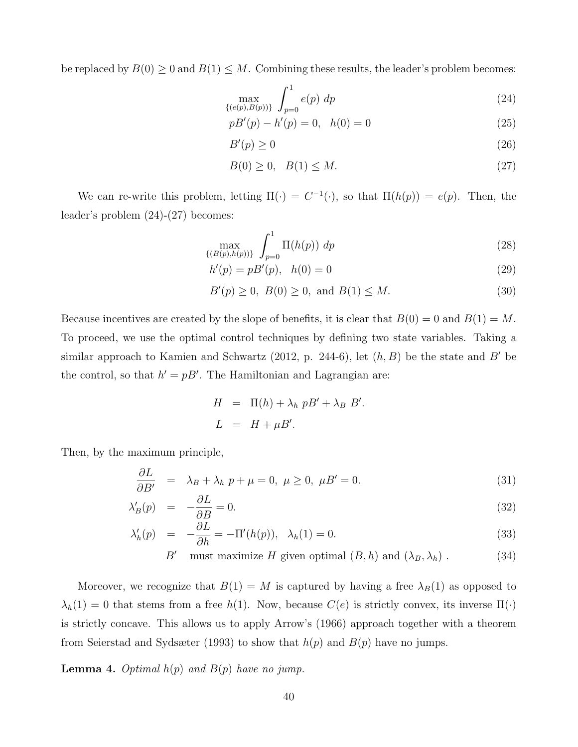be replaced by  $B(0) \geq 0$  and  $B(1) \leq M$ . Combining these results, the leader's problem becomes:

$$
\max_{\{(e(p), B(p))\}} \int_{p=0}^{1} e(p) \, dp \tag{24}
$$

$$
pB'(p) - h'(p) = 0, \quad h(0) = 0 \tag{25}
$$

$$
B'(p) \ge 0\tag{26}
$$

$$
B(0) \ge 0, \quad B(1) \le M. \tag{27}
$$

We can re-write this problem, letting  $\Pi(\cdot) = C^{-1}(\cdot)$ , so that  $\Pi(h(p)) = e(p)$ . Then, the leader's problem (24)-(27) becomes:

$$
\max_{\{(B(p), h(p))\}} \int_{p=0}^{1} \Pi(h(p)) \, dp \tag{28}
$$

$$
h'(p) = pB'(p), \quad h(0) = 0 \tag{29}
$$

$$
B'(p) \ge 0, \ B(0) \ge 0, \text{ and } B(1) \le M. \tag{30}
$$

Because incentives are created by the slope of benefits, it is clear that  $B(0) = 0$  and  $B(1) = M$ . To proceed, we use the optimal control techniques by defining two state variables. Taking a similar approach to Kamien and Schwartz (2012, p. 244-6), let  $(h, B)$  be the state and B' be the control, so that  $h' = pB'$ . The Hamiltonian and Lagrangian are:

$$
H = \Pi(h) + \lambda_h pB' + \lambda_B B'.
$$
  

$$
L = H + \mu B'.
$$

Then, by the maximum principle,

$$
\frac{\partial L}{\partial B'} = \lambda_B + \lambda_h \ p + \mu = 0, \ \mu \ge 0, \ \mu B' = 0. \tag{31}
$$

$$
\lambda'_B(p) = -\frac{\partial L}{\partial B} = 0. \tag{32}
$$

$$
\lambda_h'(p) = -\frac{\partial L}{\partial h} = -\Pi'(h(p)), \quad \lambda_h(1) = 0. \tag{33}
$$

$$
B' \quad \text{must maximize } H \text{ given optimal } (B, h) \text{ and } (\lambda_B, \lambda_h) \,. \tag{34}
$$

Moreover, we recognize that  $B(1) = M$  is captured by having a free  $\lambda_B(1)$  as opposed to  $\lambda_h(1) = 0$  that stems from a free  $h(1)$ . Now, because  $C(e)$  is strictly convex, its inverse  $\Pi(\cdot)$ is strictly concave. This allows us to apply Arrow's (1966) approach together with a theorem from Seierstad and Sydsæter (1993) to show that  $h(p)$  and  $B(p)$  have no jumps.

**Lemma 4.** Optimal  $h(p)$  and  $B(p)$  have no jump.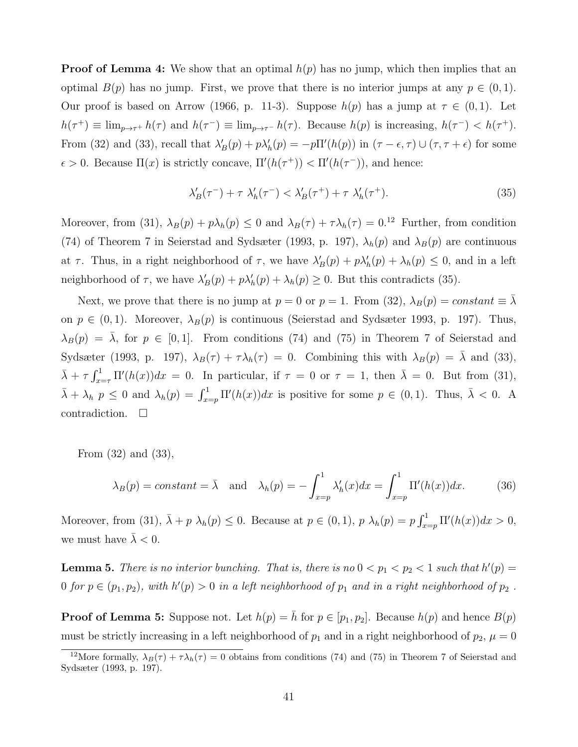**Proof of Lemma 4:** We show that an optimal  $h(p)$  has no jump, which then implies that an optimal  $B(p)$  has no jump. First, we prove that there is no interior jumps at any  $p \in (0,1)$ . Our proof is based on Arrow (1966, p. 11-3). Suppose  $h(p)$  has a jump at  $\tau \in (0,1)$ . Let  $h(\tau^+) \equiv \lim_{p \to \tau^+} h(\tau)$  and  $h(\tau^-) \equiv \lim_{p \to \tau^-} h(\tau)$ . Because  $h(p)$  is increasing,  $h(\tau^-) < h(\tau^+)$ . From (32) and (33), recall that  $\lambda'_B(p) + p\lambda'_h(p) = -p\Pi'(h(p))$  in  $(\tau - \epsilon, \tau) \cup (\tau, \tau + \epsilon)$  for some  $\epsilon > 0$ . Because  $\Pi(x)$  is strictly concave,  $\Pi'(h(\tau^+)) < \Pi'(h(\tau^-))$ , and hence:

$$
\lambda_B'(\tau^-) + \tau \lambda_h'(\tau^-) < \lambda_B'(\tau^+) + \tau \lambda_h'(\tau^+). \tag{35}
$$

Moreover, from (31),  $\lambda_B(p) + p\lambda_h(p) \leq 0$  and  $\lambda_B(\tau) + \tau\lambda_h(\tau) = 0.12$  Further, from condition (74) of Theorem 7 in Seierstad and Sydsæter (1993, p. 197),  $\lambda_h(p)$  and  $\lambda_B(p)$  are continuous at  $\tau$ . Thus, in a right neighborhood of  $\tau$ , we have  $\lambda'_B(p) + p\lambda'_h(p) + \lambda_h(p) \leq 0$ , and in a left neighborhood of  $\tau$ , we have  $\lambda'_B(p) + p\lambda'_h(p) + \lambda_h(p) \geq 0$ . But this contradicts (35).

Next, we prove that there is no jump at  $p = 0$  or  $p = 1$ . From (32),  $\lambda_B(p) = constant \equiv \overline{\lambda}$ on  $p \in (0, 1)$ . Moreover,  $\lambda_B(p)$  is continuous (Seierstad and Sydsæter 1993, p. 197). Thus,  $\lambda_B(p) = \overline{\lambda}$ , for  $p \in [0,1]$ . From conditions (74) and (75) in Theorem 7 of Seierstad and Sydsæter (1993, p. 197),  $\lambda_B(\tau) + \tau \lambda_h(\tau) = 0$ . Combining this with  $\lambda_B(p) = \overline{\lambda}$  and (33),  $\bar{\lambda} + \tau \int_{x=\tau}^{1} \Pi'(h(x))dx = 0$ . In particular, if  $\tau = 0$  or  $\tau = 1$ , then  $\bar{\lambda} = 0$ . But from (31),  $\bar{\lambda} + \lambda_h p \leq 0$  and  $\lambda_h(p) = \int_{x=p}^1 \Pi'(h(x))dx$  is positive for some  $p \in (0,1)$ . Thus,  $\bar{\lambda} < 0$ . A contradiction.  $\square$ 

From (32) and (33),

$$
\lambda_B(p) = constant = \bar{\lambda}
$$
 and  $\lambda_h(p) = -\int_{x=p}^1 \lambda_h'(x) dx = \int_{x=p}^1 \Pi'(h(x)) dx.$  (36)

Moreover, from (31),  $\bar{\lambda} + p \lambda_h(p) \leq 0$ . Because at  $p \in (0,1)$ ,  $p \lambda_h(p) = p \int_{x=p}^1 \Pi'(h(x)) dx > 0$ , we must have  $\bar{\lambda} < 0$ .

**Lemma 5.** There is no interior bunching. That is, there is no  $0 < p_1 < p_2 < 1$  such that  $h'(p) =$ 0 for  $p \in (p_1, p_2)$ , with  $h'(p) > 0$  in a left neighborhood of  $p_1$  and in a right neighborhood of  $p_2$ .

**Proof of Lemma 5:** Suppose not. Let  $h(p) = \overline{h}$  for  $p \in [p_1, p_2]$ . Because  $h(p)$  and hence  $B(p)$ must be strictly increasing in a left neighborhood of  $p_1$  and in a right neighborhood of  $p_2$ ,  $\mu = 0$ 

<sup>&</sup>lt;sup>12</sup>More formally,  $\lambda_B(\tau) + \tau \lambda_h(\tau) = 0$  obtains from conditions (74) and (75) in Theorem 7 of Seierstad and Sydsæter (1993, p. 197).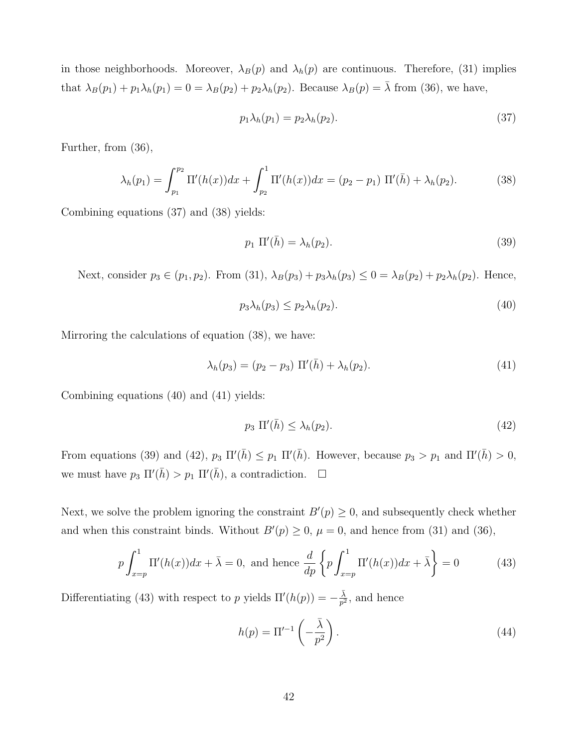in those neighborhoods. Moreover,  $\lambda_B(p)$  and  $\lambda_h(p)$  are continuous. Therefore, (31) implies that  $\lambda_B(p_1) + p_1 \lambda_h(p_1) = 0 = \lambda_B(p_2) + p_2 \lambda_h(p_2)$ . Because  $\lambda_B(p) = \overline{\lambda}$  from (36), we have,

$$
p_1 \lambda_h(p_1) = p_2 \lambda_h(p_2). \tag{37}
$$

Further, from (36),

$$
\lambda_h(p_1) = \int_{p_1}^{p_2} \Pi'(h(x)) dx + \int_{p_2}^{1} \Pi'(h(x)) dx = (p_2 - p_1) \Pi'(\bar{h}) + \lambda_h(p_2).
$$
 (38)

Combining equations (37) and (38) yields:

$$
p_1 \Pi'(\bar{h}) = \lambda_h(p_2). \tag{39}
$$

Next, consider  $p_3 \in (p_1, p_2)$ . From (31),  $\lambda_B(p_3) + p_3\lambda_b(p_3) \leq 0 = \lambda_B(p_2) + p_2\lambda_b(p_2)$ . Hence,

$$
p_3 \lambda_h(p_3) \le p_2 \lambda_h(p_2). \tag{40}
$$

Mirroring the calculations of equation (38), we have:

$$
\lambda_h(p_3) = (p_2 - p_3) \, \Pi'(\bar{h}) + \lambda_h(p_2). \tag{41}
$$

Combining equations (40) and (41) yields:

$$
p_3 \Pi'(\bar{h}) \le \lambda_h(p_2). \tag{42}
$$

From equations (39) and (42),  $p_3 \Pi'(\bar{h}) \leq p_1 \Pi'(\bar{h})$ . However, because  $p_3 > p_1$  and  $\Pi'(\bar{h}) > 0$ , we must have  $p_3 \Pi'(\bar{h}) > p_1 \Pi'(\bar{h})$ , a contradiction.  $\Box$ 

Next, we solve the problem ignoring the constraint  $B'(p) \geq 0$ , and subsequently check whether and when this constraint binds. Without  $B'(p) \geq 0$ ,  $\mu = 0$ , and hence from (31) and (36),

$$
p \int_{x=p}^{1} \Pi'(h(x))dx + \bar{\lambda} = 0, \text{ and hence } \frac{d}{dp} \left\{ p \int_{x=p}^{1} \Pi'(h(x))dx + \bar{\lambda} \right\} = 0 \tag{43}
$$

Differentiating (43) with respect to p yields  $\Pi'(h(p)) = -\frac{\overline{\lambda}}{n^2}$  $\frac{\lambda}{p^2}$ , and hence

$$
h(p) = \Pi'^{-1}\left(-\frac{\bar{\lambda}}{p^2}\right). \tag{44}
$$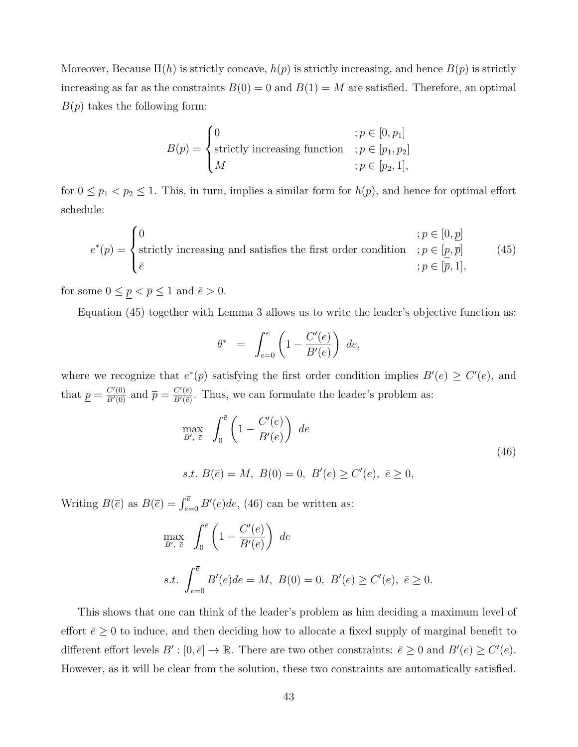Moreover, Because  $\Pi(h)$  is strictly concave,  $h(p)$  is strictly increasing, and hence  $B(p)$  is strictly increasing as far as the constraints  $B(0) = 0$  and  $B(1) = M$  are satisfied. Therefore, an optimal  $B(p)$  takes the following form:

$$
B(p) = \begin{cases} 0 & \text{if } p \in [0, p_1] \\ \text{strictly increasing function} & \text{if } p \in [p_1, p_2] \\ M & \text{if } p \in [p_2, 1], \end{cases}
$$

for  $0 \le p_1 < p_2 \le 1$ . This, in turn, implies a similar form for  $h(p)$ , and hence for optimal effort schedule:

$$
e^*(p) = \begin{cases} 0 & \text{if } p \in [0, \underline{p}] \\ \text{strictly increasing and satisfies the first order condition} & \text{if } p \in [\underline{p}, \overline{p}] \\ \bar{e} & \text{if } p \in [\overline{p}, 1], \end{cases} \tag{45}
$$

for some  $0 \leq \underline{p} < \overline{p} \leq 1$  and  $\overline{e} > 0$ .

Equation (45) together with Lemma 3 allows us to write the leader's objective function as:

$$
\theta^* = \int_{e=0}^{\bar{e}} \left( 1 - \frac{C'(e)}{B'(e)} \right) de,
$$

where we recognize that  $e^*(p)$  satisfying the first order condition implies  $B'(e) \geq C'(e)$ , and that  $\underline{p} = \frac{C'(0)}{B'(0)}$  and  $\overline{p} = \frac{C'(\overline{e})}{B'(\overline{e})}$  $\frac{C'(e)}{B'(e)}$ . Thus, we can formulate the leader's problem as:

$$
\max_{B', \bar{e}} \int_0^{\bar{e}} \left( 1 - \frac{C'(e)}{B'(e)} \right) de
$$
  
s.t.  $B(\bar{e}) = M$ ,  $B(0) = 0$ ,  $B'(e) \ge C'(e)$ ,  $\bar{e} \ge 0$ , (46)

Writing  $B(\overline{e})$  as  $B(\overline{e}) = \int_{e=0}^{\overline{e}} B'(e)de$ , (46) can be written as:

$$
\max_{B', \bar{e}} \int_0^{\bar{e}} \left( 1 - \frac{C'(e)}{B'(e)} \right) de
$$
  
s.t. 
$$
\int_{e=0}^{\bar{e}} B'(e) de = M, B(0) = 0, B'(e) \ge C'(e), \bar{e} \ge 0.
$$

This shows that one can think of the leader's problem as him deciding a maximum level of effort  $\bar{e} \geq 0$  to induce, and then deciding how to allocate a fixed supply of marginal benefit to different effort levels  $B' : [0, \bar{e}] \to \mathbb{R}$ . There are two other constraints:  $\bar{e} \geq 0$  and  $B'(e) \geq C'(e)$ . However, as it will be clear from the solution, these two constraints are automatically satisfied.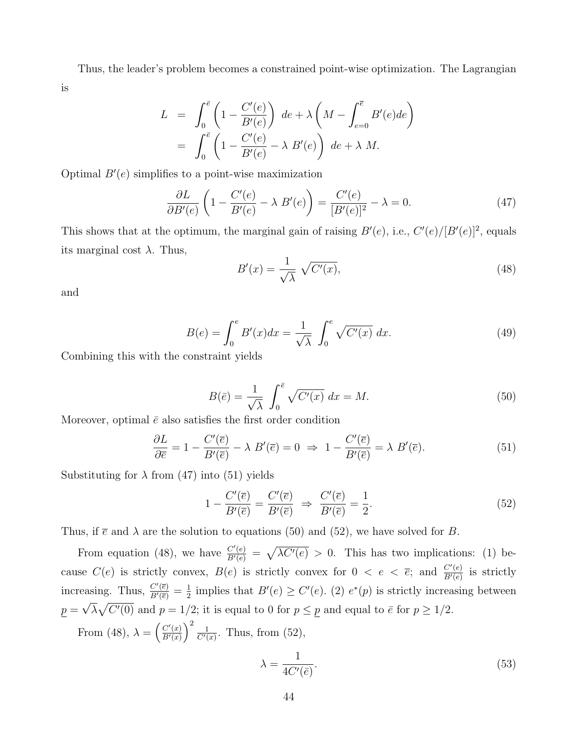Thus, the leader's problem becomes a constrained point-wise optimization. The Lagrangian is

$$
L = \int_0^{\overline{e}} \left( 1 - \frac{C'(e)}{B'(e)} \right) de + \lambda \left( M - \int_{e=0}^{\overline{e}} B'(e) de \right)
$$
  
= 
$$
\int_0^{\overline{e}} \left( 1 - \frac{C'(e)}{B'(e)} - \lambda B'(e) \right) de + \lambda M.
$$

Optimal  $B'(e)$  simplifies to a point-wise maximization

$$
\frac{\partial L}{\partial B'(e)} \left( 1 - \frac{C'(e)}{B'(e)} - \lambda \ B'(e) \right) = \frac{C'(e)}{[B'(e)]^2} - \lambda = 0. \tag{47}
$$

This shows that at the optimum, the marginal gain of raising  $B'(e)$ , i.e.,  $C'(e)/[B'(e)]^2$ , equals its marginal cost  $\lambda$ . Thus,

$$
B'(x) = \frac{1}{\sqrt{\lambda}} \sqrt{C'(x)},
$$
\n(48)

and

$$
B(e) = \int_0^e B'(x)dx = \frac{1}{\sqrt{\lambda}} \int_0^e \sqrt{C'(x)} dx.
$$
 (49)

Combining this with the constraint yields

$$
B(\bar{e}) = \frac{1}{\sqrt{\lambda}} \int_0^{\bar{e}} \sqrt{C'(x)} dx = M.
$$
 (50)

Moreover, optimal  $\bar{e}$  also satisfies the first order condition

$$
\frac{\partial L}{\partial \overline{e}} = 1 - \frac{C'(\overline{e})}{B'(\overline{e})} - \lambda \ B'(\overline{e}) = 0 \ \Rightarrow \ 1 - \frac{C'(\overline{e})}{B'(\overline{e})} = \lambda \ B'(\overline{e}). \tag{51}
$$

Substituting for  $\lambda$  from (47) into (51) yields

$$
1 - \frac{C'(\overline{e})}{B'(\overline{e})} = \frac{C'(\overline{e})}{B'(\overline{e})} \implies \frac{C'(\overline{e})}{B'(\overline{e})} = \frac{1}{2}.
$$
\n
$$
(52)
$$

Thus, if  $\bar{e}$  and  $\lambda$  are the solution to equations (50) and (52), we have solved for B.

From equation (48), we have  $\frac{C'(e)}{B'(e)} = \sqrt{\lambda C'(e)} > 0$ . This has two implications: (1) because  $C(e)$  is strictly convex,  $B(e)$  is strictly convex for  $0 < e < \overline{e}$ ; and  $\frac{C'(e)}{B'(e)}$  $\frac{C'(e)}{B'(e)}$  is strictly increasing. Thus,  $\frac{C'(\overline{e})}{B'(\overline{e})} = \frac{1}{2}$  $\frac{1}{2}$  implies that  $B'(e) \geq C'(e)$ . (2)  $e^*(p)$  is strictly increasing between  $p = \sqrt{\lambda} \sqrt{C'(0)}$  and  $p = 1/2$ ; it is equal to 0 for  $p \le p$  and equal to  $\bar{e}$  for  $p \ge 1/2$ . √

From (48),  $\lambda = \left(\frac{C'(x)}{B'(x)}\right)$  $\frac{C'(x)}{B'(x)}\bigg)^2 \frac{1}{C'(x)}$  $\frac{1}{C'(x)}$ . Thus, from (52),

$$
\lambda = \frac{1}{4C'(\bar{e})}.\tag{53}
$$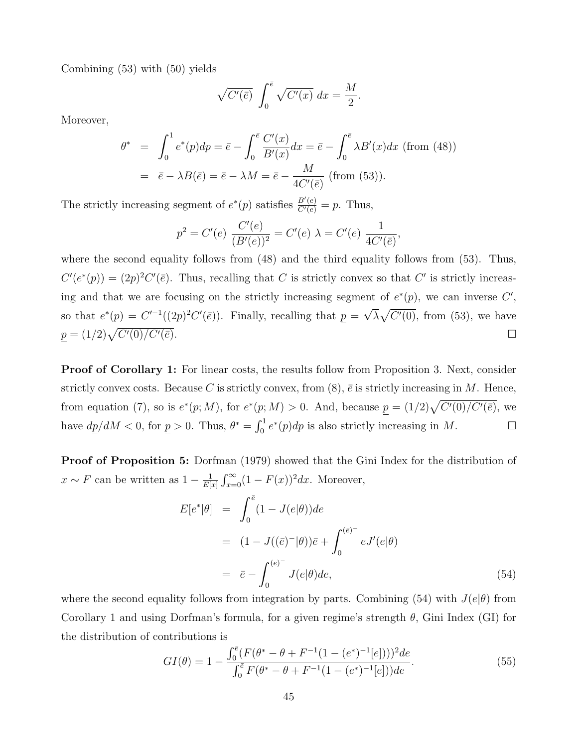Combining (53) with (50) yields

$$
\sqrt{C'(\bar{e})} \int_0^{\bar{e}} \sqrt{C'(x)} dx = \frac{M}{2}.
$$

Moreover,

$$
\theta^* = \int_0^1 e^*(p) dp = \bar{e} - \int_0^{\bar{e}} \frac{C'(x)}{B'(x)} dx = \bar{e} - \int_0^{\bar{e}} \lambda B'(x) dx \text{ (from (48))}
$$

$$
= \bar{e} - \lambda B(\bar{e}) = \bar{e} - \lambda M = \bar{e} - \frac{M}{4C'(\bar{e})} \text{ (from (53))}.
$$

The strictly increasing segment of  $e^*(p)$  satisfies  $\frac{B'(e)}{C'(e)} = p$ . Thus,

$$
p^{2} = C'(e) \frac{C'(e)}{(B'(e))^{2}} = C'(e) \lambda = C'(e) \frac{1}{4C'(\bar{e})},
$$

where the second equality follows from  $(48)$  and the third equality follows from  $(53)$ . Thus,  $C'(e^*(p)) = (2p)^2 C'(\bar{e})$ . Thus, recalling that C is strictly convex so that C' is strictly increasing and that we are focusing on the strictly increasing segment of  $e^*(p)$ , we can inverse C', so that  $e^*(p) = C'^{-1}((2p)^2 C'(\bar{e}))$ . Finally, recalling that  $p =$ √  $\lambda \sqrt{C'(0)}$ , from (53), we have  $p = (1/2)\sqrt{C'(0)/C'}$  $\overline{(\overline{e})}.$ 

Proof of Corollary 1: For linear costs, the results follow from Proposition 3. Next, consider strictly convex costs. Because C is strictly convex, from  $(8)$ ,  $\bar{e}$  is strictly increasing in M. Hence, from equation (7), so is  $e^*(p;M)$ , for  $e^*(p;M) > 0$ . And, because  $p = (1/2)\sqrt{C'(0)/C'(\bar{e})}$ , we have  $dp/dM < 0$ , for  $\underline{p} > 0$ . Thus,  $\theta^* = \int_0^1 e^*(p) dp$  is also strictly increasing in M.

Proof of Proposition 5: Dorfman (1979) showed that the Gini Index for the distribution of  $x \sim F$  can be written as  $1 - \frac{1}{F}$  $\frac{1}{E[x]}$   $\int_{x=0}^{\infty} (1 - F(x))^2 dx$ . Moreover,

$$
E[e^*|\theta] = \int_0^{\bar{e}} (1 - J(e|\theta))de
$$
  
=  $(1 - J((\bar{e})^{-}|\theta))\bar{e} + \int_0^{(\bar{e})^{-}} eJ'(e|\theta)$   
=  $\bar{e} - \int_0^{(\bar{e})^{-}} J(e|\theta)de,$  (54)

where the second equality follows from integration by parts. Combining (54) with  $J(e|\theta)$  from Corollary 1 and using Dorfman's formula, for a given regime's strength  $\theta$ , Gini Index (GI) for the distribution of contributions is

$$
GI(\theta) = 1 - \frac{\int_0^{\bar{e}} (F(\theta^* - \theta + F^{-1}(1 - (e^*)^{-1}[e])))^2 de}{\int_0^{\bar{e}} F(\theta^* - \theta + F^{-1}(1 - (e^*)^{-1}[e]))de}.
$$
\n(55)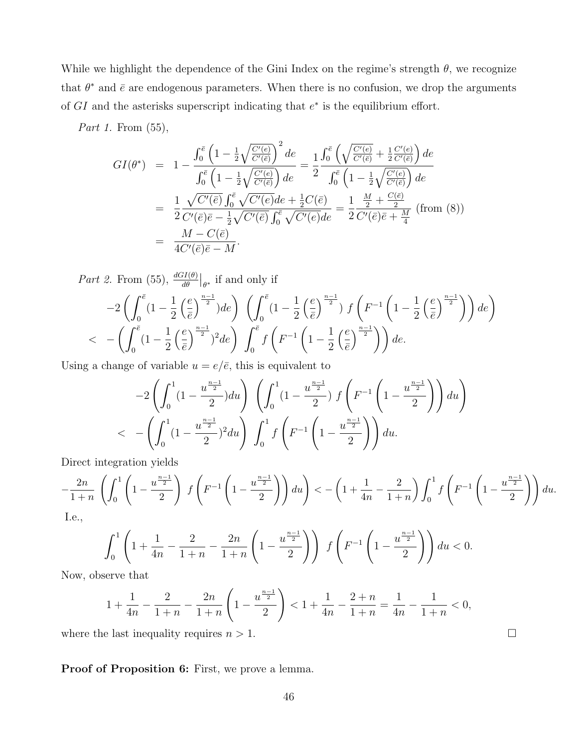While we highlight the dependence of the Gini Index on the regime's strength  $\theta$ , we recognize that  $\theta^*$  and  $\bar{e}$  are endogenous parameters. When there is no confusion, we drop the arguments of  $GI$  and the asterisks superscript indicating that  $e^*$  is the equilibrium effort.

Part 1. From (55),

$$
GI(\theta^*) = 1 - \frac{\int_0^{\bar{e}} \left(1 - \frac{1}{2} \sqrt{\frac{C'(e)}{C'(\bar{e})}}\right)^2 de}{\int_0^{\bar{e}} \left(1 - \frac{1}{2} \sqrt{\frac{C'(e)}{C'(\bar{e})}}\right) de} = \frac{1}{2} \frac{\int_0^{\bar{e}} \left(\sqrt{\frac{C'(e)}{C'(\bar{e})}} + \frac{1}{2} \frac{C'(e)}{C'(\bar{e})}\right) de}{\int_0^{\bar{e}} \left(1 - \frac{1}{2} \sqrt{\frac{C'(e)}{C'(e)}}\right) de}
$$
  
\n
$$
= \frac{1}{2} \frac{\sqrt{C'(e)}}{C'(e)\bar{e} - \frac{1}{2} \sqrt{C'(e)} de + \frac{1}{2} C(\bar{e})}{\int_0^{\bar{e}} \sqrt{C'(e)} de} = \frac{1}{2} \frac{\frac{M}{2} + \frac{C(\bar{e})}{2}}{C'(\bar{e})\bar{e} + \frac{M}{4}} \text{ (from (8))}
$$
  
\n
$$
= \frac{M - C(\bar{e})}{4C'(\bar{e})\bar{e} - M}.
$$

Part 2. From (55),  $\frac{dGI(\theta)}{d\theta}\big|_{\theta^*}$  if and only if

$$
-2\left(\int_0^{\overline{e}}\left(1-\frac{1}{2}\left(\frac{e}{\overline{e}}\right)^{\frac{n-1}{2}}\right)de\right)\left(\int_0^{\overline{e}}\left(1-\frac{1}{2}\left(\frac{e}{\overline{e}}\right)^{\frac{n-1}{2}}\right)f\left(F^{-1}\left(1-\frac{1}{2}\left(\frac{e}{\overline{e}}\right)^{\frac{n-1}{2}}\right)\right)de\right)
$$
  

$$
< -\left(\int_0^{\overline{e}}\left(1-\frac{1}{2}\left(\frac{e}{\overline{e}}\right)^{\frac{n-1}{2}}\right)^2de\right)\int_0^{\overline{e}}f\left(F^{-1}\left(1-\frac{1}{2}\left(\frac{e}{\overline{e}}\right)^{\frac{n-1}{2}}\right)\right)de.
$$

Using a change of variable  $u = e/\bar{e}$ , this is equivalent to

$$
-2\left(\int_0^1 (1-\frac{u^{\frac{n-1}{2}}}{2}) du\right) \left(\int_0^1 (1-\frac{u^{\frac{n-1}{2}}}{2}) f\left(F^{-1}\left(1-\frac{u^{\frac{n-1}{2}}}{2}\right)\right) du\right)
$$
  
< 
$$
- \left(\int_0^1 (1-\frac{u^{\frac{n-1}{2}}}{2})^2 du\right) \int_0^1 f\left(F^{-1}\left(1-\frac{u^{\frac{n-1}{2}}}{2}\right)\right) du.
$$

Direct integration yields

$$
-\frac{2n}{1+n}\left(\int_0^1\left(1-\frac{u^{\frac{n-1}{2}}}{2}\right)\ f\left(F^{-1}\left(1-\frac{u^{\frac{n-1}{2}}}{2}\right)\right)du\right)<-\left(1+\frac{1}{4n}-\frac{2}{1+n}\right)\int_0^1f\left(F^{-1}\left(1-\frac{u^{\frac{n-1}{2}}}{2}\right)\right)du.
$$

I.e.,

$$
\int_0^1 \left(1 + \frac{1}{4n} - \frac{2}{1+n} - \frac{2n}{1+n} \left(1 - \frac{u^{\frac{n-1}{2}}}{2}\right)\right) f\left(F^{-1}\left(1 - \frac{u^{\frac{n-1}{2}}}{2}\right)\right) du < 0.
$$

Now, observe that

$$
1 + \frac{1}{4n} - \frac{2}{1+n} - \frac{2n}{1+n} \left( 1 - \frac{u^{\frac{n-1}{2}}}{2} \right) < 1 + \frac{1}{4n} - \frac{2+n}{1+n} = \frac{1}{4n} - \frac{1}{1+n} < 0,
$$

where the last inequality requires  $n > 1$ .

Proof of Proposition 6: First, we prove a lemma.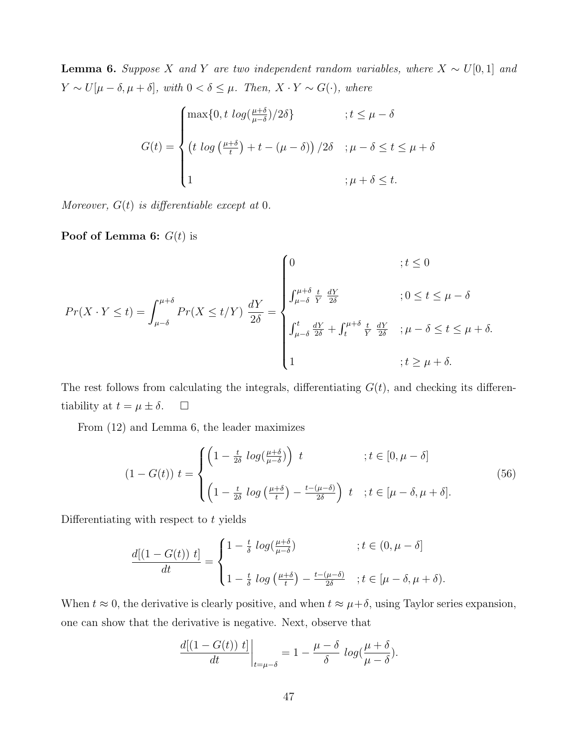**Lemma 6.** Suppose X and Y are two independent random variables, where  $X \sim U[0, 1]$  and  $Y \sim U[\mu - \delta, \mu + \delta],$  with  $0 < \delta \leq \mu$ . Then,  $X \cdot Y \sim G(\cdot)$ , where

$$
G(t) = \begin{cases} \max\{0, t \log(\frac{\mu+\delta}{\mu-\delta})/2\delta\} & ; t \le \mu-\delta \\ \left(t \log(\frac{\mu+\delta}{t}) + t - (\mu-\delta)\right)/2\delta & ; \mu-\delta \le t \le \mu+\delta \\ 1 & ; \mu+\delta \le t. \end{cases}
$$

Moreover,  $G(t)$  is differentiable except at 0.

**Poof of Lemma 6:**  $G(t)$  is

$$
Pr(X \cdot Y \le t) = \int_{\mu-\delta}^{\mu+\delta} Pr(X \le t/Y) \frac{dY}{2\delta} = \begin{cases} 0 & \text{if } t \le 0 \\ \int_{\mu-\delta}^{\mu+\delta} \frac{t}{Y} \frac{dY}{2\delta} & \text{if } 0 \le t \le \mu-\delta \\ \int_{\mu-\delta}^{t} \frac{dY}{2\delta} + \int_{t}^{\mu+\delta} \frac{t}{Y} \frac{dY}{2\delta} & \text{if } \mu-\delta \le t \le \mu+\delta. \\ 1 & \text{if } \ge \mu+\delta. \end{cases}
$$

The rest follows from calculating the integrals, differentiating  $G(t)$ , and checking its differentiability at  $t = \mu \pm \delta$ .  $\Box$ 

From (12) and Lemma 6, the leader maximizes

$$
(1 - G(t)) t = \begin{cases} \left(1 - \frac{t}{2\delta} \log\left(\frac{\mu + \delta}{\mu - \delta}\right)\right) t & ; t \in [0, \mu - \delta] \\ \left(1 - \frac{t}{2\delta} \log\left(\frac{\mu + \delta}{t}\right) - \frac{t - (\mu - \delta)}{2\delta}\right) t & ; t \in [\mu - \delta, \mu + \delta]. \end{cases} \tag{56}
$$

Differentiating with respect to  $t$  yields

$$
\frac{d[(1-G(t)) t]}{dt} = \begin{cases} 1 - \frac{t}{\delta} \log(\frac{\mu + \delta}{\mu - \delta}) & \text{if } t \in (0, \mu - \delta] \\ 1 - \frac{t}{\delta} \log(\frac{\mu + \delta}{t}) - \frac{t - (\mu - \delta)}{2\delta} & \text{if } t \in [\mu - \delta, \mu + \delta). \end{cases}
$$

When  $t \approx 0$ , the derivative is clearly positive, and when  $t \approx \mu + \delta$ , using Taylor series expansion, one can show that the derivative is negative. Next, observe that

$$
\frac{d[(1-G(t)) t]}{dt}\bigg|_{t=\mu-\delta} = 1 - \frac{\mu-\delta}{\delta} log(\frac{\mu+\delta}{\mu-\delta}).
$$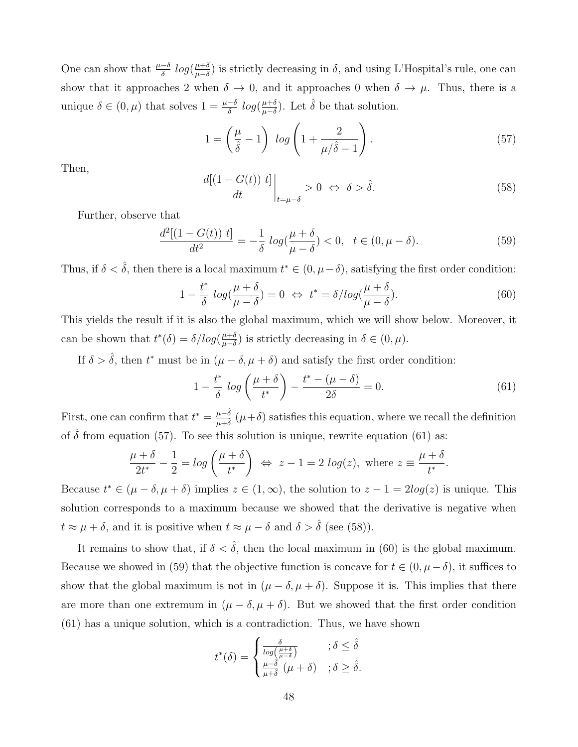One can show that  $\frac{\mu-\delta}{\delta} log(\frac{\mu+\delta}{\mu-\delta})$  $\frac{\mu+\delta}{\mu-\delta}$ ) is strictly decreasing in  $\delta$ , and using L'Hospital's rule, one can show that it approaches 2 when  $\delta \to 0$ , and it approaches 0 when  $\delta \to \mu$ . Thus, there is a unique  $\delta \in (0, \mu)$  that solves  $1 = \frac{\mu - \delta}{\delta} log(\frac{\mu + \delta}{\mu - \delta})$  $\frac{\mu+\delta}{\mu-\delta}$ ). Let  $\hat{\delta}$  be that solution.

$$
1 = \left(\frac{\mu}{\hat{\delta}} - 1\right) \log\left(1 + \frac{2}{\mu/\hat{\delta} - 1}\right). \tag{57}
$$

Then,

$$
\left. \frac{d[(1 - G(t)) \ t]}{dt} \right|_{t = \mu - \delta} > 0 \iff \delta > \hat{\delta}.
$$
\n(58)

Further, observe that

$$
\frac{d^2[(1-G(t))\ t]}{dt^2} = -\frac{1}{\delta}\ \log(\frac{\mu+\delta}{\mu-\delta}) < 0, \ \ t \in (0, \mu-\delta). \tag{59}
$$

Thus, if  $\delta < \hat{\delta}$ , then there is a local maximum  $t^* \in (0, \mu - \delta)$ , satisfying the first order condition:

$$
1 - \frac{t^*}{\delta} \log(\frac{\mu + \delta}{\mu - \delta}) = 0 \iff t^* = \delta / \log(\frac{\mu + \delta}{\mu - \delta}).
$$
\n(60)

This yields the result if it is also the global maximum, which we will show below. Moreover, it can be shown that  $t^*(\delta) = \delta/log(\frac{\mu+\delta}{\mu-\delta})$  $(\frac{\mu+\delta}{\mu-\delta})$  is strictly decreasing in  $\delta \in (0,\mu)$ .

If  $\delta > \hat{\delta}$ , then  $t^*$  must be in  $(\mu - \delta, \mu + \delta)$  and satisfy the first order condition:

$$
1 - \frac{t^*}{\delta} \log \left( \frac{\mu + \delta}{t^*} \right) - \frac{t^* - (\mu - \delta)}{2\delta} = 0.
$$
 (61)

First, one can confirm that  $t^* = \frac{\mu - \hat{\delta}}{\mu + \hat{\delta}}$  $\frac{\mu-\delta}{\mu+\delta}$  ( $\mu+\delta$ ) satisfies this equation, where we recall the definition of  $\hat{\delta}$  from equation (57). To see this solution is unique, rewrite equation (61) as:

$$
\frac{\mu+\delta}{2t^*} - \frac{1}{2} = \log\left(\frac{\mu+\delta}{t^*}\right) \iff z - 1 = 2\log(z), \text{ where } z \equiv \frac{\mu+\delta}{t^*}.
$$

Because  $t^* \in (\mu - \delta, \mu + \delta)$  implies  $z \in (1, \infty)$ , the solution to  $z - 1 = 2log(z)$  is unique. This solution corresponds to a maximum because we showed that the derivative is negative when  $t \approx \mu + \delta$ , and it is positive when  $t \approx \mu - \delta$  and  $\delta > \hat{\delta}$  (see (58)).

It remains to show that, if  $\delta < \hat{\delta}$ , then the local maximum in (60) is the global maximum. Because we showed in (59) that the objective function is concave for  $t \in (0, \mu - \delta)$ , it suffices to show that the global maximum is not in  $(\mu - \delta, \mu + \delta)$ . Suppose it is. This implies that there are more than one extremum in  $(\mu - \delta, \mu + \delta)$ . But we showed that the first order condition (61) has a unique solution, which is a contradiction. Thus, we have shown

$$
t^*(\delta) = \begin{cases} \frac{\delta}{\log\left(\frac{\mu+\delta}{\mu-\delta}\right)} & ; \delta \leq \hat{\delta} \\ \frac{\mu-\hat{\delta}}{\mu+\hat{\delta}}(\mu+\delta) & ; \delta \geq \hat{\delta}. \end{cases}
$$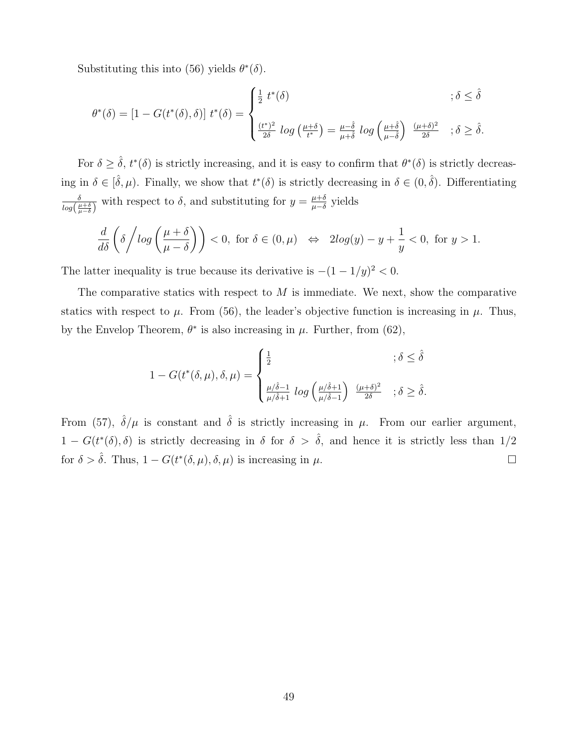Substituting this into (56) yields  $\theta^*(\delta)$ .

$$
\theta^*(\delta) = \left[1 - G(t^*(\delta), \delta)\right] t^*(\delta) = \begin{cases} \frac{1}{2} t^*(\delta) & ; \delta \leq \hat{\delta} \\ \frac{(t^*)^2}{2\delta} \log\left(\frac{\mu + \delta}{t^*}\right) = \frac{\mu - \hat{\delta}}{\mu + \hat{\delta}} \log\left(\frac{\mu + \hat{\delta}}{\mu - \hat{\delta}}\right) & \frac{(\mu + \delta)^2}{2\delta} \\ \frac{(t^*)^2}{2\delta} \log\left(\frac{\mu + \delta}{t^*}\right) = \frac{\mu - \hat{\delta}}{\mu + \hat{\delta}} \log\left(\frac{\mu + \hat{\delta}}{\mu - \hat{\delta}}\right) & \frac{(\mu + \delta)^2}{2\delta} \\ \frac{(t^*)^2}{2\delta} \log\left(\frac{\mu + \delta}{t^*}\right) = \frac{\mu - \hat{\delta}}{\mu + \hat{\delta}} \log\left(\frac{\mu + \hat{\delta}}{\mu - \hat{\delta}}\right) & \frac{(\mu + \delta)^2}{2\delta} \log\left(\frac{\mu + \delta}{\mu - \hat{\delta}}\right) & \frac{(\mu + \delta)^2}{2\delta} \log\left(\frac{\mu + \delta}{\mu - \hat{\delta}}\right) \end{cases}
$$

For  $\delta \geq \hat{\delta}$ ,  $t^*(\delta)$  is strictly increasing, and it is easy to confirm that  $\theta^*(\delta)$  is strictly decreasing in  $\delta \in [\hat{\delta}, \mu)$ . Finally, we show that  $t^*(\delta)$  is strictly decreasing in  $\delta \in (0, \hat{\delta})$ . Differentiating δ  $\frac{\delta}{\log(\frac{\mu+\delta}{\mu-\delta})}$  with respect to  $\delta$ , and substituting for  $y=\frac{\mu+\delta}{\mu-\delta}$  $\frac{\mu+o}{\mu-\delta}$  yields

$$
\frac{d}{d\delta}\left(\delta/\log\left(\frac{\mu+\delta}{\mu-\delta}\right)\right) < 0, \text{ for } \delta \in (0,\mu) \quad \Leftrightarrow \quad 2\log(y)-y+\frac{1}{y} < 0, \text{ for } y > 1.
$$

The latter inequality is true because its derivative is  $-(1-1/y)^2 < 0$ .

The comparative statics with respect to  $M$  is immediate. We next, show the comparative statics with respect to  $\mu$ . From (56), the leader's objective function is increasing in  $\mu$ . Thus, by the Envelop Theorem,  $\theta^*$  is also increasing in  $\mu$ . Further, from (62),

$$
1 - G(t^*(\delta, \mu), \delta, \mu) = \begin{cases} \frac{1}{2} & ; \delta \leq \hat{\delta} \\ \frac{\mu/\hat{\delta}-1}{\mu/\hat{\delta}+1} \log \left(\frac{\mu/\hat{\delta}+1}{\mu/\hat{\delta}-1}\right) \frac{(\mu+\delta)^2}{2\delta} & ; \delta \geq \hat{\delta}. \end{cases}
$$

From (57),  $\hat{\delta}/\mu$  is constant and  $\hat{\delta}$  is strictly increasing in  $\mu$ . From our earlier argument,  $1 - G(t^*(\delta), \delta)$  is strictly decreasing in  $\delta$  for  $\delta > \hat{\delta}$ , and hence it is strictly less than 1/2 for  $\delta > \hat{\delta}$ . Thus,  $1 - G(t^*(\delta, \mu), \delta, \mu)$  is increasing in  $\mu$ .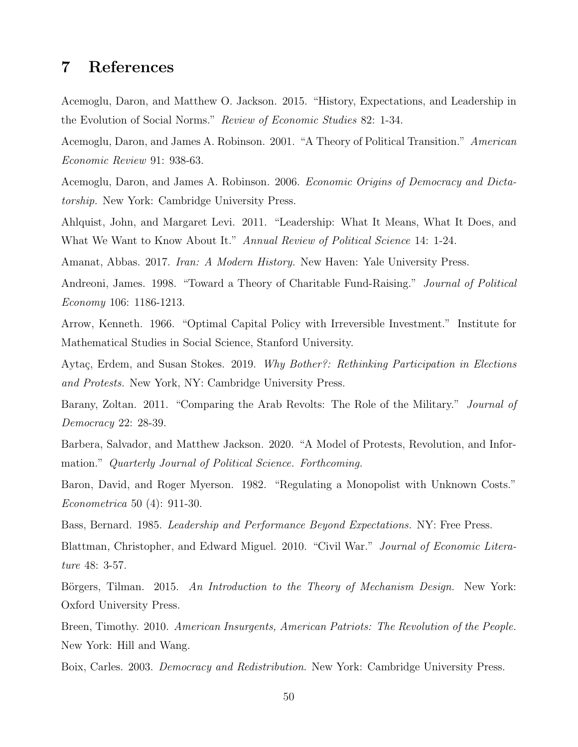### 7 References

Acemoglu, Daron, and Matthew O. Jackson. 2015. "History, Expectations, and Leadership in the Evolution of Social Norms." Review of Economic Studies 82: 1-34.

Acemoglu, Daron, and James A. Robinson. 2001. "A Theory of Political Transition." American Economic Review 91: 938-63.

Acemoglu, Daron, and James A. Robinson. 2006. Economic Origins of Democracy and Dictatorship. New York: Cambridge University Press.

Ahlquist, John, and Margaret Levi. 2011. "Leadership: What It Means, What It Does, and What We Want to Know About It." Annual Review of Political Science 14: 1-24.

Amanat, Abbas. 2017. Iran: A Modern History. New Haven: Yale University Press.

Andreoni, James. 1998. "Toward a Theory of Charitable Fund-Raising." Journal of Political Economy 106: 1186-1213.

Arrow, Kenneth. 1966. "Optimal Capital Policy with Irreversible Investment." Institute for Mathematical Studies in Social Science, Stanford University.

Aytaç, Erdem, and Susan Stokes. 2019. Why Bother?: Rethinking Participation in Elections and Protests. New York, NY: Cambridge University Press.

Barany, Zoltan. 2011. "Comparing the Arab Revolts: The Role of the Military." *Journal of* Democracy 22: 28-39.

Barbera, Salvador, and Matthew Jackson. 2020. "A Model of Protests, Revolution, and Information." Quarterly Journal of Political Science. Forthcoming.

Baron, David, and Roger Myerson. 1982. "Regulating a Monopolist with Unknown Costs." Econometrica 50 (4): 911-30.

Bass, Bernard. 1985. Leadership and Performance Beyond Expectations. NY: Free Press.

Blattman, Christopher, and Edward Miguel. 2010. "Civil War." Journal of Economic Literature 48: 3-57.

Börgers, Tilman. 2015. An Introduction to the Theory of Mechanism Design. New York: Oxford University Press.

Breen, Timothy. 2010. American Insurgents, American Patriots: The Revolution of the People. New York: Hill and Wang.

Boix, Carles. 2003. Democracy and Redistribution. New York: Cambridge University Press.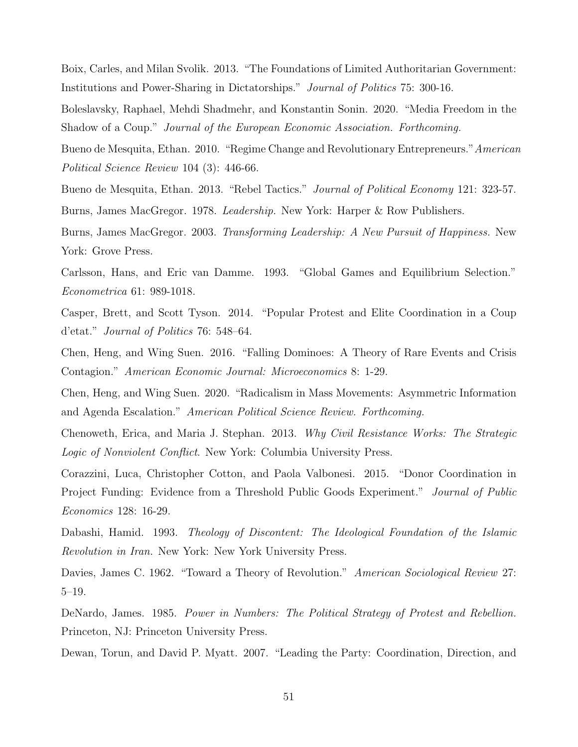Boix, Carles, and Milan Svolik. 2013. "The Foundations of Limited Authoritarian Government: Institutions and Power-Sharing in Dictatorships." Journal of Politics 75: 300-16.

Boleslavsky, Raphael, Mehdi Shadmehr, and Konstantin Sonin. 2020. "Media Freedom in the Shadow of a Coup." Journal of the European Economic Association. Forthcoming.

Bueno de Mesquita, Ethan. 2010. "Regime Change and Revolutionary Entrepreneurs." American Political Science Review 104 (3): 446-66.

Bueno de Mesquita, Ethan. 2013. "Rebel Tactics." *Journal of Political Economy* 121: 323-57. Burns, James MacGregor. 1978. Leadership. New York: Harper & Row Publishers.

Burns, James MacGregor. 2003. Transforming Leadership: A New Pursuit of Happiness. New York: Grove Press.

Carlsson, Hans, and Eric van Damme. 1993. "Global Games and Equilibrium Selection." Econometrica 61: 989-1018.

Casper, Brett, and Scott Tyson. 2014. "Popular Protest and Elite Coordination in a Coup d'etat." Journal of Politics 76: 548–64.

Chen, Heng, and Wing Suen. 2016. "Falling Dominoes: A Theory of Rare Events and Crisis Contagion." American Economic Journal: Microeconomics 8: 1-29.

Chen, Heng, and Wing Suen. 2020. "Radicalism in Mass Movements: Asymmetric Information and Agenda Escalation." American Political Science Review. Forthcoming.

Chenoweth, Erica, and Maria J. Stephan. 2013. Why Civil Resistance Works: The Strategic Logic of Nonviolent Conflict. New York: Columbia University Press.

Corazzini, Luca, Christopher Cotton, and Paola Valbonesi. 2015. "Donor Coordination in Project Funding: Evidence from a Threshold Public Goods Experiment." Journal of Public Economics 128: 16-29.

Dabashi, Hamid. 1993. Theology of Discontent: The Ideological Foundation of the Islamic Revolution in Iran. New York: New York University Press.

Davies, James C. 1962. "Toward a Theory of Revolution." *American Sociological Review* 27: 5–19.

DeNardo, James. 1985. Power in Numbers: The Political Strategy of Protest and Rebellion. Princeton, NJ: Princeton University Press.

Dewan, Torun, and David P. Myatt. 2007. "Leading the Party: Coordination, Direction, and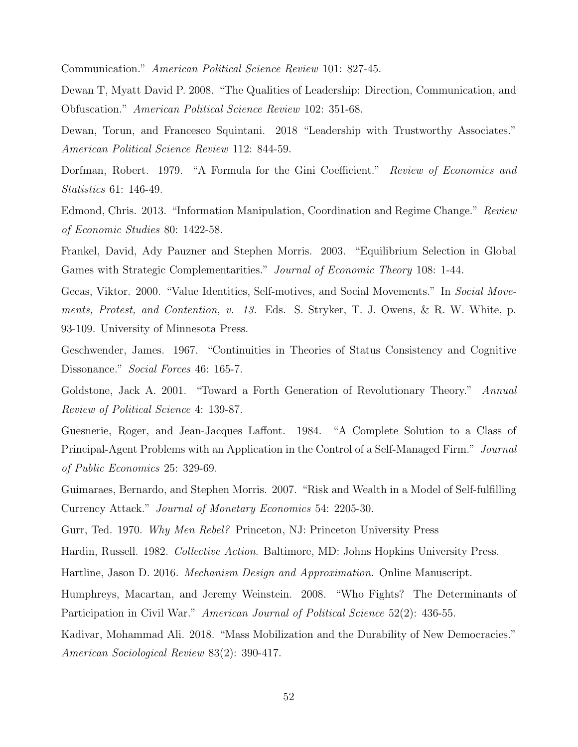Communication." American Political Science Review 101: 827-45.

Dewan T, Myatt David P. 2008. "The Qualities of Leadership: Direction, Communication, and Obfuscation." American Political Science Review 102: 351-68.

Dewan, Torun, and Francesco Squintani. 2018 "Leadership with Trustworthy Associates." American Political Science Review 112: 844-59.

Dorfman, Robert. 1979. "A Formula for the Gini Coefficient." Review of Economics and Statistics 61: 146-49.

Edmond, Chris. 2013. "Information Manipulation, Coordination and Regime Change." Review of Economic Studies 80: 1422-58.

Frankel, David, Ady Pauzner and Stephen Morris. 2003. "Equilibrium Selection in Global Games with Strategic Complementarities." Journal of Economic Theory 108: 1-44.

Gecas, Viktor. 2000. "Value Identities, Self-motives, and Social Movements." In Social Movements, Protest, and Contention, v. 13. Eds. S. Stryker, T. J. Owens, & R. W. White, p. 93-109. University of Minnesota Press.

Geschwender, James. 1967. "Continuities in Theories of Status Consistency and Cognitive Dissonance." Social Forces 46: 165-7.

Goldstone, Jack A. 2001. "Toward a Forth Generation of Revolutionary Theory." Annual Review of Political Science 4: 139-87.

Guesnerie, Roger, and Jean-Jacques Laffont. 1984. "A Complete Solution to a Class of Principal-Agent Problems with an Application in the Control of a Self-Managed Firm." Journal of Public Economics 25: 329-69.

Guimaraes, Bernardo, and Stephen Morris. 2007. "Risk and Wealth in a Model of Self-fulfilling Currency Attack." Journal of Monetary Economics 54: 2205-30.

Gurr, Ted. 1970. Why Men Rebel? Princeton, NJ: Princeton University Press

Hardin, Russell. 1982. Collective Action. Baltimore, MD: Johns Hopkins University Press.

Hartline, Jason D. 2016. Mechanism Design and Approximation. Online Manuscript.

Humphreys, Macartan, and Jeremy Weinstein. 2008. "Who Fights? The Determinants of Participation in Civil War." American Journal of Political Science 52(2): 436-55.

Kadivar, Mohammad Ali. 2018. "Mass Mobilization and the Durability of New Democracies." American Sociological Review 83(2): 390-417.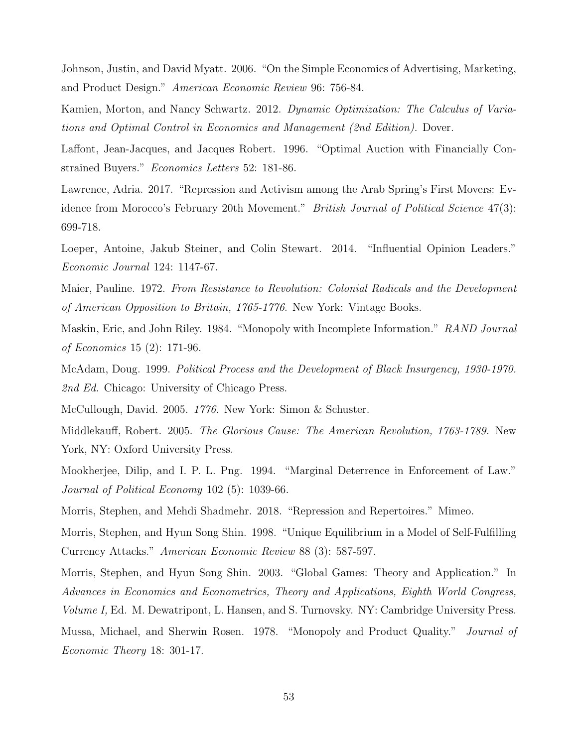Johnson, Justin, and David Myatt. 2006. "On the Simple Economics of Advertising, Marketing, and Product Design." American Economic Review 96: 756-84.

Kamien, Morton, and Nancy Schwartz. 2012. Dynamic Optimization: The Calculus of Variations and Optimal Control in Economics and Management (2nd Edition). Dover.

Laffont, Jean-Jacques, and Jacques Robert. 1996. "Optimal Auction with Financially Constrained Buyers." Economics Letters 52: 181-86.

Lawrence, Adria. 2017. "Repression and Activism among the Arab Spring's First Movers: Evidence from Morocco's February 20th Movement." *British Journal of Political Science* 47(3): 699-718.

Loeper, Antoine, Jakub Steiner, and Colin Stewart. 2014. "Influential Opinion Leaders." Economic Journal 124: 1147-67.

Maier, Pauline. 1972. From Resistance to Revolution: Colonial Radicals and the Development of American Opposition to Britain, 1765-1776. New York: Vintage Books.

Maskin, Eric, and John Riley. 1984. "Monopoly with Incomplete Information." RAND Journal of Economics 15 (2): 171-96.

McAdam, Doug. 1999. Political Process and the Development of Black Insurgency, 1930-1970. 2nd Ed. Chicago: University of Chicago Press.

McCullough, David. 2005. 1776. New York: Simon & Schuster.

Middlekauff, Robert. 2005. The Glorious Cause: The American Revolution, 1763-1789. New York, NY: Oxford University Press.

Mookherjee, Dilip, and I. P. L. Png. 1994. "Marginal Deterrence in Enforcement of Law." Journal of Political Economy 102 (5): 1039-66.

Morris, Stephen, and Mehdi Shadmehr. 2018. "Repression and Repertoires." Mimeo.

Morris, Stephen, and Hyun Song Shin. 1998. "Unique Equilibrium in a Model of Self-Fulfilling Currency Attacks." American Economic Review 88 (3): 587-597.

Morris, Stephen, and Hyun Song Shin. 2003. "Global Games: Theory and Application." In Advances in Economics and Econometrics, Theory and Applications, Eighth World Congress, Volume I, Ed. M. Dewatripont, L. Hansen, and S. Turnovsky. NY: Cambridge University Press. Mussa, Michael, and Sherwin Rosen. 1978. "Monopoly and Product Quality." *Journal of* 

Economic Theory 18: 301-17.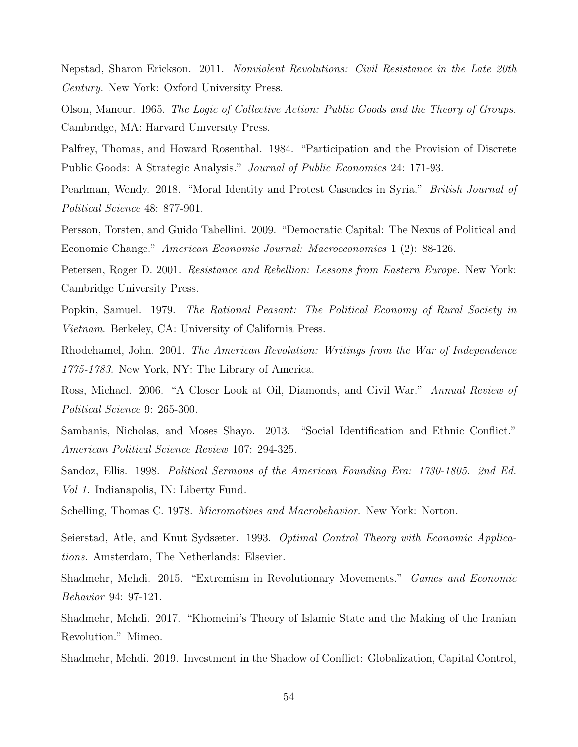Nepstad, Sharon Erickson. 2011. Nonviolent Revolutions: Civil Resistance in the Late 20th Century. New York: Oxford University Press.

Olson, Mancur. 1965. The Logic of Collective Action: Public Goods and the Theory of Groups. Cambridge, MA: Harvard University Press.

Palfrey, Thomas, and Howard Rosenthal. 1984. "Participation and the Provision of Discrete Public Goods: A Strategic Analysis." Journal of Public Economics 24: 171-93.

Pearlman, Wendy. 2018. "Moral Identity and Protest Cascades in Syria." British Journal of Political Science 48: 877-901.

Persson, Torsten, and Guido Tabellini. 2009. "Democratic Capital: The Nexus of Political and Economic Change." American Economic Journal: Macroeconomics 1 (2): 88-126.

Petersen, Roger D. 2001. *Resistance and Rebellion: Lessons from Eastern Europe.* New York: Cambridge University Press.

Popkin, Samuel. 1979. The Rational Peasant: The Political Economy of Rural Society in Vietnam. Berkeley, CA: University of California Press.

Rhodehamel, John. 2001. The American Revolution: Writings from the War of Independence 1775-1783. New York, NY: The Library of America.

Ross, Michael. 2006. "A Closer Look at Oil, Diamonds, and Civil War." Annual Review of Political Science 9: 265-300.

Sambanis, Nicholas, and Moses Shayo. 2013. "Social Identification and Ethnic Conflict." American Political Science Review 107: 294-325.

Sandoz, Ellis. 1998. Political Sermons of the American Founding Era: 1730-1805. 2nd Ed. Vol 1. Indianapolis, IN: Liberty Fund.

Schelling, Thomas C. 1978. *Micromotives and Macrobehavior*. New York: Norton.

Seierstad, Atle, and Knut Sydsæter. 1993. Optimal Control Theory with Economic Applications. Amsterdam, The Netherlands: Elsevier.

Shadmehr, Mehdi. 2015. "Extremism in Revolutionary Movements." Games and Economic Behavior 94: 97-121.

Shadmehr, Mehdi. 2017. "Khomeini's Theory of Islamic State and the Making of the Iranian Revolution." Mimeo.

Shadmehr, Mehdi. 2019. Investment in the Shadow of Conflict: Globalization, Capital Control,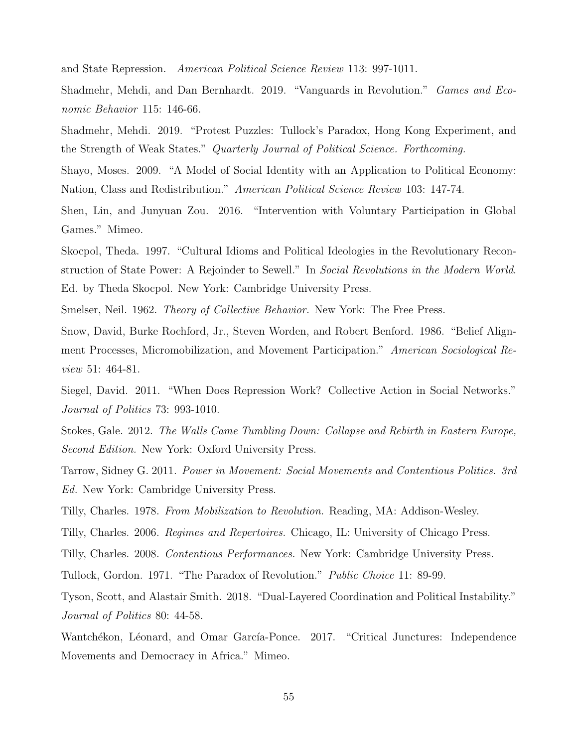and State Repression. American Political Science Review 113: 997-1011.

Shadmehr, Mehdi, and Dan Bernhardt. 2019. "Vanguards in Revolution." Games and Economic Behavior 115: 146-66.

Shadmehr, Mehdi. 2019. "Protest Puzzles: Tullock's Paradox, Hong Kong Experiment, and the Strength of Weak States." Quarterly Journal of Political Science. Forthcoming.

Shayo, Moses. 2009. "A Model of Social Identity with an Application to Political Economy: Nation, Class and Redistribution." American Political Science Review 103: 147-74.

Shen, Lin, and Junyuan Zou. 2016. "Intervention with Voluntary Participation in Global Games." Mimeo.

Skocpol, Theda. 1997. "Cultural Idioms and Political Ideologies in the Revolutionary Reconstruction of State Power: A Rejoinder to Sewell." In Social Revolutions in the Modern World. Ed. by Theda Skocpol. New York: Cambridge University Press.

Smelser, Neil. 1962. *Theory of Collective Behavior*. New York: The Free Press.

Snow, David, Burke Rochford, Jr., Steven Worden, and Robert Benford. 1986. "Belief Alignment Processes, Micromobilization, and Movement Participation." American Sociological Review 51: 464-81.

Siegel, David. 2011. "When Does Repression Work? Collective Action in Social Networks." Journal of Politics 73: 993-1010.

Stokes, Gale. 2012. The Walls Came Tumbling Down: Collapse and Rebirth in Eastern Europe, Second Edition. New York: Oxford University Press.

Tarrow, Sidney G. 2011. Power in Movement: Social Movements and Contentious Politics. 3rd Ed. New York: Cambridge University Press.

Tilly, Charles. 1978. From Mobilization to Revolution. Reading, MA: Addison-Wesley.

Tilly, Charles. 2006. Regimes and Repertoires. Chicago, IL: University of Chicago Press.

Tilly, Charles. 2008. Contentious Performances. New York: Cambridge University Press.

Tullock, Gordon. 1971. "The Paradox of Revolution." Public Choice 11: 89-99.

Tyson, Scott, and Alastair Smith. 2018. "Dual-Layered Coordination and Political Instability." Journal of Politics 80: 44-58.

Wantchékon, Léonard, and Omar García-Ponce. 2017. "Critical Junctures: Independence Movements and Democracy in Africa." Mimeo.